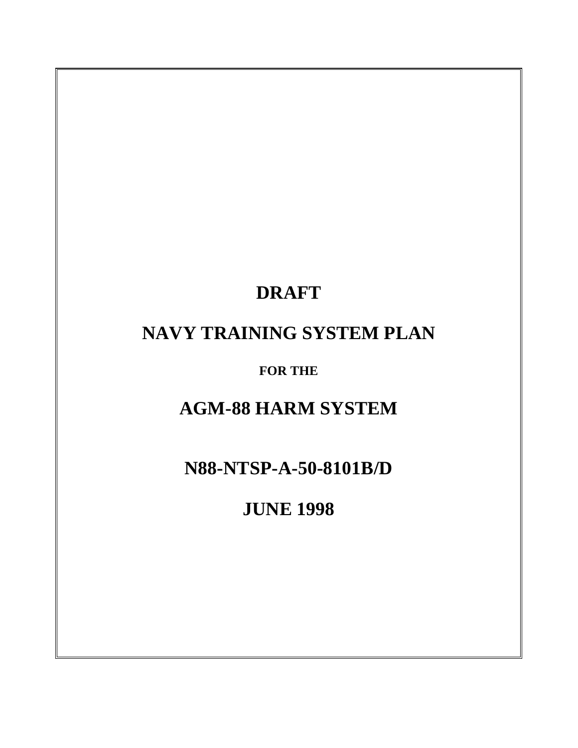# **DRAFT**

# **NAVY TRAINING SYSTEM PLAN**

**FOR THE**

# **AGM-88 HARM SYSTEM**

**N88-NTSP-A-50-8101B/D**

**JUNE 1998**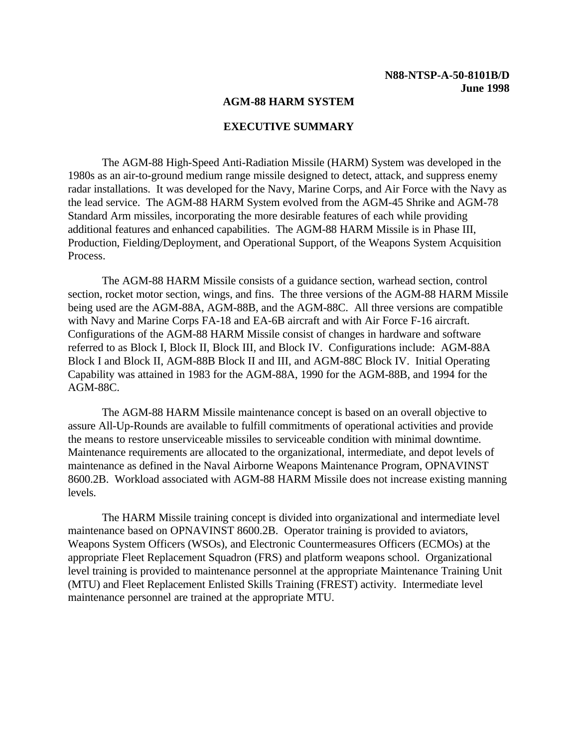#### **AGM-88 HARM SYSTEM**

#### **EXECUTIVE SUMMARY**

<span id="page-1-0"></span>The AGM-88 High-Speed Anti-Radiation Missile (HARM) System was developed in the 1980s as an air-to-ground medium range missile designed to detect, attack, and suppress enemy radar installations. It was developed for the Navy, Marine Corps, and Air Force with the Navy as the lead service. The AGM-88 HARM System evolved from the AGM-45 Shrike and AGM-78 Standard Arm missiles, incorporating the more desirable features of each while providing additional features and enhanced capabilities. The AGM-88 HARM Missile is in Phase III, Production, Fielding/Deployment, and Operational Support, of the Weapons System Acquisition Process.

The AGM-88 HARM Missile consists of a guidance section, warhead section, control section, rocket motor section, wings, and fins. The three versions of the AGM-88 HARM Missile being used are the AGM-88A, AGM-88B, and the AGM-88C. All three versions are compatible with Navy and Marine Corps FA-18 and EA-6B aircraft and with Air Force F-16 aircraft. Configurations of the AGM-88 HARM Missile consist of changes in hardware and software referred to as Block I, Block II, Block III, and Block IV. Configurations include: AGM-88A Block I and Block II, AGM-88B Block II and III, and AGM-88C Block IV. Initial Operating Capability was attained in 1983 for the AGM-88A, 1990 for the AGM-88B, and 1994 for the AGM-88C.

The AGM-88 HARM Missile maintenance concept is based on an overall objective to assure All-Up-Rounds are available to fulfill commitments of operational activities and provide the means to restore unserviceable missiles to serviceable condition with minimal downtime. Maintenance requirements are allocated to the organizational, intermediate, and depot levels of maintenance as defined in the Naval Airborne Weapons Maintenance Program, OPNAVINST 8600.2B. Workload associated with AGM-88 HARM Missile does not increase existing manning levels.

The HARM Missile training concept is divided into organizational and intermediate level maintenance based on OPNAVINST 8600.2B. Operator training is provided to aviators, Weapons System Officers (WSOs), and Electronic Countermeasures Officers (ECMOs) at the appropriate Fleet Replacement Squadron (FRS) and platform weapons school. Organizational level training is provided to maintenance personnel at the appropriate Maintenance Training Unit (MTU) and Fleet Replacement Enlisted Skills Training (FREST) activity. Intermediate level maintenance personnel are trained at the appropriate MTU.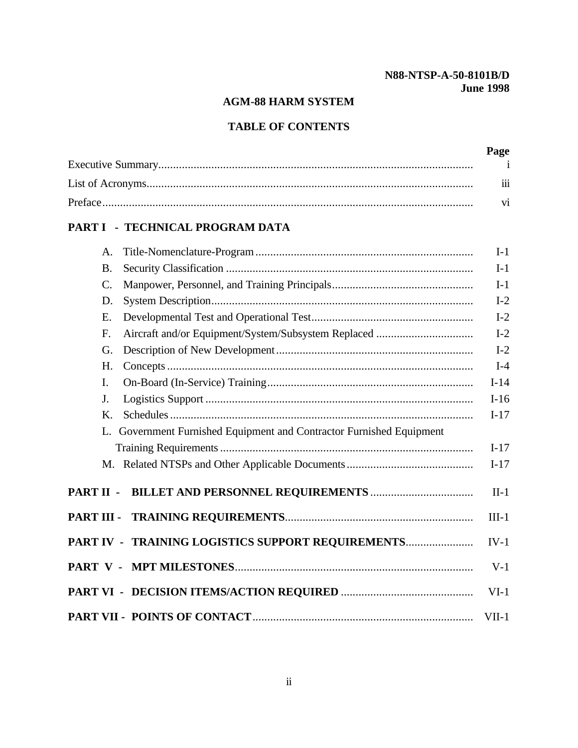# **AGM-88 HARM SYSTEM**

# **TABLE OF CONTENTS**

| Page     |
|----------|
|          |
| $\cdots$ |
|          |

# **[PART I - TECHNICAL PROGRAM DATA](#page-7-0)**

| A.                                                                      | $I-1$   |
|-------------------------------------------------------------------------|---------|
| <b>B.</b>                                                               | $I-1$   |
| $\mathcal{C}$ .                                                         | $I-1$   |
| D.                                                                      | $I-2$   |
| Ε.                                                                      | $I-2$   |
| F.                                                                      | $I-2$   |
| G.                                                                      | $I-2$   |
| H.                                                                      | $I-4$   |
| I.                                                                      | $I-14$  |
| J.                                                                      | $I-16$  |
| Κ.                                                                      | $I-17$  |
| Government Furnished Equipment and Contractor Furnished Equipment<br>L. |         |
|                                                                         | $I-17$  |
|                                                                         | $I-17$  |
|                                                                         | $II-1$  |
| PART III -                                                              | $III-1$ |
| PART IV - TRAINING LOGISTICS SUPPORT REQUIREMENTS                       | $IV-1$  |
|                                                                         | $V-1$   |
|                                                                         | $VI-1$  |
|                                                                         | $VII-1$ |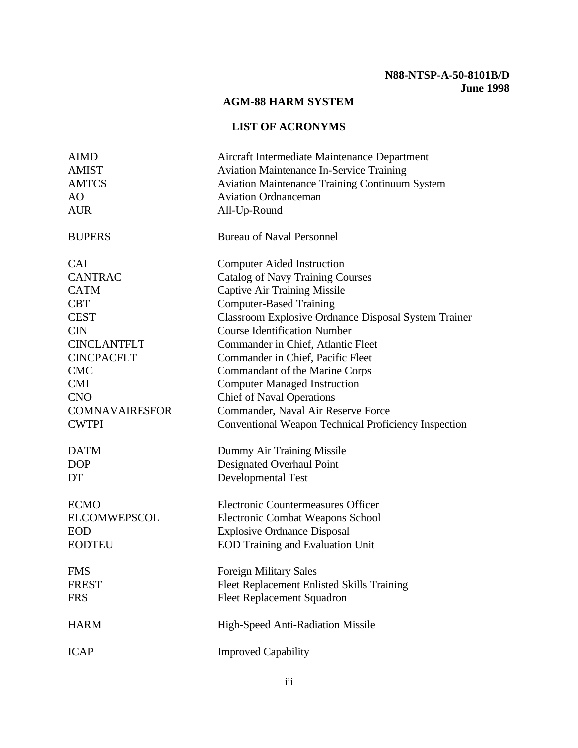# **AGM-88 HARM SYSTEM**

# **LIST OF ACRONYMS**

<span id="page-3-0"></span>

| <b>AIMD</b>           | Aircraft Intermediate Maintenance Department                |
|-----------------------|-------------------------------------------------------------|
| <b>AMIST</b>          | <b>Aviation Maintenance In-Service Training</b>             |
| <b>AMTCS</b>          | <b>Aviation Maintenance Training Continuum System</b>       |
| AO                    | <b>Aviation Ordnanceman</b>                                 |
| <b>AUR</b>            | All-Up-Round                                                |
| <b>BUPERS</b>         | <b>Bureau of Naval Personnel</b>                            |
| <b>CAI</b>            | <b>Computer Aided Instruction</b>                           |
| <b>CANTRAC</b>        | <b>Catalog of Navy Training Courses</b>                     |
| <b>CATM</b>           | <b>Captive Air Training Missile</b>                         |
| <b>CBT</b>            | <b>Computer-Based Training</b>                              |
| <b>CEST</b>           | <b>Classroom Explosive Ordnance Disposal System Trainer</b> |
| <b>CIN</b>            | <b>Course Identification Number</b>                         |
| <b>CINCLANTFLT</b>    | Commander in Chief, Atlantic Fleet                          |
| <b>CINCPACFLT</b>     | Commander in Chief, Pacific Fleet                           |
| <b>CMC</b>            | Commandant of the Marine Corps                              |
| <b>CMI</b>            | <b>Computer Managed Instruction</b>                         |
| <b>CNO</b>            | <b>Chief of Naval Operations</b>                            |
| <b>COMNAVAIRESFOR</b> | Commander, Naval Air Reserve Force                          |
| <b>CWTPI</b>          | Conventional Weapon Technical Proficiency Inspection        |
| <b>DATM</b>           | Dummy Air Training Missile                                  |
| <b>DOP</b>            | Designated Overhaul Point                                   |
| DT                    | Developmental Test                                          |
| <b>ECMO</b>           | Electronic Countermeasures Officer                          |
| <b>ELCOMWEPSCOL</b>   | <b>Electronic Combat Weapons School</b>                     |
| <b>EOD</b>            | <b>Explosive Ordnance Disposal</b>                          |
| <b>EODTEU</b>         | <b>EOD Training and Evaluation Unit</b>                     |
| <b>FMS</b>            | <b>Foreign Military Sales</b>                               |
| <b>FREST</b>          | Fleet Replacement Enlisted Skills Training                  |
| <b>FRS</b>            | <b>Fleet Replacement Squadron</b>                           |
| <b>HARM</b>           | High-Speed Anti-Radiation Missile                           |
| <b>ICAP</b>           | <b>Improved Capability</b>                                  |
|                       |                                                             |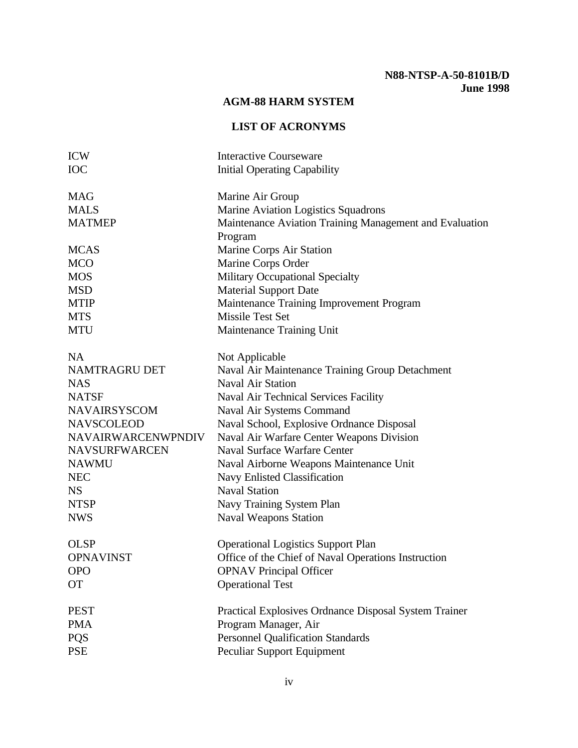# **AGM-88 HARM SYSTEM**

# **LIST OF ACRONYMS**

| <b>ICW</b>                | <b>Interactive Courseware</b>                           |
|---------------------------|---------------------------------------------------------|
| <b>IOC</b>                | <b>Initial Operating Capability</b>                     |
| <b>MAG</b>                | Marine Air Group                                        |
| <b>MALS</b>               | Marine Aviation Logistics Squadrons                     |
| <b>MATMEP</b>             | Maintenance Aviation Training Management and Evaluation |
|                           | Program                                                 |
| <b>MCAS</b>               | Marine Corps Air Station                                |
| <b>MCO</b>                | Marine Corps Order                                      |
| <b>MOS</b>                | <b>Military Occupational Specialty</b>                  |
| <b>MSD</b>                | <b>Material Support Date</b>                            |
| <b>MTIP</b>               | Maintenance Training Improvement Program                |
| <b>MTS</b>                | <b>Missile Test Set</b>                                 |
| <b>MTU</b>                | Maintenance Training Unit                               |
| <b>NA</b>                 | Not Applicable                                          |
| NAMTRAGRU DET             | Naval Air Maintenance Training Group Detachment         |
| <b>NAS</b>                | <b>Naval Air Station</b>                                |
| <b>NATSF</b>              | Naval Air Technical Services Facility                   |
| <b>NAVAIRSYSCOM</b>       | Naval Air Systems Command                               |
| <b>NAVSCOLEOD</b>         | Naval School, Explosive Ordnance Disposal               |
| <b>NAVAIRWARCENWPNDIV</b> | Naval Air Warfare Center Weapons Division               |
| <b>NAVSURFWARCEN</b>      | <b>Naval Surface Warfare Center</b>                     |
| <b>NAWMU</b>              | Naval Airborne Weapons Maintenance Unit                 |
| <b>NEC</b>                | Navy Enlisted Classification                            |
| <b>NS</b>                 | <b>Naval Station</b>                                    |
| <b>NTSP</b>               | Navy Training System Plan                               |
| <b>NWS</b>                | <b>Naval Weapons Station</b>                            |
| <b>OLSP</b>               | <b>Operational Logistics Support Plan</b>               |
| <b>OPNAVINST</b>          | Office of the Chief of Naval Operations Instruction     |
| <b>OPO</b>                | <b>OPNAV Principal Officer</b>                          |
| <b>OT</b>                 | <b>Operational Test</b>                                 |
|                           |                                                         |
| <b>PEST</b>               | Practical Explosives Ordnance Disposal System Trainer   |
| <b>PMA</b>                | Program Manager, Air                                    |
| <b>PQS</b>                | <b>Personnel Qualification Standards</b>                |
| <b>PSE</b>                | Peculiar Support Equipment                              |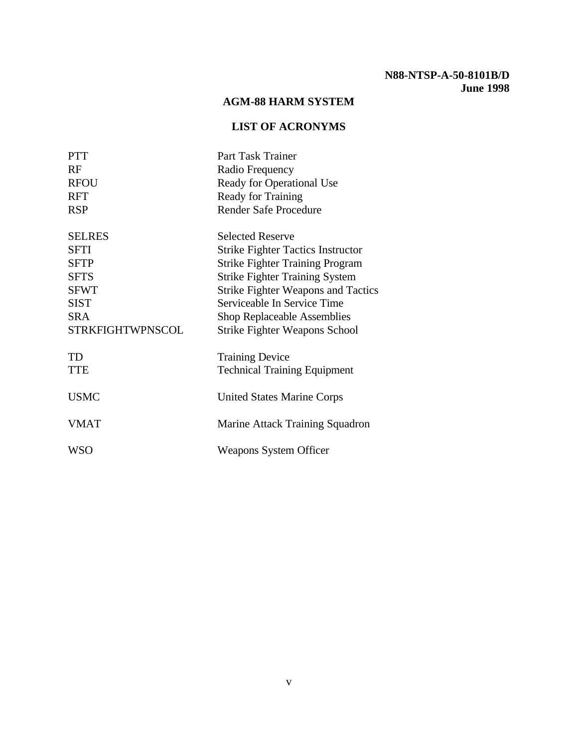## **AGM-88 HARM SYSTEM**

# **LIST OF ACRONYMS**

| <b>PTT</b>              | Part Task Trainer                         |
|-------------------------|-------------------------------------------|
| RF                      | Radio Frequency                           |
| <b>RFOU</b>             | Ready for Operational Use                 |
| <b>RFT</b>              | Ready for Training                        |
| <b>RSP</b>              | <b>Render Safe Procedure</b>              |
| <b>SELRES</b>           | <b>Selected Reserve</b>                   |
| <b>SFTI</b>             | <b>Strike Fighter Tactics Instructor</b>  |
| <b>SFTP</b>             | <b>Strike Fighter Training Program</b>    |
| <b>SFTS</b>             | <b>Strike Fighter Training System</b>     |
| <b>SFWT</b>             | <b>Strike Fighter Weapons and Tactics</b> |
| <b>SIST</b>             | Serviceable In Service Time               |
| <b>SRA</b>              | <b>Shop Replaceable Assemblies</b>        |
| <b>STRKFIGHTWPNSCOL</b> | <b>Strike Fighter Weapons School</b>      |
| TD                      | <b>Training Device</b>                    |
| <b>TTE</b>              | <b>Technical Training Equipment</b>       |
| <b>USMC</b>             | <b>United States Marine Corps</b>         |
| VMAT                    | Marine Attack Training Squadron           |
| <b>WSO</b>              | <b>Weapons System Officer</b>             |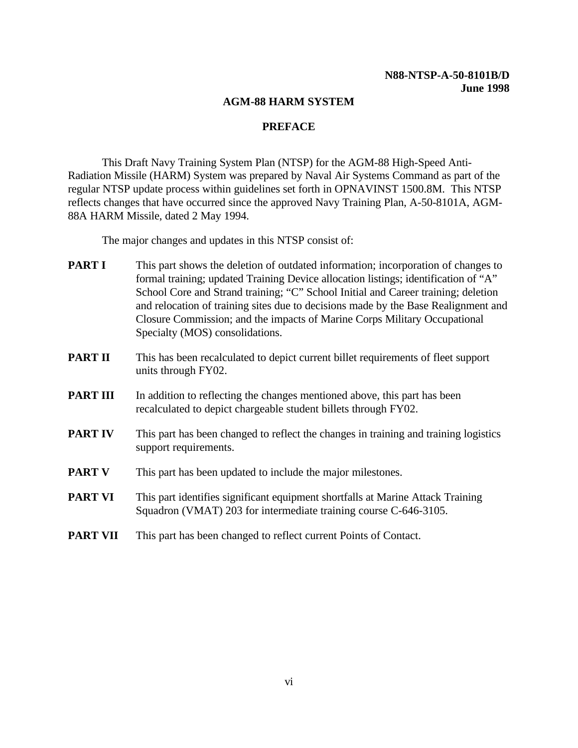#### **AGM-88 HARM SYSTEM**

#### **PREFACE**

<span id="page-6-0"></span>This Draft Navy Training System Plan (NTSP) for the AGM-88 High-Speed Anti-Radiation Missile (HARM) System was prepared by Naval Air Systems Command as part of the regular NTSP update process within guidelines set forth in OPNAVINST 1500.8M. This NTSP reflects changes that have occurred since the approved Navy Training Plan, A-50-8101A, AGM-88A HARM Missile, dated 2 May 1994.

The major changes and updates in this NTSP consist of:

- **PART I** This part shows the deletion of outdated information; incorporation of changes to formal training; updated Training Device allocation listings; identification of "A" School Core and Strand training; "C" School Initial and Career training; deletion and relocation of training sites due to decisions made by the Base Realignment and Closure Commission; and the impacts of Marine Corps Military Occupational Specialty (MOS) consolidations.
- **PART II** This has been recalculated to depict current billet requirements of fleet support units through FY02.
- **PART III** In addition to reflecting the changes mentioned above, this part has been recalculated to depict chargeable student billets through FY02.
- **PART IV** This part has been changed to reflect the changes in training and training logistics support requirements.
- **PART V** This part has been updated to include the major milestones.
- **PART VI** This part identifies significant equipment shortfalls at Marine Attack Training Squadron (VMAT) 203 for intermediate training course C-646-3105.
- **PART VII** This part has been changed to reflect current Points of Contact.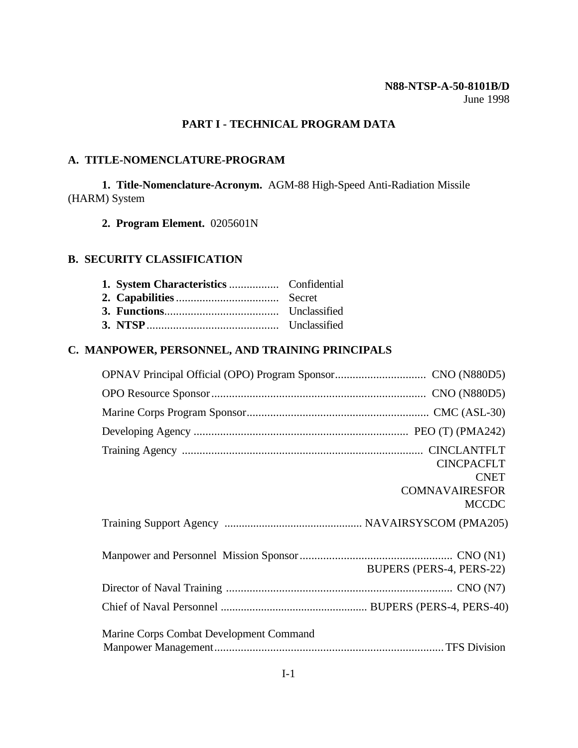## **PART I - TECHNICAL PROGRAM DATA**

# <span id="page-7-0"></span>**A. TITLE-NOMENCLATURE-PROGRAM**

**1. Title-Nomenclature-Acronym.** AGM-88 High-Speed Anti-Radiation Missile (HARM) System

**2. Program Element.** 0205601N

#### **B. SECURITY CLASSIFICATION**

# **C. MANPOWER, PERSONNEL, AND TRAINING PRINCIPALS**

|                                         | <b>CINCPACFLT</b><br><b>CNET</b><br><b>COMNAVAIRESFOR</b><br><b>MCCDC</b> |
|-----------------------------------------|---------------------------------------------------------------------------|
|                                         |                                                                           |
|                                         | BUPERS (PERS-4, PERS-22)                                                  |
|                                         |                                                                           |
|                                         |                                                                           |
| Marine Corps Combat Development Command |                                                                           |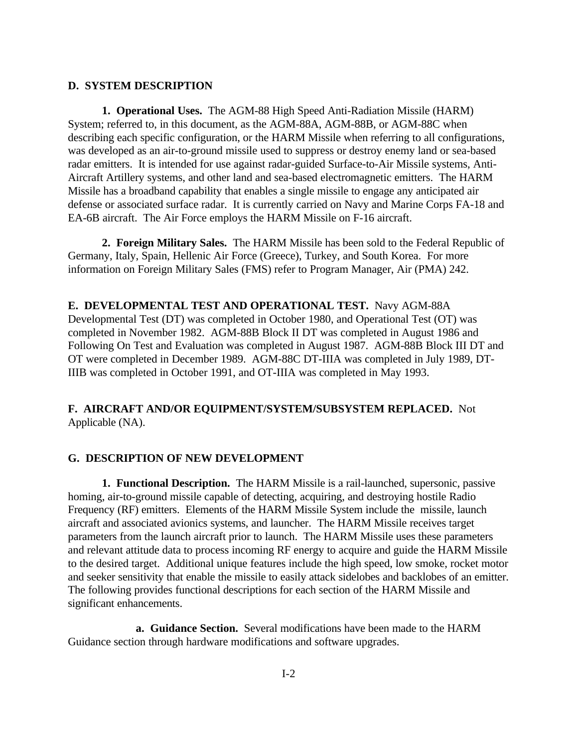#### <span id="page-8-0"></span>**D. SYSTEM DESCRIPTION**

**1. Operational Uses.** The AGM-88 High Speed Anti-Radiation Missile (HARM) System; referred to, in this document, as the AGM-88A, AGM-88B, or AGM-88C when describing each specific configuration, or the HARM Missile when referring to all configurations, was developed as an air-to-ground missile used to suppress or destroy enemy land or sea-based radar emitters. It is intended for use against radar-guided Surface-to-Air Missile systems, Anti-Aircraft Artillery systems, and other land and sea-based electromagnetic emitters. The HARM Missile has a broadband capability that enables a single missile to engage any anticipated air defense or associated surface radar. It is currently carried on Navy and Marine Corps FA-18 and EA-6B aircraft. The Air Force employs the HARM Missile on F-16 aircraft.

**2. Foreign Military Sales.** The HARM Missile has been sold to the Federal Republic of Germany, Italy, Spain, Hellenic Air Force (Greece), Turkey, and South Korea. For more information on Foreign Military Sales (FMS) refer to Program Manager, Air (PMA) 242.

<span id="page-8-1"></span>**E. DEVELOPMENTAL TEST AND OPERATIONAL TEST.** Navy AGM-88A Developmental Test (DT) was completed in October 1980, and Operational Test (OT) was completed in November 1982. AGM-88B Block II DT was completed in August 1986 and Following On Test and Evaluation was completed in August 1987. AGM-88B Block III DT and OT were completed in December 1989. AGM-88C DT-IIIA was completed in July 1989, DT-IIIB was completed in October 1991, and OT-IIIA was completed in May 1993.

## **F. AIRCRAFT AND/OR EQUIPMENT/SYSTEM/SUBSYSTEM REPLACED.** Not Applicable (NA).

#### **G. DESCRIPTION OF NEW DEVELOPMENT**

**1. Functional Description.** The HARM Missile is a rail-launched, supersonic, passive homing, air-to-ground missile capable of detecting, acquiring, and destroying hostile Radio Frequency (RF) emitters. Elements of the HARM Missile System include the missile, launch aircraft and associated avionics systems, and launcher. The HARM Missile receives target parameters from the launch aircraft prior to launch. The HARM Missile uses these parameters and relevant attitude data to process incoming RF energy to acquire and guide the HARM Missile to the desired target. Additional unique features include the high speed, low smoke, rocket motor and seeker sensitivity that enable the missile to easily attack sidelobes and backlobes of an emitter. The following provides functional descriptions for each section of the HARM Missile and significant enhancements.

**a. Guidance Section.** Several modifications have been made to the HARM Guidance section through hardware modifications and software upgrades.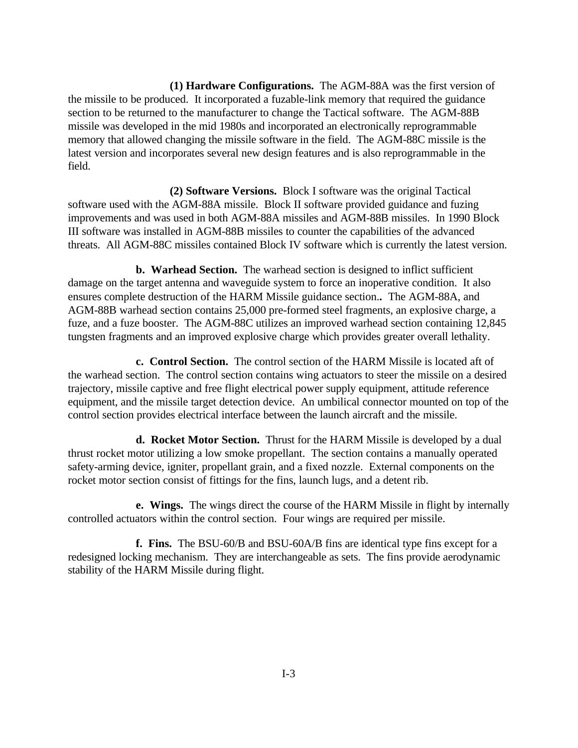**(1) Hardware Configurations.** The AGM-88A was the first version of the missile to be produced. It incorporated a fuzable-link memory that required the guidance section to be returned to the manufacturer to change the Tactical software. The AGM-88B missile was developed in the mid 1980s and incorporated an electronically reprogrammable memory that allowed changing the missile software in the field. The AGM-88C missile is the latest version and incorporates several new design features and is also reprogrammable in the field.

**(2) Software Versions.** Block I software was the original Tactical software used with the AGM-88A missile. Block II software provided guidance and fuzing improvements and was used in both AGM-88A missiles and AGM-88B missiles. In 1990 Block III software was installed in AGM-88B missiles to counter the capabilities of the advanced threats. All AGM-88C missiles contained Block IV software which is currently the latest version.

**b. Warhead Section.** The warhead section is designed to inflict sufficient damage on the target antenna and waveguide system to force an inoperative condition. It also ensures complete destruction of the HARM Missile guidance section.**.** The AGM-88A, and AGM-88B warhead section contains 25,000 pre-formed steel fragments, an explosive charge, a fuze, and a fuze booster. The AGM-88C utilizes an improved warhead section containing 12,845 tungsten fragments and an improved explosive charge which provides greater overall lethality.

**c. Control Section.** The control section of the HARM Missile is located aft of the warhead section. The control section contains wing actuators to steer the missile on a desired trajectory, missile captive and free flight electrical power supply equipment, attitude reference equipment, and the missile target detection device. An umbilical connector mounted on top of the control section provides electrical interface between the launch aircraft and the missile.

**d. Rocket Motor Section.** Thrust for the HARM Missile is developed by a dual thrust rocket motor utilizing a low smoke propellant. The section contains a manually operated safety-arming device, igniter, propellant grain, and a fixed nozzle. External components on the rocket motor section consist of fittings for the fins, launch lugs, and a detent rib.

**e. Wings.** The wings direct the course of the HARM Missile in flight by internally controlled actuators within the control section. Four wings are required per missile.

**f. Fins.** The BSU-60/B and BSU-60A/B fins are identical type fins except for a redesigned locking mechanism. They are interchangeable as sets. The fins provide aerodynamic stability of the HARM Missile during flight.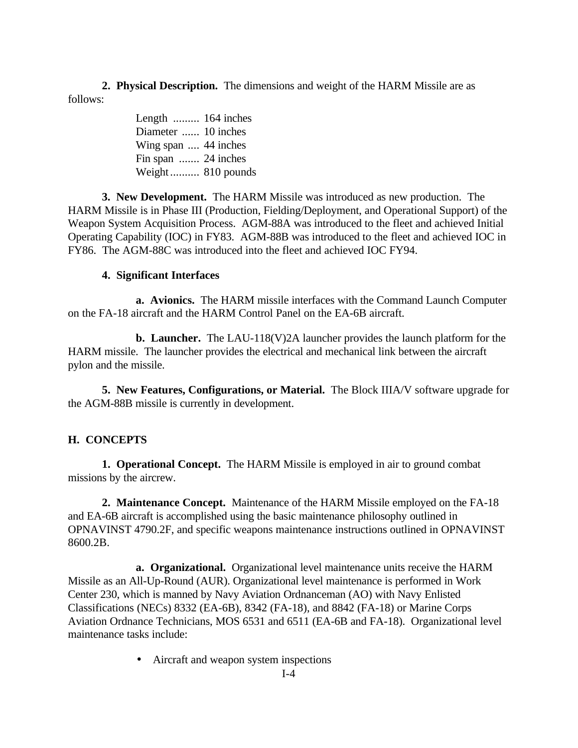**2. Physical Description.** The dimensions and weight of the HARM Missile are as follows:

> Length ......... 164 inches Diameter ...... 10 inches Wing span .... 44 inches Fin span ....... 24 inches Weight.......... 810 pounds

**3. New Development.** The HARM Missile was introduced as new production. The HARM Missile is in Phase III (Production, Fielding/Deployment, and Operational Support) of the Weapon System Acquisition Process. AGM-88A was introduced to the fleet and achieved Initial Operating Capability (IOC) in FY83. AGM-88B was introduced to the fleet and achieved IOC in FY86. The AGM-88C was introduced into the fleet and achieved IOC FY94.

## **4. Significant Interfaces**

<span id="page-10-0"></span>**a. Avionics.** The HARM missile interfaces with the Command Launch Computer on the FA-18 aircraft and the HARM Control Panel on the EA-6B aircraft.

**b. Launcher.** The LAU-118(V)2A launcher provides the launch platform for the HARM missile. The launcher provides the electrical and mechanical link between the aircraft pylon and the missile.

**5. New Features, Configurations, or Material.** The Block IIIA/V software upgrade for the AGM-88B missile is currently in development.

## **H. CONCEPTS**

**1. Operational Concept.** The HARM Missile is employed in air to ground combat missions by the aircrew.

**2. Maintenance Concept.** Maintenance of the HARM Missile employed on the FA-18 and EA-6B aircraft is accomplished using the basic maintenance philosophy outlined in OPNAVINST 4790.2F, and specific weapons maintenance instructions outlined in OPNAVINST 8600.2B.

**a. Organizational.** Organizational level maintenance units receive the HARM Missile as an All-Up-Round (AUR). Organizational level maintenance is performed in Work Center 230, which is manned by Navy Aviation Ordnanceman (AO) with Navy Enlisted Classifications (NECs) 8332 (EA-6B), 8342 (FA-18), and 8842 (FA-18) or Marine Corps Aviation Ordnance Technicians, MOS 6531 and 6511 (EA-6B and FA-18). Organizational level maintenance tasks include:

• Aircraft and weapon system inspections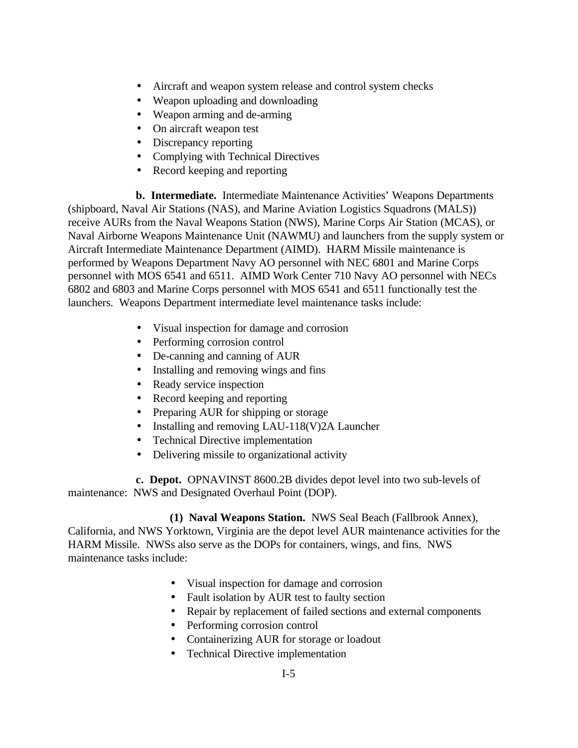- Aircraft and weapon system release and control system checks
- Weapon uploading and downloading
- Weapon arming and de-arming
- On aircraft weapon test
- Discrepancy reporting
- Complying with Technical Directives
- Record keeping and reporting

**b. Intermediate.** Intermediate Maintenance Activities' Weapons Departments (shipboard, Naval Air Stations (NAS), and Marine Aviation Logistics Squadrons (MALS)) receive AURs from the Naval Weapons Station (NWS), Marine Corps Air Station (MCAS), or Naval Airborne Weapons Maintenance Unit (NAWMU) and launchers from the supply system or Aircraft Intermediate Maintenance Department (AIMD). HARM Missile maintenance is performed by Weapons Department Navy AO personnel with NEC 6801 and Marine Corps personnel with MOS 6541 and 6511. AIMD Work Center 710 Navy AO personnel with NECs 6802 and 6803 and Marine Corps personnel with MOS 6541 and 6511 functionally test the launchers. Weapons Department intermediate level maintenance tasks include:

- Visual inspection for damage and corrosion
- Performing corrosion control
- De-canning and canning of AUR
- Installing and removing wings and fins
- Ready service inspection
- Record keeping and reporting
- Preparing AUR for shipping or storage
- Installing and removing LAU-118(V)2A Launcher
- Technical Directive implementation
- Delivering missile to organizational activity

**c. Depot.** OPNAVINST 8600.2B divides depot level into two sub-levels of maintenance: NWS and Designated Overhaul Point (DOP).

# **(1) Naval Weapons Station.** NWS Seal Beach (Fallbrook Annex),

California, and NWS Yorktown, Virginia are the depot level AUR maintenance activities for the HARM Missile. NWSs also serve as the DOPs for containers, wings, and fins. NWS maintenance tasks include:

- Visual inspection for damage and corrosion
- Fault isolation by AUR test to faulty section
- Repair by replacement of failed sections and external components
- Performing corrosion control
- Containerizing AUR for storage or loadout
- Technical Directive implementation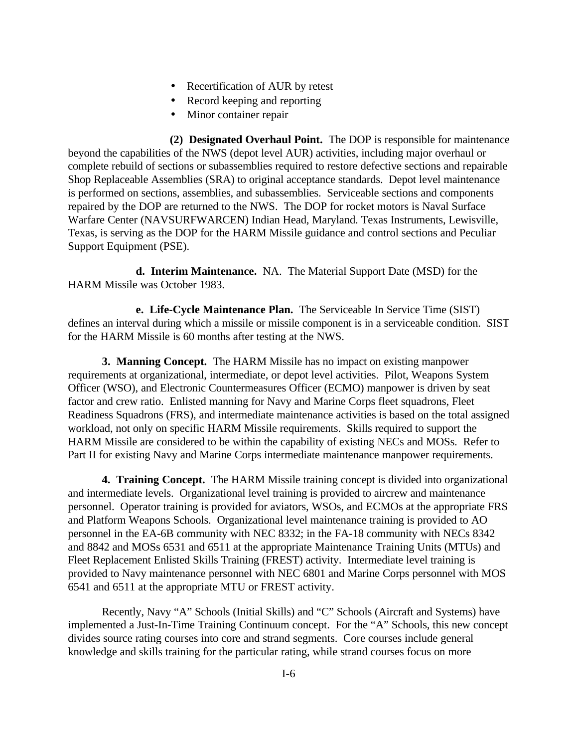- Recertification of AUR by retest
- Record keeping and reporting
- Minor container repair

**(2) Designated Overhaul Point.** The DOP is responsible for maintenance beyond the capabilities of the NWS (depot level AUR) activities, including major overhaul or complete rebuild of sections or subassemblies required to restore defective sections and repairable Shop Replaceable Assemblies (SRA) to original acceptance standards. Depot level maintenance is performed on sections, assemblies, and subassemblies. Serviceable sections and components repaired by the DOP are returned to the NWS. The DOP for rocket motors is Naval Surface Warfare Center (NAVSURFWARCEN) Indian Head, Maryland. Texas Instruments, Lewisville, Texas, is serving as the DOP for the HARM Missile guidance and control sections and Peculiar Support Equipment (PSE).

**d. Interim Maintenance.** NA. The Material Support Date (MSD) for the HARM Missile was October 1983.

**e. Life-Cycle Maintenance Plan.** The Serviceable In Service Time (SIST) defines an interval during which a missile or missile component is in a serviceable condition. SIST for the HARM Missile is 60 months after testing at the NWS.

**3. Manning Concept.** The HARM Missile has no impact on existing manpower requirements at organizational, intermediate, or depot level activities. Pilot, Weapons System Officer (WSO), and Electronic Countermeasures Officer (ECMO) manpower is driven by seat factor and crew ratio. Enlisted manning for Navy and Marine Corps fleet squadrons, Fleet Readiness Squadrons (FRS), and intermediate maintenance activities is based on the total assigned workload, not only on specific HARM Missile requirements. Skills required to support the HARM Missile are considered to be within the capability of existing NECs and MOSs. Refer to Part II for existing Navy and Marine Corps intermediate maintenance manpower requirements.

**4. Training Concept.** The HARM Missile training concept is divided into organizational and intermediate levels. Organizational level training is provided to aircrew and maintenance personnel. Operator training is provided for aviators, WSOs, and ECMOs at the appropriate FRS and Platform Weapons Schools. Organizational level maintenance training is provided to AO personnel in the EA-6B community with NEC 8332; in the FA-18 community with NECs 8342 and 8842 and MOSs 6531 and 6511 at the appropriate Maintenance Training Units (MTUs) and Fleet Replacement Enlisted Skills Training (FREST) activity. Intermediate level training is provided to Navy maintenance personnel with NEC 6801 and Marine Corps personnel with MOS 6541 and 6511 at the appropriate MTU or FREST activity.

Recently, Navy "A" Schools (Initial Skills) and "C" Schools (Aircraft and Systems) have implemented a Just-In-Time Training Continuum concept. For the "A" Schools, this new concept divides source rating courses into core and strand segments. Core courses include general knowledge and skills training for the particular rating, while strand courses focus on more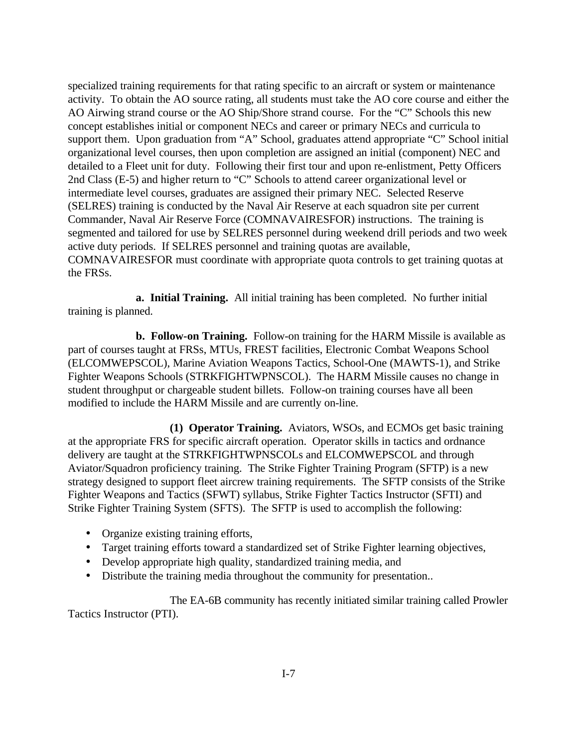specialized training requirements for that rating specific to an aircraft or system or maintenance activity. To obtain the AO source rating, all students must take the AO core course and either the AO Airwing strand course or the AO Ship/Shore strand course. For the "C" Schools this new concept establishes initial or component NECs and career or primary NECs and curricula to support them. Upon graduation from "A" School, graduates attend appropriate "C" School initial organizational level courses, then upon completion are assigned an initial (component) NEC and detailed to a Fleet unit for duty. Following their first tour and upon re-enlistment, Petty Officers 2nd Class (E-5) and higher return to "C" Schools to attend career organizational level or intermediate level courses, graduates are assigned their primary NEC. Selected Reserve (SELRES) training is conducted by the Naval Air Reserve at each squadron site per current Commander, Naval Air Reserve Force (COMNAVAIRESFOR) instructions. The training is segmented and tailored for use by SELRES personnel during weekend drill periods and two week active duty periods. If SELRES personnel and training quotas are available, COMNAVAIRESFOR must coordinate with appropriate quota controls to get training quotas at the FRSs.

**a. Initial Training.** All initial training has been completed. No further initial training is planned.

**b. Follow-on Training.** Follow-on training for the HARM Missile is available as part of courses taught at FRSs, MTUs, FREST facilities, Electronic Combat Weapons School (ELCOMWEPSCOL), Marine Aviation Weapons Tactics, School-One (MAWTS-1), and Strike Fighter Weapons Schools (STRKFIGHTWPNSCOL). The HARM Missile causes no change in student throughput or chargeable student billets. Follow-on training courses have all been modified to include the HARM Missile and are currently on-line.

**(1) Operator Training.** Aviators, WSOs, and ECMOs get basic training at the appropriate FRS for specific aircraft operation. Operator skills in tactics and ordnance delivery are taught at the STRKFIGHTWPNSCOLs and ELCOMWEPSCOL and through Aviator/Squadron proficiency training. The Strike Fighter Training Program (SFTP) is a new strategy designed to support fleet aircrew training requirements. The SFTP consists of the Strike Fighter Weapons and Tactics (SFWT) syllabus, Strike Fighter Tactics Instructor (SFTI) and Strike Fighter Training System (SFTS). The SFTP is used to accomplish the following:

- Organize existing training efforts,
- Target training efforts toward a standardized set of Strike Fighter learning objectives,
- Develop appropriate high quality, standardized training media, and
- Distribute the training media throughout the community for presentation..

The EA-6B community has recently initiated similar training called Prowler Tactics Instructor (PTI).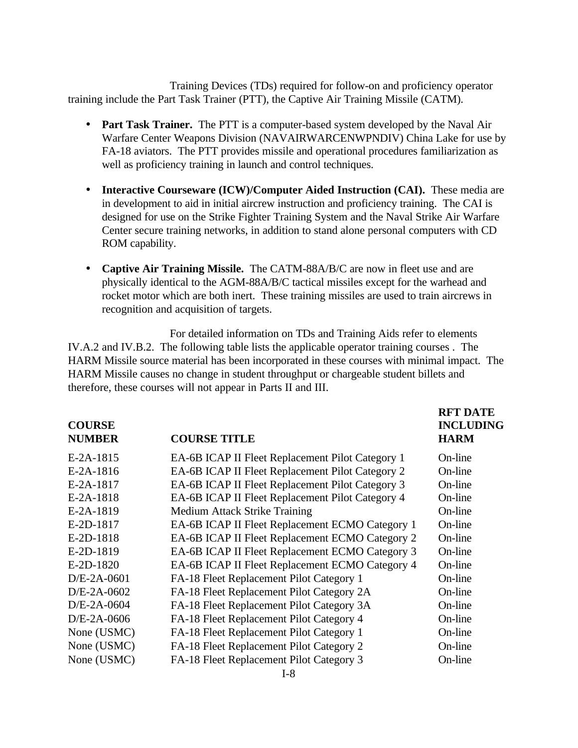Training Devices (TDs) required for follow-on and proficiency operator training include the Part Task Trainer (PTT), the Captive Air Training Missile (CATM).

- **Part Task Trainer.** The PTT is a computer-based system developed by the Naval Air Warfare Center Weapons Division (NAVAIRWARCENWPNDIV) China Lake for use by FA-18 aviators. The PTT provides missile and operational procedures familiarization as well as proficiency training in launch and control techniques.
- **Interactive Courseware (ICW)/Computer Aided Instruction (CAI).** These media are in development to aid in initial aircrew instruction and proficiency training. The CAI is designed for use on the Strike Fighter Training System and the Naval Strike Air Warfare Center secure training networks, in addition to stand alone personal computers with CD ROM capability.
- **Captive Air Training Missile.** The CATM-88A/B/C are now in fleet use and are physically identical to the AGM-88A/B/C tactical missiles except for the warhead and rocket motor which are both inert. These training missiles are used to train aircrews in recognition and acquisition of targets.

For detailed information on TDs and Training Aids refer to elements IV.A.2 and IV.B.2. The following table lists the applicable operator training courses . The HARM Missile source material has been incorporated in these courses with minimal impact. The HARM Missile causes no change in student throughput or chargeable student billets and therefore, these courses will not appear in Parts II and III.

**RFT DATE**

| <b>COURSE</b><br><b>NUMBER</b> | <b>COURSE TITLE</b>                              | <b>INCLUDING</b><br><b>HARM</b> |
|--------------------------------|--------------------------------------------------|---------------------------------|
| E-2A-1815                      | EA-6B ICAP II Fleet Replacement Pilot Category 1 | On-line                         |
| $E-2A-1816$                    | EA-6B ICAP II Fleet Replacement Pilot Category 2 | On-line                         |
| E-2A-1817                      | EA-6B ICAP II Fleet Replacement Pilot Category 3 | On-line                         |
| E-2A-1818                      | EA-6B ICAP II Fleet Replacement Pilot Category 4 | On-line                         |
| E-2A-1819                      | <b>Medium Attack Strike Training</b>             | On-line                         |
| E-2D-1817                      | EA-6B ICAP II Fleet Replacement ECMO Category 1  | On-line                         |
| E-2D-1818                      | EA-6B ICAP II Fleet Replacement ECMO Category 2  | On-line                         |
| E-2D-1819                      | EA-6B ICAP II Fleet Replacement ECMO Category 3  | On-line                         |
| E-2D-1820                      | EA-6B ICAP II Fleet Replacement ECMO Category 4  | On-line                         |
| $D/E-2A-0601$                  | FA-18 Fleet Replacement Pilot Category 1         | On-line                         |
| $D/E-2A-0602$                  | FA-18 Fleet Replacement Pilot Category 2A        | On-line                         |
| $D/E$ -2A-0604                 | FA-18 Fleet Replacement Pilot Category 3A        | On-line                         |
| $D/E-2A-0606$                  | FA-18 Fleet Replacement Pilot Category 4         | On-line                         |
| None (USMC)                    | FA-18 Fleet Replacement Pilot Category 1         | On-line                         |
| None (USMC)                    | FA-18 Fleet Replacement Pilot Category 2         | On-line                         |
| None (USMC)                    | FA-18 Fleet Replacement Pilot Category 3         | On-line                         |
|                                |                                                  |                                 |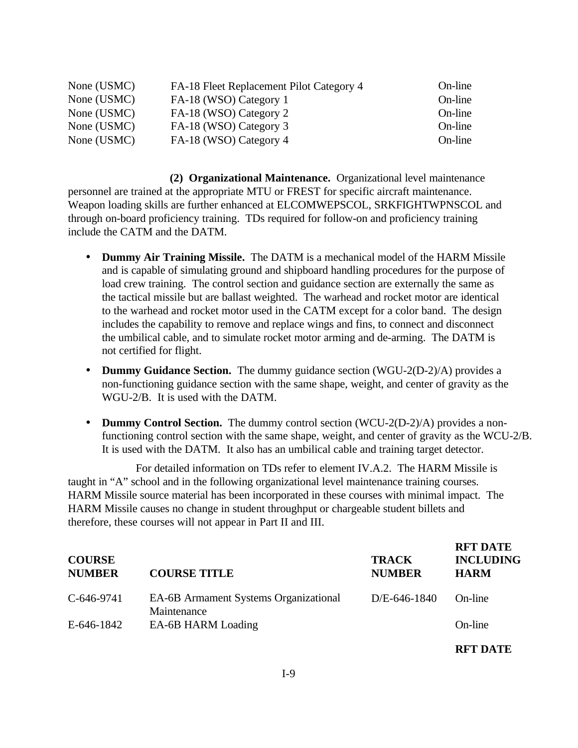| None (USMC) | FA-18 Fleet Replacement Pilot Category 4 | On-line |
|-------------|------------------------------------------|---------|
| None (USMC) | FA-18 (WSO) Category 1                   | On-line |
| None (USMC) | FA-18 (WSO) Category 2                   | On-line |
| None (USMC) | FA-18 (WSO) Category 3                   | On-line |
| None (USMC) | FA-18 (WSO) Category 4                   | On-line |

**(2) Organizational Maintenance.** Organizational level maintenance personnel are trained at the appropriate MTU or FREST for specific aircraft maintenance. Weapon loading skills are further enhanced at ELCOMWEPSCOL, SRKFIGHTWPNSCOL and through on-board proficiency training. TDs required for follow-on and proficiency training include the CATM and the DATM.

- **Dummy Air Training Missile.** The DATM is a mechanical model of the HARM Missile and is capable of simulating ground and shipboard handling procedures for the purpose of load crew training. The control section and guidance section are externally the same as the tactical missile but are ballast weighted. The warhead and rocket motor are identical to the warhead and rocket motor used in the CATM except for a color band. The design includes the capability to remove and replace wings and fins, to connect and disconnect the umbilical cable, and to simulate rocket motor arming and de-arming. The DATM is not certified for flight.
- **Dummy Guidance Section.** The dummy guidance section (WGU-2(D-2)/A) provides a non-functioning guidance section with the same shape, weight, and center of gravity as the WGU-2/B. It is used with the DATM.
- **Dummy Control Section.** The dummy control section (WCU-2(D-2)/A) provides a nonfunctioning control section with the same shape, weight, and center of gravity as the WCU-2/B. It is used with the DATM. It also has an umbilical cable and training target detector.

For detailed information on TDs refer to element IV.A.2. The HARM Missile is taught in "A" school and in the following organizational level maintenance training courses. HARM Missile source material has been incorporated in these courses with minimal impact. The HARM Missile causes no change in student throughput or chargeable student billets and therefore, these courses will not appear in Part II and III.

| <b>COURSE</b><br><b>NUMBER</b> | <b>COURSE TITLE</b>                                         | <b>TRACK</b><br><b>NUMBER</b> | <b>RFT DATE</b><br><b>INCLUDING</b><br><b>HARM</b> |
|--------------------------------|-------------------------------------------------------------|-------------------------------|----------------------------------------------------|
| C-646-9741                     | <b>EA-6B Armament Systems Organizational</b><br>Maintenance | $D/E - 646 - 1840$            | On-line                                            |
| E-646-1842                     | EA-6B HARM Loading                                          |                               | On-line                                            |
|                                |                                                             |                               | <b>RET DATE</b>                                    |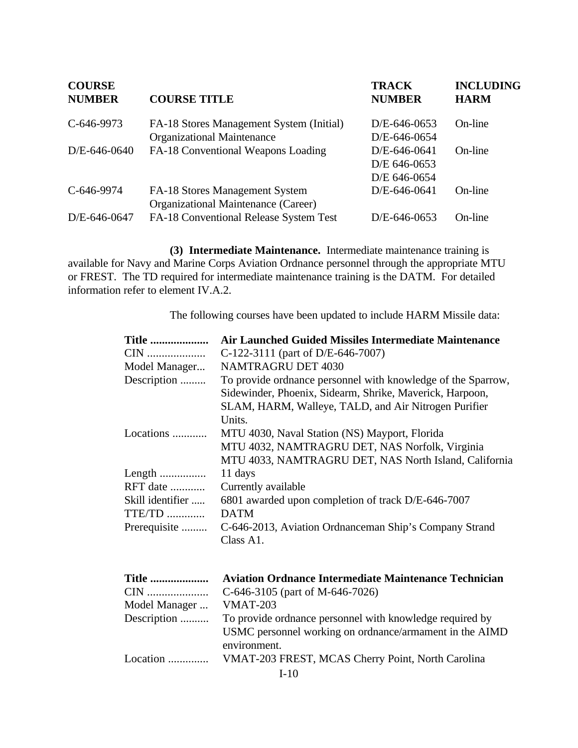| <b>COURSE</b><br><b>NUMBER</b> | <b>COURSE TITLE</b>                      | <b>TRACK</b><br><b>NUMBER</b> | <b>INCLUDING</b><br><b>HARM</b> |
|--------------------------------|------------------------------------------|-------------------------------|---------------------------------|
| C-646-9973                     | FA-18 Stores Management System (Initial) | $D/E - 646 - 0653$            | On-line                         |
|                                | <b>Organizational Maintenance</b>        | D/E-646-0654                  |                                 |
| $D/E - 646 - 0640$             | FA-18 Conventional Weapons Loading       | D/E-646-0641                  | On-line                         |
|                                |                                          | D/E 646-0653                  |                                 |
|                                |                                          | D/E 646-0654                  |                                 |
| C-646-9974                     | FA-18 Stores Management System           | D/E-646-0641                  | On-line                         |
|                                | Organizational Maintenance (Career)      |                               |                                 |
| D/E-646-0647                   | FA-18 Conventional Release System Test   | D/E-646-0653                  | On-line                         |

**(3) Intermediate Maintenance.** Intermediate maintenance training is available for Navy and Marine Corps Aviation Ordnance personnel through the appropriate MTU or FREST. The TD required for intermediate maintenance training is the DATM. For detailed information refer to element IV.A.2.

The following courses have been updated to include HARM Missile data:

| <b>Title </b>    | <b>Air Launched Guided Missiles Intermediate Maintenance</b> |
|------------------|--------------------------------------------------------------|
|                  | C-122-3111 (part of D/E-646-7007)                            |
| Model Manager    | <b>NAMTRAGRU DET 4030</b>                                    |
| Description      | To provide ordnance personnel with knowledge of the Sparrow, |
|                  | Sidewinder, Phoenix, Sidearm, Shrike, Maverick, Harpoon,     |
|                  | SLAM, HARM, Walleye, TALD, and Air Nitrogen Purifier         |
|                  | Units.                                                       |
| Locations        | MTU 4030, Naval Station (NS) Mayport, Florida                |
|                  | MTU 4032, NAMTRAGRU DET, NAS Norfolk, Virginia               |
|                  | MTU 4033, NAMTRAGRU DET, NAS North Island, California        |
|                  | 11 days                                                      |
| RFT date         | Currently available                                          |
| Skill identifier | 6801 awarded upon completion of track D/E-646-7007           |
| $TTE/TD$         | <b>DATM</b>                                                  |
| Prerequisite     | C-646-2013, Aviation Ordnanceman Ship's Company Strand       |
|                  | Class A1.                                                    |
|                  |                                                              |
|                  |                                                              |
| <b>Title </b>    | <b>Aviation Ordnance Intermediate Maintenance Technician</b> |
| CIN              | C-646-3105 (part of M-646-7026)                              |
| Model Manager    | <b>VMAT-203</b>                                              |
| Description      | To provide ordnance personnel with knowledge required by     |
|                  | USMC personnel working on ordnance/armament in the AIMD      |
|                  | environment.                                                 |
| Location         | VMAT-203 FREST, MCAS Cherry Point, North Carolina            |
|                  | $I-10$                                                       |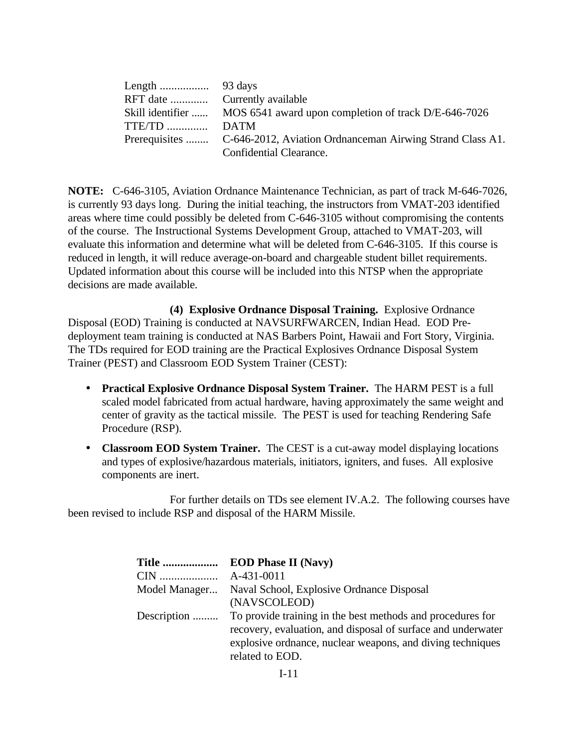| Skill identifier  MOS 6541 award upon completion of track D/E-646-7026   |
|--------------------------------------------------------------------------|
|                                                                          |
| Prerequisites  C-646-2012, Aviation Ordnanceman Airwing Strand Class A1. |
| Confidential Clearance.                                                  |

**NOTE:** C-646-3105, Aviation Ordnance Maintenance Technician, as part of track M-646-7026, is currently 93 days long. During the initial teaching, the instructors from VMAT-203 identified areas where time could possibly be deleted from C-646-3105 without compromising the contents of the course. The Instructional Systems Development Group, attached to VMAT-203, will evaluate this information and determine what will be deleted from C-646-3105. If this course is reduced in length, it will reduce average-on-board and chargeable student billet requirements. Updated information about this course will be included into this NTSP when the appropriate decisions are made available.

**(4) Explosive Ordnance Disposal Training.** Explosive Ordnance Disposal (EOD) Training is conducted at NAVSURFWARCEN, Indian Head. EOD Predeployment team training is conducted at NAS Barbers Point, Hawaii and Fort Story, Virginia. The TDs required for EOD training are the Practical Explosives Ordnance Disposal System Trainer (PEST) and Classroom EOD System Trainer (CEST):

- **Practical Explosive Ordnance Disposal System Trainer.** The HARM PEST is a full scaled model fabricated from actual hardware, having approximately the same weight and center of gravity as the tactical missile. The PEST is used for teaching Rendering Safe Procedure (RSP).
- **Classroom EOD System Trainer.** The CEST is a cut-away model displaying locations and types of explosive/hazardous materials, initiators, igniters, and fuses. All explosive components are inert.

For further details on TDs see element IV.A.2. The following courses have been revised to include RSP and disposal of the HARM Missile.

| <b>EOD Phase II (Navy)</b><br><b>Title </b>                                                                                |
|----------------------------------------------------------------------------------------------------------------------------|
| A-431-0011                                                                                                                 |
| Naval School, Explosive Ordnance Disposal                                                                                  |
| (NAVSCOLEOD)                                                                                                               |
| To provide training in the best methods and procedures for<br>recovery, evaluation, and disposal of surface and underwater |
| explosive ordinance, nuclear weapons, and diving techniques                                                                |
| related to EOD.                                                                                                            |
|                                                                                                                            |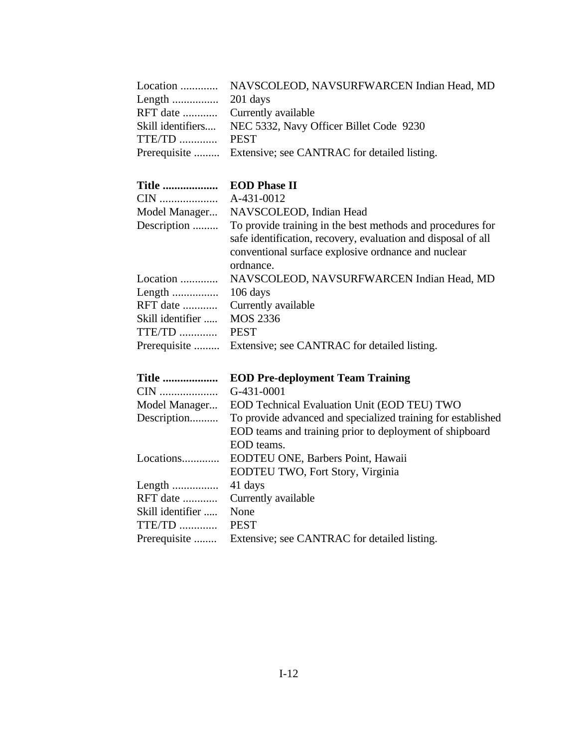|              | Location  NAVSCOLEOD, NAVSURFWARCEN Indian Head, MD        |
|--------------|------------------------------------------------------------|
|              |                                                            |
|              | RFT date  Currently available                              |
|              | Skill identifiers NEC 5332, Navy Officer Billet Code 9230  |
| TTE/TD  PEST |                                                            |
|              | Prerequisite  Extensive; see CANTRAC for detailed listing. |

# **Title ................... EOD Phase II**

| Model Manager    | NAVSCOLEOD, Indian Head                                                                                                                                                                          |
|------------------|--------------------------------------------------------------------------------------------------------------------------------------------------------------------------------------------------|
| Description      | To provide training in the best methods and procedures for<br>safe identification, recovery, evaluation and disposal of all<br>conventional surface explosive ordinance and nuclear<br>ordnance. |
| Location         | NAVSCOLEOD, NAVSURFWARCEN Indian Head, MD                                                                                                                                                        |
|                  | $106 \text{ days}$                                                                                                                                                                               |
| RFT date         | Currently available                                                                                                                                                                              |
| Skill identifier | MOS 2336                                                                                                                                                                                         |
| TTE/TD           | <b>PEST</b>                                                                                                                                                                                      |
|                  | Prerequisite  Extensive; see CANTRAC for detailed listing.                                                                                                                                       |

| Title            | <b>EOD Pre-deployment Team Training</b>                      |
|------------------|--------------------------------------------------------------|
| CIN              | G-431-0001                                                   |
| Model Manager    | EOD Technical Evaluation Unit (EOD TEU) TWO                  |
| Description      | To provide advanced and specialized training for established |
|                  | EOD teams and training prior to deployment of shipboard      |
|                  | EOD teams.                                                   |
| Locations        | EODTEU ONE, Barbers Point, Hawaii                            |
|                  | <b>EODTEU TWO, Fort Story, Virginia</b>                      |
|                  | 41 days                                                      |
| $RFT$ date       | Currently available                                          |
| Skill identifier | None                                                         |
| TTE/TD           | <b>PEST</b>                                                  |
| Prerequisite     | Extensive; see CANTRAC for detailed listing.                 |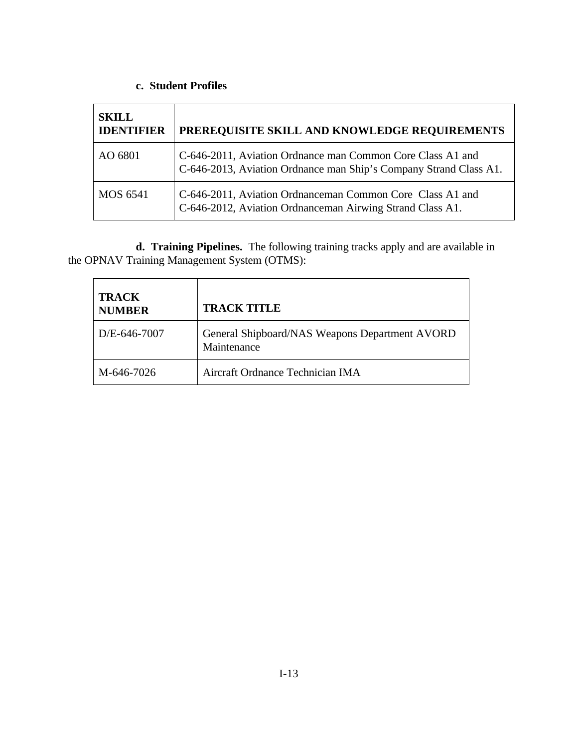# **c. Student Profiles**

| <b>SKILL</b><br><b>IDENTIFIER</b> | PREREQUISITE SKILL AND KNOWLEDGE REQUIREMENTS                                                                                   |
|-----------------------------------|---------------------------------------------------------------------------------------------------------------------------------|
| AO 6801                           | C-646-2011, Aviation Ordnance man Common Core Class A1 and<br>C-646-2013, Aviation Ordnance man Ship's Company Strand Class A1. |
| MOS 6541                          | C-646-2011, Aviation Ordnanceman Common Core Class A1 and<br>C-646-2012, Aviation Ordnanceman Airwing Strand Class A1.          |

**d. Training Pipelines.** The following training tracks apply and are available in the OPNAV Training Management System (OTMS):

| <b>TRACK</b><br><b>NUMBER</b> | <b>TRACK TITLE</b>                                            |
|-------------------------------|---------------------------------------------------------------|
| D/E-646-7007                  | General Shipboard/NAS Weapons Department AVORD<br>Maintenance |
| M-646-7026                    | Aircraft Ordnance Technician IMA                              |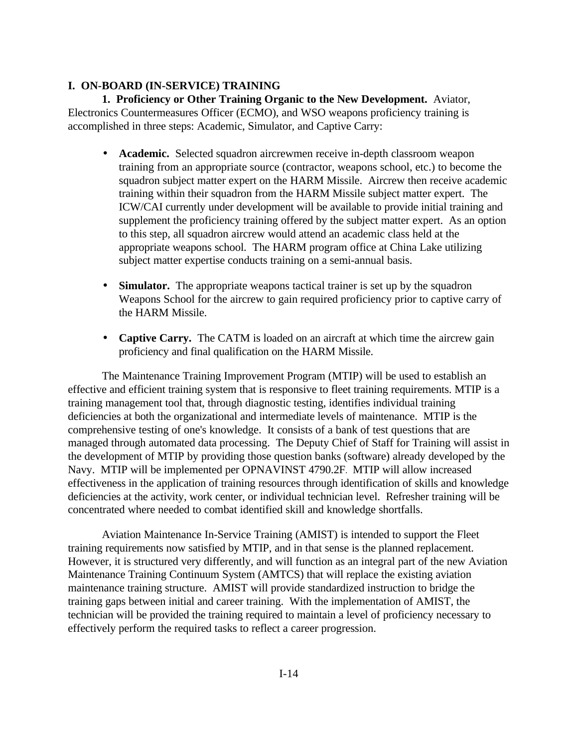## <span id="page-20-0"></span>**I. ON-BOARD (IN-SERVICE) TRAINING**

**1. Proficiency or Other Training Organic to the New Development.** Aviator, Electronics Countermeasures Officer (ECMO), and WSO weapons proficiency training is accomplished in three steps: Academic, Simulator, and Captive Carry:

- **Academic.** Selected squadron aircrewmen receive in-depth classroom weapon training from an appropriate source (contractor, weapons school, etc.) to become the squadron subject matter expert on the HARM Missile. Aircrew then receive academic training within their squadron from the HARM Missile subject matter expert. The ICW/CAI currently under development will be available to provide initial training and supplement the proficiency training offered by the subject matter expert. As an option to this step, all squadron aircrew would attend an academic class held at the appropriate weapons school. The HARM program office at China Lake utilizing subject matter expertise conducts training on a semi-annual basis.
- **Simulator.** The appropriate weapons tactical trainer is set up by the squadron Weapons School for the aircrew to gain required proficiency prior to captive carry of the HARM Missile.
- **Captive Carry.** The CATM is loaded on an aircraft at which time the aircrew gain proficiency and final qualification on the HARM Missile.

The Maintenance Training Improvement Program (MTIP) will be used to establish an effective and efficient training system that is responsive to fleet training requirements. MTIP is a training management tool that, through diagnostic testing, identifies individual training deficiencies at both the organizational and intermediate levels of maintenance. MTIP is the comprehensive testing of one's knowledge. It consists of a bank of test questions that are managed through automated data processing. The Deputy Chief of Staff for Training will assist in the development of MTIP by providing those question banks (software) already developed by the Navy. MTIP will be implemented per OPNAVINST 4790.2F. MTIP will allow increased effectiveness in the application of training resources through identification of skills and knowledge deficiencies at the activity, work center, or individual technician level. Refresher training will be concentrated where needed to combat identified skill and knowledge shortfalls.

Aviation Maintenance In-Service Training (AMIST) is intended to support the Fleet training requirements now satisfied by MTIP, and in that sense is the planned replacement. However, it is structured very differently, and will function as an integral part of the new Aviation Maintenance Training Continuum System (AMTCS) that will replace the existing aviation maintenance training structure. AMIST will provide standardized instruction to bridge the training gaps between initial and career training. With the implementation of AMIST, the technician will be provided the training required to maintain a level of proficiency necessary to effectively perform the required tasks to reflect a career progression.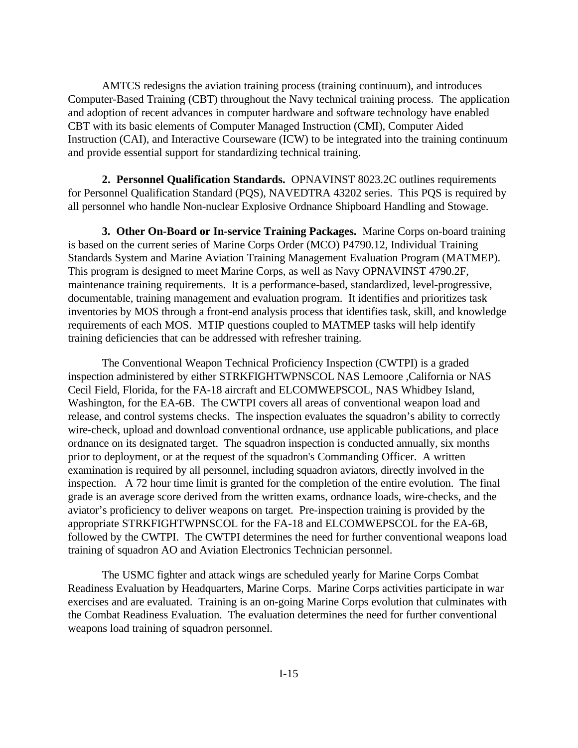AMTCS redesigns the aviation training process (training continuum), and introduces Computer-Based Training (CBT) throughout the Navy technical training process. The application and adoption of recent advances in computer hardware and software technology have enabled CBT with its basic elements of Computer Managed Instruction (CMI), Computer Aided Instruction (CAI), and Interactive Courseware (ICW) to be integrated into the training continuum and provide essential support for standardizing technical training.

**2. Personnel Qualification Standards.** OPNAVINST 8023.2C outlines requirements for Personnel Qualification Standard (PQS), NAVEDTRA 43202 series. This PQS is required by all personnel who handle Non-nuclear Explosive Ordnance Shipboard Handling and Stowage.

**3. Other On-Board or In-service Training Packages.** Marine Corps on-board training is based on the current series of Marine Corps Order (MCO) P4790.12, Individual Training Standards System and Marine Aviation Training Management Evaluation Program (MATMEP). This program is designed to meet Marine Corps, as well as Navy OPNAVINST 4790.2F, maintenance training requirements. It is a performance-based, standardized, level-progressive, documentable, training management and evaluation program. It identifies and prioritizes task inventories by MOS through a front-end analysis process that identifies task, skill, and knowledge requirements of each MOS. MTIP questions coupled to MATMEP tasks will help identify training deficiencies that can be addressed with refresher training.

The Conventional Weapon Technical Proficiency Inspection (CWTPI) is a graded inspection administered by either STRKFIGHTWPNSCOL NAS Lemoore ,California or NAS Cecil Field, Florida, for the FA-18 aircraft and ELCOMWEPSCOL, NAS Whidbey Island, Washington, for the EA-6B. The CWTPI covers all areas of conventional weapon load and release, and control systems checks. The inspection evaluates the squadron's ability to correctly wire-check, upload and download conventional ordnance, use applicable publications, and place ordnance on its designated target. The squadron inspection is conducted annually, six months prior to deployment, or at the request of the squadron's Commanding Officer. A written examination is required by all personnel, including squadron aviators, directly involved in the inspection. A 72 hour time limit is granted for the completion of the entire evolution. The final grade is an average score derived from the written exams, ordnance loads, wire-checks, and the aviator's proficiency to deliver weapons on target. Pre-inspection training is provided by the appropriate STRKFIGHTWPNSCOL for the FA-18 and ELCOMWEPSCOL for the EA-6B, followed by the CWTPI. The CWTPI determines the need for further conventional weapons load training of squadron AO and Aviation Electronics Technician personnel.

The USMC fighter and attack wings are scheduled yearly for Marine Corps Combat Readiness Evaluation by Headquarters, Marine Corps. Marine Corps activities participate in war exercises and are evaluated. Training is an on-going Marine Corps evolution that culminates with the Combat Readiness Evaluation. The evaluation determines the need for further conventional weapons load training of squadron personnel.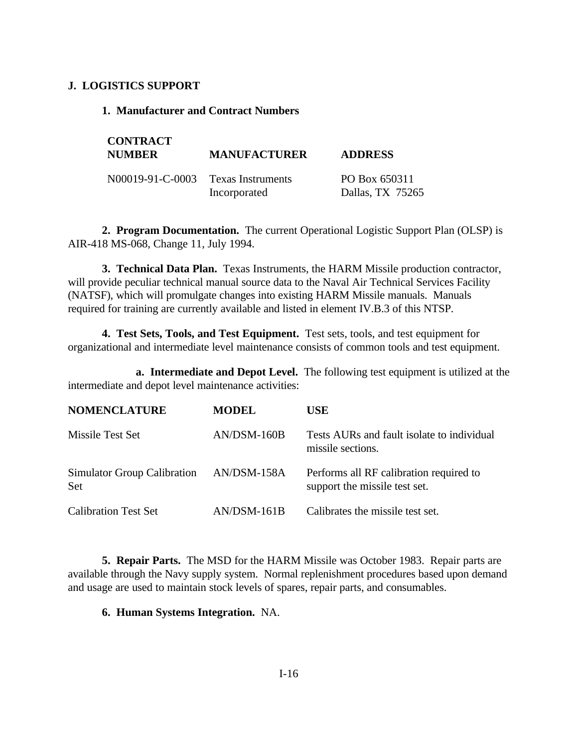## <span id="page-22-0"></span>**J. LOGISTICS SUPPORT**

## **1. Manufacturer and Contract Numbers**

| <b>CONTRACT</b><br><b>NUMBER</b>   | <b>MANUFACTURER</b> | <b>ADDRESS</b>                    |  |  |
|------------------------------------|---------------------|-----------------------------------|--|--|
| N00019-91-C-0003 Texas Instruments | Incorporated        | PO Box 650311<br>Dallas, TX 75265 |  |  |

**2. Program Documentation.** The current Operational Logistic Support Plan (OLSP) is AIR-418 MS-068, Change 11, July 1994.

**3. Technical Data Plan.** Texas Instruments, the HARM Missile production contractor, will provide peculiar technical manual source data to the Naval Air Technical Services Facility (NATSF), which will promulgate changes into existing HARM Missile manuals. Manuals required for training are currently available and listed in element IV.B.3 of this NTSP.

**4. Test Sets, Tools, and Test Equipment.** Test sets, tools, and test equipment for organizational and intermediate level maintenance consists of common tools and test equipment.

**a. Intermediate and Depot Level.** The following test equipment is utilized at the intermediate and depot level maintenance activities:

| <b>NOMENCLATURE</b>                       | <b>MODEL</b>  | <b>USE</b>                                                               |
|-------------------------------------------|---------------|--------------------------------------------------------------------------|
| Missile Test Set                          | $AN/DSM-160B$ | Tests AURs and fault isolate to individual<br>missile sections.          |
| Simulator Group Calibration<br><b>Set</b> | AN/DSM-158A   | Performs all RF calibration required to<br>support the missile test set. |
| <b>Calibration Test Set</b>               | $AN/DSM-161B$ | Calibrates the missile test set.                                         |

**5. Repair Parts.** The MSD for the HARM Missile was October 1983. Repair parts are available through the Navy supply system. Normal replenishment procedures based upon demand and usage are used to maintain stock levels of spares, repair parts, and consumables.

## **6. Human Systems Integration.** NA.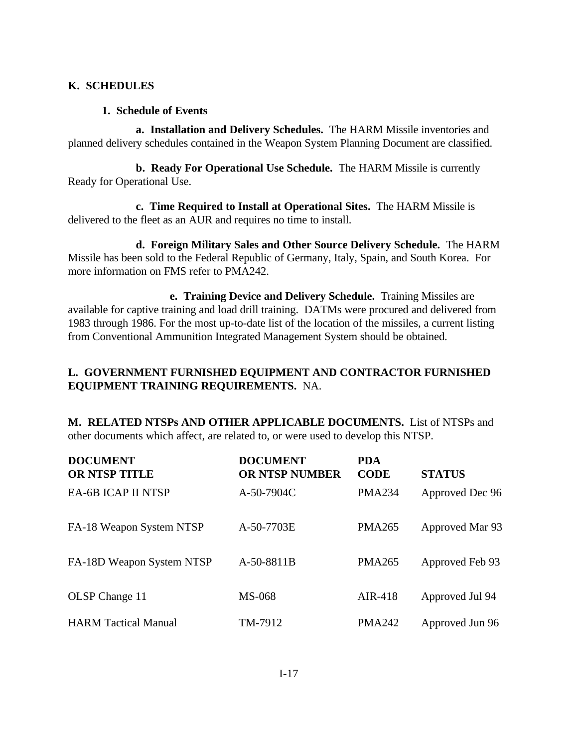## <span id="page-23-0"></span>**K. SCHEDULES**

## **1. Schedule of Events**

**a. Installation and Delivery Schedules.** The HARM Missile inventories and planned delivery schedules contained in the Weapon System Planning Document are classified.

**b. Ready For Operational Use Schedule.** The HARM Missile is currently Ready for Operational Use.

**c. Time Required to Install at Operational Sites.** The HARM Missile is delivered to the fleet as an AUR and requires no time to install.

**d. Foreign Military Sales and Other Source Delivery Schedule.** The HARM Missile has been sold to the Federal Republic of Germany, Italy, Spain, and South Korea. For more information on FMS refer to PMA242.

<span id="page-23-1"></span>**e. Training Device and Delivery Schedule.** Training Missiles are available for captive training and load drill training. DATMs were procured and delivered from 1983 through 1986. For the most up-to-date list of the location of the missiles, a current listing from Conventional Ammunition Integrated Management System should be obtained.

## **L. GOVERNMENT FURNISHED EQUIPMENT AND CONTRACTOR FURNISHED EQUIPMENT TRAINING REQUIREMENTS.** NA.

**M. RELATED NTSPs AND OTHER APPLICABLE DOCUMENTS.** List of NTSPs and other documents which affect, are related to, or were used to develop this NTSP.

| <b>DOCUMENT</b><br><b>OR NTSP TITLE</b> | <b>DOCUMENT</b><br><b>OR NTSP NUMBER</b> | <b>PDA</b><br><b>CODE</b> | <b>STATUS</b>   |
|-----------------------------------------|------------------------------------------|---------------------------|-----------------|
| <b>EA-6B ICAP II NTSP</b>               | A-50-7904C                               | <b>PMA234</b>             | Approved Dec 96 |
| FA-18 Weapon System NTSP                | A-50-7703E                               | <b>PMA265</b>             | Approved Mar 93 |
| FA-18D Weapon System NTSP               | A-50-8811B                               | <b>PMA265</b>             | Approved Feb 93 |
| OLSP Change 11                          | <b>MS-068</b>                            | AIR-418                   | Approved Jul 94 |
| <b>HARM</b> Tactical Manual             | TM-7912                                  | <b>PMA242</b>             | Approved Jun 96 |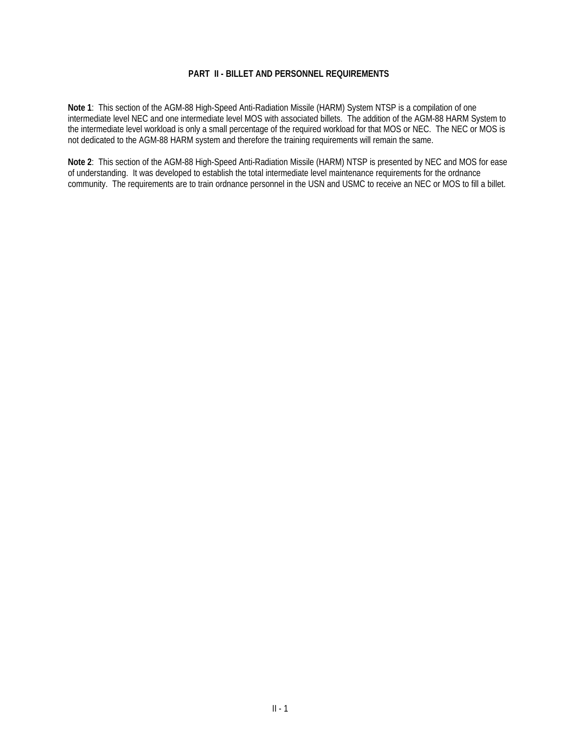#### **PART II - BILLET AND PERSONNEL REQUIREMENTS**

<span id="page-24-0"></span>**Note 1**: This section of the AGM-88 High-Speed Anti-Radiation Missile (HARM) System NTSP is a compilation of one intermediate level NEC and one intermediate level MOS with associated billets. The addition of the AGM-88 HARM System to the intermediate level workload is only a small percentage of the required workload for that MOS or NEC. The NEC or MOS is not dedicated to the AGM-88 HARM system and therefore the training requirements will remain the same.

**Note 2**: This section of the AGM-88 High-Speed Anti-Radiation Missile (HARM) NTSP is presented by NEC and MOS for ease of understanding. It was developed to establish the total intermediate level maintenance requirements for the ordnance community. The requirements are to train ordnance personnel in the USN and USMC to receive an NEC or MOS to fill a billet.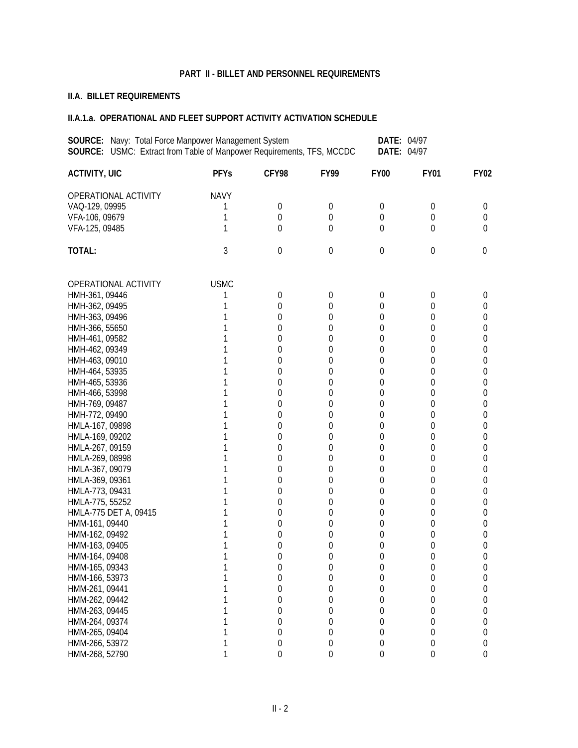#### **PART II - BILLET AND PERSONNEL REQUIREMENTS**

# **II.A. BILLET REQUIREMENTS**

| <b>SOURCE:</b> Navy: Total Force Manpower Management System<br><b>DATE: 04/97</b><br>SOURCE: USMC: Extract from Table of Manpower Requirements, TFS, MCCDC<br>DATE: 04/97 |             |                |                  |                     |                  |                  |
|---------------------------------------------------------------------------------------------------------------------------------------------------------------------------|-------------|----------------|------------------|---------------------|------------------|------------------|
| <b>ACTIVITY, UIC</b>                                                                                                                                                      | <b>PFYs</b> | CFY98          | <b>FY99</b>      | <b>FY00</b>         | <b>FY01</b>      | <b>FY02</b>      |
| OPERATIONAL ACTIVITY                                                                                                                                                      | <b>NAVY</b> |                |                  |                     |                  |                  |
| VAQ-129, 09995                                                                                                                                                            |             | 0              | 0                | 0                   | $\boldsymbol{0}$ | 0                |
| VFA-106, 09679                                                                                                                                                            | 1           | $\overline{0}$ | $\overline{0}$   | 0                   | $\overline{0}$   | 0                |
| VFA-125, 09485                                                                                                                                                            |             | $\theta$       | $\overline{0}$   | $\Omega$            | $\theta$         | 0                |
| TOTAL:                                                                                                                                                                    | 3           | $\mathbf 0$    | $\mathbf 0$      | $\boldsymbol{0}$    | 0                | 0                |
| OPERATIONAL ACTIVITY                                                                                                                                                      | <b>USMC</b> |                |                  |                     |                  |                  |
| HMH-361, 09446                                                                                                                                                            |             | $\mathbf 0$    | 0                | 0                   | 0                | 0                |
| HMH-362, 09495                                                                                                                                                            |             | $\overline{0}$ | $\overline{0}$   | 0                   | 0                | 0                |
| HMH-363, 09496                                                                                                                                                            |             | 0              | 0                | 0                   | 0                | 0                |
| HMH-366, 55650                                                                                                                                                            |             | 0              | $\overline{0}$   | $\overline{0}$      | 0                | 0                |
| HMH-461, 09582                                                                                                                                                            |             | 0              | $\overline{0}$   | 0                   | 0                | 0                |
| HMH-462, 09349                                                                                                                                                            |             | 0              | 0                | 0                   | 0                | 0                |
| HMH-463, 09010                                                                                                                                                            |             | 0              | 0                | 0                   | 0                | 0                |
| HMH-464, 53935                                                                                                                                                            |             | 0              | 0                | 0                   | 0                | 0                |
| HMH-465, 53936                                                                                                                                                            |             | 0              | 0                | $\overline{0}$      | 0                | 0                |
| HMH-466, 53998                                                                                                                                                            |             | 0              | 0                | 0                   | 0                | 0                |
| HMH-769, 09487                                                                                                                                                            |             | $\overline{0}$ | 0                | 0                   | 0                | 0                |
| HMH-772, 09490                                                                                                                                                            |             | $\overline{0}$ | 0                | 0                   | 0                | 0                |
| HMLA-167, 09898                                                                                                                                                           |             | 0              | 0                | 0                   | 0                | 0                |
| HMLA-169, 09202                                                                                                                                                           |             | 0              | 0                | 0                   | $\mathbf 0$      | 0                |
| HMLA-267, 09159                                                                                                                                                           |             | 0              | $\mathbf 0$      | 0                   | $\mathbf 0$      | 0                |
| HMLA-269, 08998                                                                                                                                                           |             | 0              | 0                | 0                   | $\mathbf 0$      | 0                |
| HMLA-367, 09079                                                                                                                                                           |             | 0              | $\overline{0}$   | $\overline{0}$      | 0                | 0                |
| HMLA-369, 09361                                                                                                                                                           |             | 0              | $\overline{0}$   | 0                   | 0                | 0                |
| HMLA-773, 09431                                                                                                                                                           |             | 0              | 0                | 0                   |                  | 0                |
|                                                                                                                                                                           |             |                |                  |                     | 0                |                  |
| HMLA-775, 55252                                                                                                                                                           |             | 0              | 0                | 0<br>$\overline{0}$ | 0                | 0                |
| HMLA-775 DET A, 09415                                                                                                                                                     |             | 0              | 0                |                     | 0                | 0                |
| HMM-161, 09440                                                                                                                                                            |             | 0              | 0                | 0                   | 0                | 0                |
| HMM-162, 09492                                                                                                                                                            |             | 0              | $\theta$         | 0                   | 0                | 0                |
| HMM-163, 09405                                                                                                                                                            |             | 0              | 0                | 0                   | 0                | 0                |
| HMM-164, 09408                                                                                                                                                            |             | $\theta$       | $\overline{0}$   | $\Omega$            | $\overline{0}$   | $\Omega$         |
| HMM-165, 09343                                                                                                                                                            |             | 0              | $\boldsymbol{0}$ | 0                   | $\boldsymbol{0}$ | 0                |
| HMM-166, 53973                                                                                                                                                            |             | 0              | $\mathbf 0$      | 0                   | $\mathbf 0$      | 0                |
| HMM-261, 09441                                                                                                                                                            |             | 0              | $\boldsymbol{0}$ | $\mathbf 0$         | $\mathbf 0$      | 0                |
| HMM-262, 09442                                                                                                                                                            |             | 0              | $\mathbf 0$      | 0                   | $\mathbf 0$      | 0                |
| HMM-263, 09445                                                                                                                                                            |             | 0              | $\mathbf 0$      | 0                   | $\boldsymbol{0}$ | 0                |
| HMM-264, 09374                                                                                                                                                            |             | 0              | $\boldsymbol{0}$ | 0                   | $\boldsymbol{0}$ | 0                |
| HMM-265, 09404                                                                                                                                                            |             | 0              | 0                | 0                   | $\boldsymbol{0}$ | 0                |
| HMM-266, 53972                                                                                                                                                            |             | 0              | $\boldsymbol{0}$ | $\boldsymbol{0}$    | $\boldsymbol{0}$ | 0                |
| HMM-268, 52790                                                                                                                                                            |             | 0              | $\boldsymbol{0}$ | $\boldsymbol{0}$    | $\boldsymbol{0}$ | $\boldsymbol{0}$ |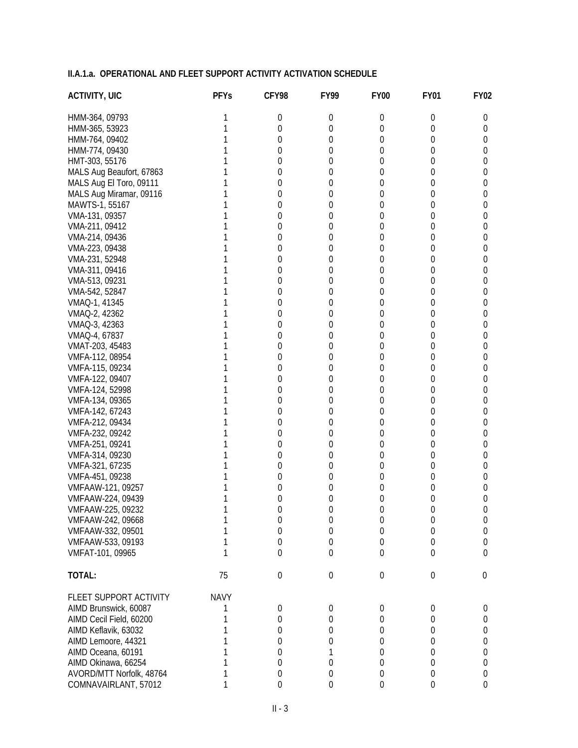| <b>ACTIVITY, UIC</b>                   | <b>PFYs</b> | CFY98            | <b>FY99</b>      | <b>FY00</b> | <b>FY01</b>      | <b>FY02</b>           |
|----------------------------------------|-------------|------------------|------------------|-------------|------------------|-----------------------|
| HMM-364, 09793                         | 1           | 0                | 0                | 0           | 0                | U                     |
| HMM-365, 53923                         | 1           | $\overline{0}$   | 0                | 0           | 0                | 0                     |
| HMM-764, 09402                         |             | $\overline{0}$   | 0                | 0           | 0                | 0                     |
| HMM-774, 09430                         |             | $\overline{0}$   | 0                | 0           | 0                | 0                     |
| HMT-303, 55176                         |             | 0                | 0                | 0           | 0                | 0                     |
| MALS Aug Beaufort, 67863               |             | 0                | 0                | 0           | 0                | 0                     |
| MALS Aug El Toro, 09111                |             | 0                | 0                | 0           | 0                | 0                     |
| MALS Aug Miramar, 09116                |             | 0                | 0                | 0           | 0                | 0                     |
| MAWTS-1, 55167                         |             | 0                | 0                | 0           | 0                | 0                     |
| VMA-131, 09357                         |             | 0                | 0                | 0           | 0                | 0                     |
| VMA-211, 09412                         |             | 0                | 0                | 0           | 0                | 0                     |
| VMA-214, 09436                         |             | 0                | 0                | 0           | 0                | 0                     |
| VMA-223, 09438                         |             | $\overline{0}$   | 0                | 0           | 0                | 0                     |
| VMA-231, 52948                         |             | $\overline{0}$   | 0                | 0           | 0                | 0                     |
| VMA-311, 09416                         |             | 0                | 0                | 0           | 0                | 0                     |
| VMA-513, 09231                         |             | $\overline{0}$   | 0                | 0           | 0                | 0                     |
| VMA-542, 52847                         |             | $\mathbf 0$      | 0                | 0           | 0                | 0                     |
| VMAQ-1, 41345                          |             | 0                | 0                | 0           | 0                | 0                     |
| VMAQ-2, 42362                          |             | $\mathbf 0$      | 0                | 0           | 0                | 0                     |
| VMAQ-3, 42363                          |             | 0                | 0                | 0           | 0                | 0                     |
| VMAQ-4, 67837                          |             | 0                | 0                | 0           | 0                | 0                     |
| VMAT-203, 45483                        |             | 0                | 0                | 0           | 0                | 0                     |
| VMFA-112, 08954                        |             | 0                | 0                | 0           | 0                | 0                     |
| VMFA-115, 09234                        |             | 0                | 0                | 0           | 0                | 0                     |
| VMFA-122, 09407                        |             | $\overline{0}$   | 0                | 0           | 0                | 0                     |
| VMFA-124, 52998                        |             | $\overline{0}$   | 0                | 0           | 0                | 0                     |
| VMFA-134, 09365                        |             | $\theta$         | 0                | 0           | 0                | 0                     |
| VMFA-142, 67243                        |             | $\overline{0}$   | 0                | 0           | 0                | 0                     |
| VMFA-212, 09434                        |             | $\overline{0}$   | 0                | 0           | 0                | 0                     |
| VMFA-232, 09242                        |             | 0                | 0                | 0           | 0                | 0                     |
| VMFA-251, 09241                        |             | 0                | 0                | 0           | 0                | 0                     |
| VMFA-314, 09230                        |             | 0                | 0                | 0           | 0                | 0                     |
| VMFA-321, 67235                        |             | $\mathbf 0$      | 0                | 0           | 0                | 0                     |
| VMFA-451, 09238                        |             | 0                | 0                | 0           | 0                | 0                     |
| VMFAAW-121, 09257                      |             | 0                | 0                | 0           | 0                | 0                     |
| VMFAAW-224, 09439                      |             | 0                | 0<br>$\theta$    | 0           | 0<br>0           | 0                     |
| VMFAAW-225, 09232<br>VMFAAW-242, 09668 |             | 0<br>$\mathbf 0$ | 0                | 0<br>0      | $\mathbf 0$      | 0                     |
| VMFAAW-332, 09501                      |             | $\mathbf 0$      | $\mathbf 0$      | $\mathbf 0$ | 0                | 0<br>$\boldsymbol{0}$ |
| VMFAAW-533, 09193                      |             | 0                | 0                | 0           | 0                | 0                     |
| VMFAT-101, 09965                       | 1           | $\theta$         | $\overline{0}$   | $\theta$    | 0                | 0                     |
| TOTAL:                                 | 75          | $\mathbf 0$      | $\boldsymbol{0}$ | 0           | $\boldsymbol{0}$ | 0                     |
| FLEET SUPPORT ACTIVITY                 | <b>NAVY</b> |                  |                  |             |                  |                       |
| AIMD Brunswick, 60087                  |             | 0                | 0                | 0           | $\boldsymbol{0}$ | 0                     |
| AIMD Cecil Field, 60200                |             | 0                | 0                | 0           | 0                | 0                     |
| AIMD Keflavik, 63032                   |             | 0                | 0                | 0           | 0                | 0                     |
| AIMD Lemoore, 44321                    |             | 0                | 0                | 0           | 0                | 0                     |
| AIMD Oceana, 60191                     |             | 0                | 1                | 0           | 0                | 0                     |
| AIMD Okinawa, 66254                    |             | 0                | 0                | 0           | $\boldsymbol{0}$ | 0                     |
| AVORD/MTT Norfolk, 48764               |             | 0                | $\boldsymbol{0}$ | 0           | $\boldsymbol{0}$ | 0                     |
| COMNAVAIRLANT, 57012                   | 1           | 0                | $\mathbf 0$      | 0           | 0                | 0                     |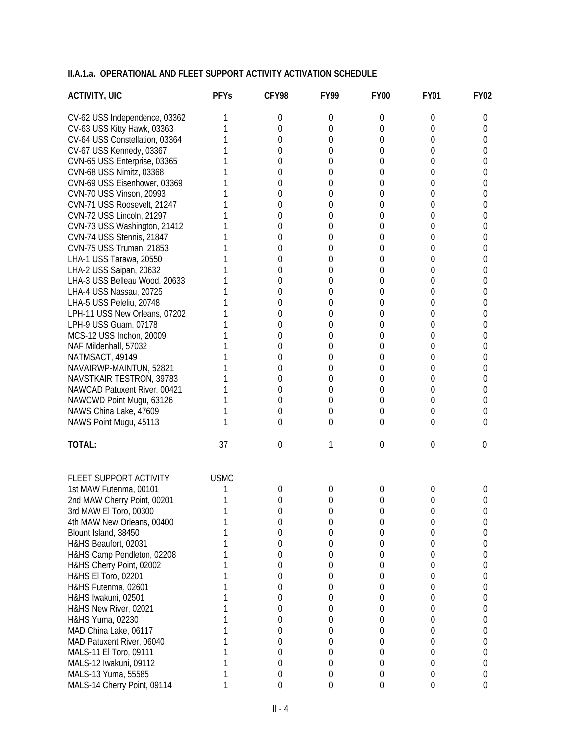| <b>ACTIVITY, UIC</b>           | <b>PFYs</b> | CFY98          | <b>FY99</b> | <b>FY00</b>    | <b>FY01</b> | <b>FY02</b> |
|--------------------------------|-------------|----------------|-------------|----------------|-------------|-------------|
| CV-62 USS Independence, 03362  |             | 0              | 0           | 0              | 0           | 0           |
| CV-63 USS Kitty Hawk, 03363    |             | $\Omega$       | 0           | 0              | 0           | 0           |
| CV-64 USS Constellation, 03364 |             | 0              | $\Omega$    | 0              | 0           | 0           |
| CV-67 USS Kennedy, 03367       |             | 0              | $\theta$    | 0              | 0           | 0           |
| CVN-65 USS Enterprise, 03365   |             | 0              | 0           | 0              | 0           | 0           |
| CVN-68 USS Nimitz, 03368       |             | 0              | 0           | 0              | 0           | 0           |
| CVN-69 USS Eisenhower, 03369   |             | 0              | 0           | 0              | 0           | 0           |
| CVN-70 USS Vinson, 20993       |             | 0              | 0           | 0              | 0           | 0           |
| CVN-71 USS Roosevelt, 21247    |             | 0              | 0           | 0              | 0           | 0           |
| CVN-72 USS Lincoln, 21297      |             | 0              | 0           | 0              | 0           | 0           |
| CVN-73 USS Washington, 21412   |             | 0              | 0           | 0              | 0           | 0           |
| CVN-74 USS Stennis, 21847      |             | 0              | 0           | 0              | 0           | 0           |
| CVN-75 USS Truman, 21853       |             | 0              | 0           | 0              | 0           | 0           |
| LHA-1 USS Tarawa, 20550        |             | 0              | 0           | 0              | 0           | 0           |
| LHA-2 USS Saipan, 20632        |             | 0              | $\sigma$    | 0              | 0           | 0           |
| LHA-3 USS Belleau Wood, 20633  |             | 0              | 0           | 0              | 0           | 0           |
| LHA-4 USS Nassau, 20725        |             | 0              | 0           | 0              | 0           | 0           |
| LHA-5 USS Peleliu, 20748       |             | 0              | $\sigma$    | 0              | 0           | 0           |
| LPH-11 USS New Orleans, 07202  |             | 0              | 0           | 0              | 0           | 0           |
| LPH-9 USS Guam, 07178          |             | 0              | 0           | 0              | 0           | 0           |
| MCS-12 USS Inchon, 20009       |             | 0              | 0           | 0              | 0           | 0           |
| NAF Mildenhall, 57032          |             | 0              | 0           | 0              | 0           | 0           |
| NATMSACT, 49149                |             | 0              | 0           | 0              | 0           | 0           |
| NAVAIRWP-MAINTUN, 52821        |             | 0              | 0           | 0              | 0           | 0           |
| NAVSTKAIR TESTRON, 39783       |             | 0              | 0           | 0              | 0           | 0           |
| NAWCAD Patuxent River, 00421   |             | 0              | 0           | 0              | 0           | 0           |
| NAWCWD Point Mugu, 63126       |             | 0              | 0           | 0              | 0           | 0           |
| NAWS China Lake, 47609         |             | 0              | $\sigma$    | 0              | 0           | 0           |
| NAWS Point Mugu, 45113         |             | $\Omega$       | 0           | 0              | 0           | 0           |
| TOTAL:                         | 37          | $\overline{0}$ | 1           | $\overline{0}$ | 0           | 0           |
| FLEET SUPPORT ACTIVITY         | <b>USMC</b> |                |             |                |             |             |
| 1st MAW Futenma, 00101         |             | 0              | 0           | 0              | 0           | 0           |
| 2nd MAW Cherry Point, 00201    |             | 0              | 0           | 0              | 0           | 0           |
| 3rd MAW El Toro, 00300         |             | 0              | 0           | 0              | O           | 0           |
| 4th MAW New Orleans, 00400     |             | 0              | 0           | 0              | 0           | 0           |
| Blount Island, 38450           |             | 0              | 0           | 0              | 0           | 0           |
| H&HS Beaufort, 02031           |             | 0              | 0           | 0              | 0           | 0           |
| H&HS Camp Pendleton, 02208     |             | 0              | 0           | 0              | 0           | 0           |
| H&HS Cherry Point, 02002       |             | 0              | 0           | 0              | 0           | 0           |
| H&HS El Toro, 02201            |             | 0              | 0           | 0              | 0           | 0           |
| H&HS Futenma, 02601            |             | 0              | 0           | 0              | 0           | 0           |
| H&HS Iwakuni, 02501            |             | 0              | 0           | 0              | 0           | 0           |
| H&HS New River, 02021          |             | 0              | 0           | 0              | 0           | 0           |
| H&HS Yuma, 02230               |             | 0              | 0           | 0              | 0           | 0           |
| MAD China Lake, 06117          |             | 0              | 0           | 0              | 0           | 0           |
| MAD Patuxent River, 06040      |             | 0              | 0           | 0              | 0           | 0           |
| MALS-11 El Toro, 09111         |             | 0              | 0           | 0              | 0           | 0           |
| MALS-12 Iwakuni, 09112         |             | 0              | 0           | 0              | 0           | 0           |
| MALS-13 Yuma, 55585            |             | 0              | 0           | 0              | 0           | 0           |
| MALS-14 Cherry Point, 09114    |             | $\Omega$       | $\mathbf 0$ | 0              | 0           | 0           |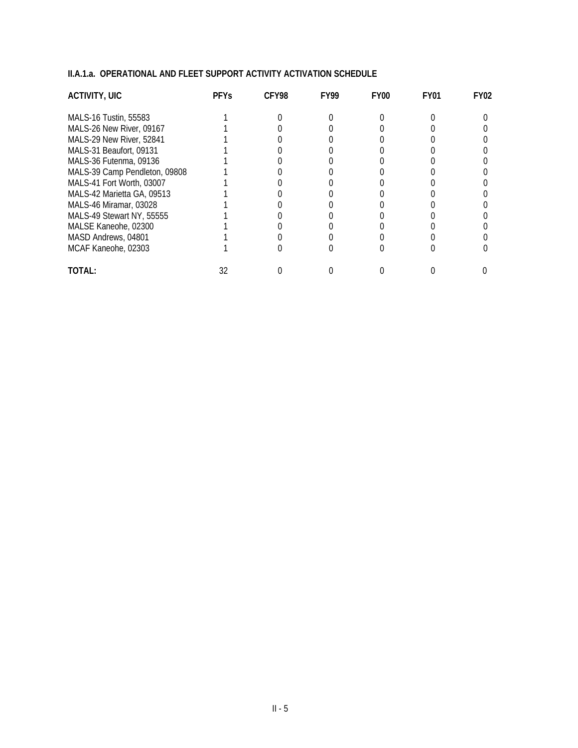| <b>ACTIVITY, UIC</b>          | <b>PFYS</b> | CFY98 | <b>FY99</b> | FY <sub>00</sub> | FY01 | FY02 |
|-------------------------------|-------------|-------|-------------|------------------|------|------|
| MALS-16 Tustin, 55583         |             |       |             |                  |      |      |
| MALS-26 New River, 09167      |             |       |             |                  |      |      |
| MALS-29 New River, 52841      |             |       |             |                  |      |      |
| MALS-31 Beaufort, 09131       |             |       |             |                  |      |      |
| MALS-36 Futenma, 09136        |             |       |             |                  |      |      |
| MALS-39 Camp Pendleton, 09808 |             |       |             |                  |      |      |
| MALS-41 Fort Worth, 03007     |             |       |             |                  |      |      |
| MALS-42 Marietta GA, 09513    |             |       |             |                  |      |      |
| MALS-46 Miramar, 03028        |             |       |             |                  |      |      |
| MALS-49 Stewart NY, 55555     |             |       |             |                  |      |      |
| MALSE Kaneohe, 02300          |             |       |             |                  |      |      |
| MASD Andrews, 04801           |             |       |             |                  |      |      |
| MCAF Kaneohe, 02303           |             |       |             |                  |      |      |
| TOTAL:                        |             |       |             |                  |      |      |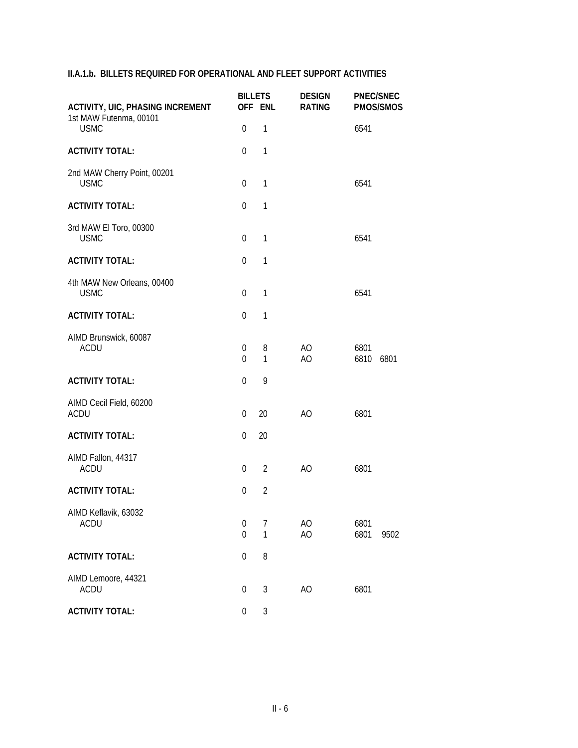| <b>ACTIVITY, UIC, PHASING INCREMENT</b><br>1st MAW Futenma, 00101 | <b>BILLETS</b><br>OFF ENL          |                | <b>DESIGN</b><br><b>RATING</b> | <b>PNEC/SNEC</b><br><b>PMOS/SMOS</b> |  |
|-------------------------------------------------------------------|------------------------------------|----------------|--------------------------------|--------------------------------------|--|
| <b>USMC</b>                                                       | $\mathbf 0$                        | $\mathbf{1}$   |                                | 6541                                 |  |
| <b>ACTIVITY TOTAL:</b>                                            | $\mathbf 0$                        | $\mathbf{1}$   |                                |                                      |  |
| 2nd MAW Cherry Point, 00201<br><b>USMC</b>                        | $\mathbf 0$                        | 1              |                                | 6541                                 |  |
| <b>ACTIVITY TOTAL:</b>                                            | $\mathbf 0$                        | $\mathbf{1}$   |                                |                                      |  |
| 3rd MAW El Toro, 00300<br><b>USMC</b>                             | 0                                  | 1              |                                | 6541                                 |  |
| <b>ACTIVITY TOTAL:</b>                                            | $\mathbf 0$                        | 1              |                                |                                      |  |
| 4th MAW New Orleans, 00400<br><b>USMC</b>                         | $\overline{0}$                     | 1              |                                | 6541                                 |  |
| <b>ACTIVITY TOTAL:</b>                                            | $\mathbf 0$                        | $\mathbf{1}$   |                                |                                      |  |
| AIMD Brunswick, 60087<br><b>ACDU</b>                              | 0<br>$\overline{0}$                | 8<br>1         | AO<br>AO                       | 6801<br>6810<br>6801                 |  |
| <b>ACTIVITY TOTAL:</b>                                            | $\mathbf 0$                        | 9              |                                |                                      |  |
| AIMD Cecil Field, 60200<br><b>ACDU</b>                            | 0                                  | 20             | AO                             | 6801                                 |  |
| <b>ACTIVITY TOTAL:</b>                                            | $\mathbf 0$                        | 20             |                                |                                      |  |
| AIMD Fallon, 44317<br><b>ACDU</b>                                 | $\mathbf 0$                        | $\overline{2}$ | AO                             | 6801                                 |  |
| <b>ACTIVITY TOTAL:</b>                                            | $\mathbf 0$                        | $\overline{2}$ |                                |                                      |  |
| AIMD Keflavik, 63032<br><b>ACDU</b>                               | $\boldsymbol{0}$<br>$\overline{0}$ | 7<br>1         | AO<br>AO                       | 6801<br>6801<br>9502                 |  |
| <b>ACTIVITY TOTAL:</b>                                            | $\boldsymbol{0}$                   | 8              |                                |                                      |  |
| AIMD Lemoore, 44321<br><b>ACDU</b>                                | $\boldsymbol{0}$                   | 3              | AO                             | 6801                                 |  |
| <b>ACTIVITY TOTAL:</b>                                            | $\boldsymbol{0}$                   | $\sqrt{3}$     |                                |                                      |  |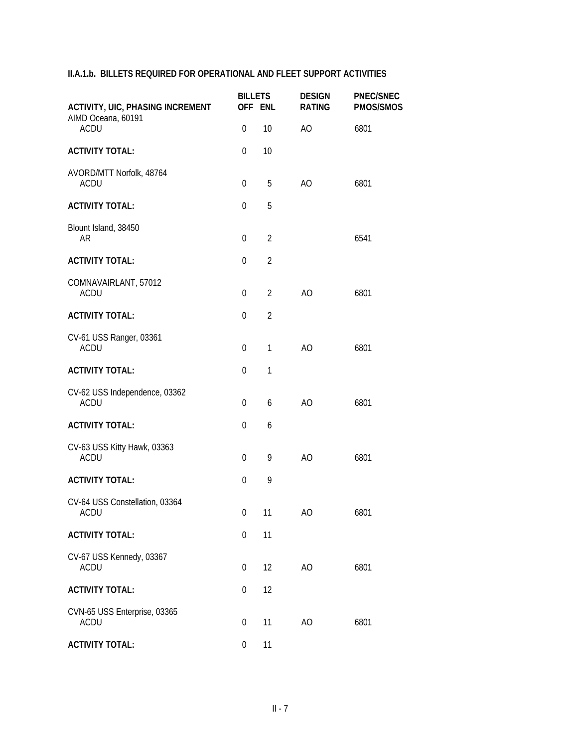| <b>ACTIVITY, UIC, PHASING INCREMENT</b>      | <b>BILLETS</b>   | OFF ENL        | <b>DESIGN</b><br><b>RATING</b> | <b>PNEC/SNEC</b><br><b>PMOS/SMOS</b> |
|----------------------------------------------|------------------|----------------|--------------------------------|--------------------------------------|
| AIMD Oceana, 60191<br><b>ACDU</b>            | $\mathbf 0$      | 10             | AO                             | 6801                                 |
| <b>ACTIVITY TOTAL:</b>                       | 0                | 10             |                                |                                      |
| AVORD/MTT Norfolk, 48764<br><b>ACDU</b>      | $\boldsymbol{0}$ | 5              | AO                             | 6801                                 |
| <b>ACTIVITY TOTAL:</b>                       | $\boldsymbol{0}$ | 5              |                                |                                      |
| Blount Island, 38450<br>AR                   | $\mathbf 0$      | $\overline{2}$ |                                | 6541                                 |
| <b>ACTIVITY TOTAL:</b>                       | $\mathbf 0$      | $\overline{2}$ |                                |                                      |
| COMNAVAIRLANT, 57012<br><b>ACDU</b>          | $\mathbf 0$      | $\overline{2}$ | A <sub>O</sub>                 | 6801                                 |
| <b>ACTIVITY TOTAL:</b>                       | $\mathbf 0$      | $\overline{2}$ |                                |                                      |
| CV-61 USS Ranger, 03361<br><b>ACDU</b>       | $\mathbf 0$      | $\mathbf{1}$   | AO                             | 6801                                 |
| <b>ACTIVITY TOTAL:</b>                       | $\mathbf 0$      | $\mathbf{1}$   |                                |                                      |
| CV-62 USS Independence, 03362<br><b>ACDU</b> | $\boldsymbol{0}$ | 6              | AO                             | 6801                                 |
| <b>ACTIVITY TOTAL:</b>                       | 0                | 6              |                                |                                      |
| CV-63 USS Kitty Hawk, 03363<br><b>ACDU</b>   | $\boldsymbol{0}$ | 9              | A <sub>O</sub>                 | 6801                                 |
| <b>ACTIVITY TOTAL:</b>                       | $\overline{0}$   | 9              |                                |                                      |
| CV-64 USS Constellation, 03364<br>ACDU       | $\overline{0}$   | 11             | AO                             | 6801                                 |
| <b>ACTIVITY TOTAL:</b>                       | $\boldsymbol{0}$ | 11             |                                |                                      |
| CV-67 USS Kennedy, 03367<br>ACDU             | 0                | 12             | AO                             | 6801                                 |
| <b>ACTIVITY TOTAL:</b>                       | 0                | 12             |                                |                                      |
| CVN-65 USS Enterprise, 03365<br><b>ACDU</b>  | $\boldsymbol{0}$ | 11             | AO                             | 6801                                 |
| <b>ACTIVITY TOTAL:</b>                       | $\boldsymbol{0}$ | 11             |                                |                                      |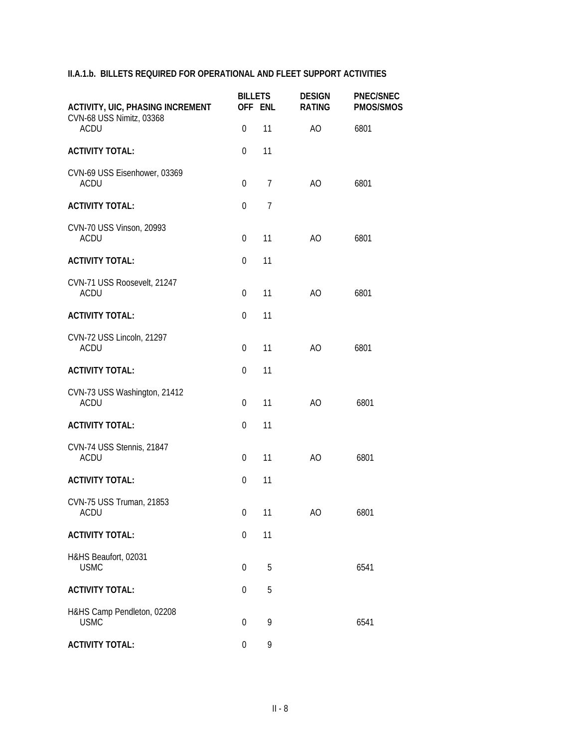| <b>ACTIVITY, UIC, PHASING INCREMENT</b><br>CVN-68 USS Nimitz, 03368<br><b>ACDU</b> | <b>BILLETS</b><br>OFF ENL |                | <b>DESIGN</b><br><b>RATING</b> | <b>PNEC/SNEC</b><br><b>PMOS/SMOS</b> |  |
|------------------------------------------------------------------------------------|---------------------------|----------------|--------------------------------|--------------------------------------|--|
|                                                                                    | $\mathbf 0$               | 11             | AO                             | 6801                                 |  |
| <b>ACTIVITY TOTAL:</b>                                                             | $\mathbf 0$               | 11             |                                |                                      |  |
| CVN-69 USS Eisenhower, 03369<br><b>ACDU</b>                                        | $\boldsymbol{0}$          | $\overline{7}$ | AO                             | 6801                                 |  |
| <b>ACTIVITY TOTAL:</b>                                                             | $\theta$                  | $\overline{7}$ |                                |                                      |  |
| CVN-70 USS Vinson, 20993<br><b>ACDU</b>                                            | $\mathbf 0$               | 11             | AO                             | 6801                                 |  |
| <b>ACTIVITY TOTAL:</b>                                                             | $\mathbf 0$               | 11             |                                |                                      |  |
| CVN-71 USS Roosevelt, 21247<br><b>ACDU</b>                                         | $\theta$                  | 11             | AO                             | 6801                                 |  |
| <b>ACTIVITY TOTAL:</b>                                                             | $\boldsymbol{0}$          | 11             |                                |                                      |  |
| CVN-72 USS Lincoln, 21297<br><b>ACDU</b>                                           | $\theta$                  | 11             | A <sub>O</sub>                 | 6801                                 |  |
| <b>ACTIVITY TOTAL:</b>                                                             | $\mathbf 0$               | 11             |                                |                                      |  |
| CVN-73 USS Washington, 21412<br><b>ACDU</b>                                        | $\boldsymbol{0}$          | 11             | AO                             | 6801                                 |  |
| <b>ACTIVITY TOTAL:</b>                                                             | $\mathbf 0$               | 11             |                                |                                      |  |
| CVN-74 USS Stennis, 21847<br><b>ACDU</b>                                           | $\boldsymbol{0}$          | 11             | AO                             | 6801                                 |  |
| <b>ACTIVITY TOTAL:</b>                                                             | $\mathbf 0$               | 11             |                                |                                      |  |
| CVN-75 USS Truman, 21853<br>ACDU                                                   | $\overline{0}$            | 11             | AO                             | 6801                                 |  |
| <b>ACTIVITY TOTAL:</b>                                                             | 0                         | 11             |                                |                                      |  |
| H&HS Beaufort, 02031<br><b>USMC</b>                                                | 0                         | 5              |                                | 6541                                 |  |
| <b>ACTIVITY TOTAL:</b>                                                             | 0                         | 5              |                                |                                      |  |
| H&HS Camp Pendleton, 02208<br><b>USMC</b>                                          | $\mathbf 0$               | 9              |                                | 6541                                 |  |
| <b>ACTIVITY TOTAL:</b>                                                             | $\boldsymbol{0}$          | 9              |                                |                                      |  |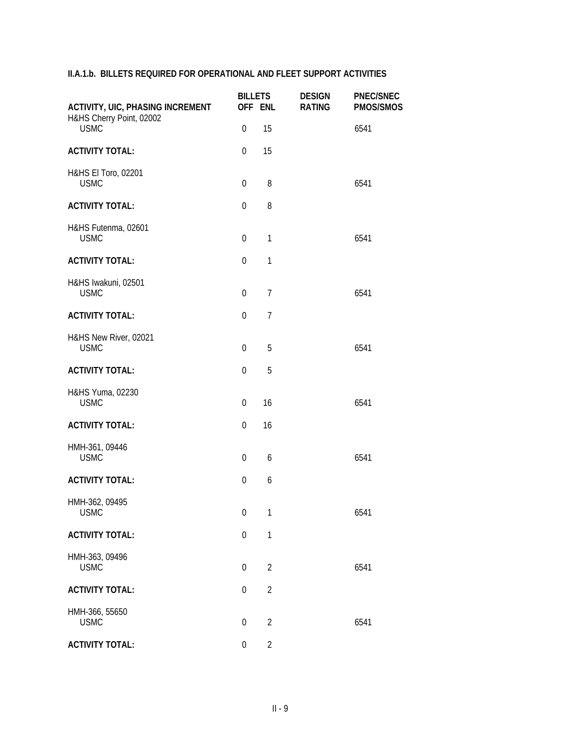| <b>ACTIVITY, UIC, PHASING INCREMENT</b> | <b>BILLETS</b>   | OFF ENL        | <b>DESIGN</b><br><b>RATING</b> | <b>PNEC/SNEC</b><br><b>PMOS/SMOS</b> |
|-----------------------------------------|------------------|----------------|--------------------------------|--------------------------------------|
| H&HS Cherry Point, 02002<br><b>USMC</b> | $\mathbf 0$      | 15             |                                | 6541                                 |
| <b>ACTIVITY TOTAL:</b>                  | $\mathbf 0$      | 15             |                                |                                      |
| H&HS El Toro, 02201<br><b>USMC</b>      | $\boldsymbol{0}$ | 8              |                                | 6541                                 |
| <b>ACTIVITY TOTAL:</b>                  | $\mathbf 0$      | 8              |                                |                                      |
| H&HS Futenma, 02601<br><b>USMC</b>      | $\mathbf 0$      | $\mathbf{1}$   |                                | 6541                                 |
| <b>ACTIVITY TOTAL:</b>                  | $\mathbf{0}$     | $\mathbf{1}$   |                                |                                      |
| H&HS Iwakuni, 02501<br><b>USMC</b>      | $\mathbf 0$      | $\overline{7}$ |                                | 6541                                 |
| <b>ACTIVITY TOTAL:</b>                  | $\mathbf{0}$     | $\overline{7}$ |                                |                                      |
| H&HS New River, 02021<br><b>USMC</b>    | $\mathbf 0$      | 5              |                                | 6541                                 |
| <b>ACTIVITY TOTAL:</b>                  | $\boldsymbol{0}$ | 5              |                                |                                      |
| H&HS Yuma, 02230<br><b>USMC</b>         | $\boldsymbol{0}$ | 16             |                                | 6541                                 |
| <b>ACTIVITY TOTAL:</b>                  | 0                | 16             |                                |                                      |
| HMH-361, 09446<br><b>USMC</b>           | $\boldsymbol{0}$ | 6              |                                | 6541                                 |
| <b>ACTIVITY TOTAL:</b>                  | $\mathbf 0$      | 6              |                                |                                      |
| HMH-362, 09495<br>USMC                  | 0                | $\mathbf{1}$   |                                | 6541                                 |
| <b>ACTIVITY TOTAL:</b>                  | $\mathbf 0$      | $\mathbf{1}$   |                                |                                      |
| HMH-363, 09496<br><b>USMC</b>           | $\boldsymbol{0}$ | $\overline{2}$ |                                | 6541                                 |
| <b>ACTIVITY TOTAL:</b>                  | 0                | $\overline{2}$ |                                |                                      |
| HMH-366, 55650<br><b>USMC</b>           | $\boldsymbol{0}$ | $\overline{2}$ |                                | 6541                                 |
| <b>ACTIVITY TOTAL:</b>                  | $\boldsymbol{0}$ | $\overline{2}$ |                                |                                      |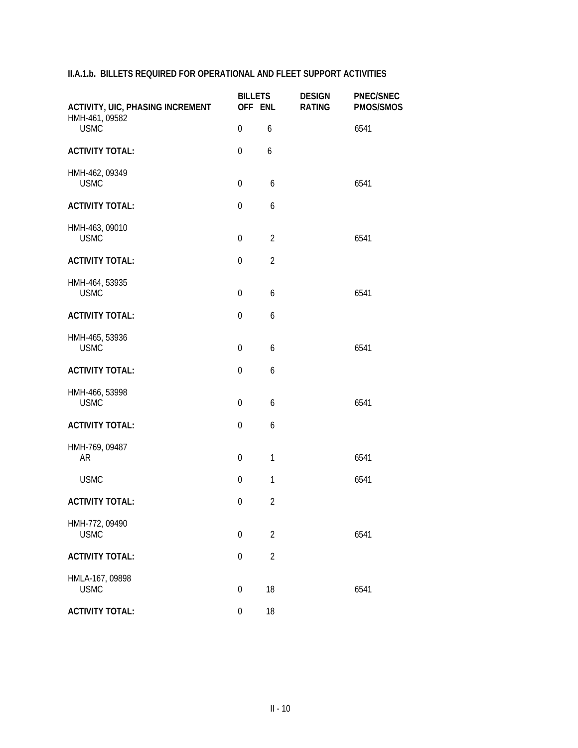| <b>ACTIVITY, UIC, PHASING INCREMENT</b> | <b>BILLETS</b><br>OFF ENL |                | <b>DESIGN</b><br><b>RATING</b> | <b>PNEC/SNEC</b><br>PMOS/SMOS |
|-----------------------------------------|---------------------------|----------------|--------------------------------|-------------------------------|
| HMH-461, 09582<br><b>USMC</b>           | $\mathbf 0$               | 6              |                                | 6541                          |
| <b>ACTIVITY TOTAL:</b>                  | $\mathbf 0$               | 6              |                                |                               |
| HMH-462, 09349<br><b>USMC</b>           | $\boldsymbol{0}$          | 6              |                                | 6541                          |
| <b>ACTIVITY TOTAL:</b>                  | $\mathbf 0$               | 6              |                                |                               |
| HMH-463, 09010<br><b>USMC</b>           | $\boldsymbol{0}$          | $\overline{2}$ |                                | 6541                          |
| <b>ACTIVITY TOTAL:</b>                  | $\mathbf 0$               | $\overline{2}$ |                                |                               |
| HMH-464, 53935<br><b>USMC</b>           | $\mathbf 0$               | 6              |                                | 6541                          |
| <b>ACTIVITY TOTAL:</b>                  | $\boldsymbol{0}$          | 6              |                                |                               |
| HMH-465, 53936<br><b>USMC</b>           | $\mathbf 0$               | 6              |                                | 6541                          |
| <b>ACTIVITY TOTAL:</b>                  | $\mathbf 0$               | 6              |                                |                               |
| HMH-466, 53998<br><b>USMC</b>           | $\boldsymbol{0}$          | 6              |                                | 6541                          |
| <b>ACTIVITY TOTAL:</b>                  | $\boldsymbol{0}$          | 6              |                                |                               |
| HMH-769, 09487<br>AR                    | $\mathbf 0$               | 1              |                                | 6541                          |
| <b>USMC</b>                             | $\boldsymbol{0}$          | 1              |                                | 6541                          |
| <b>ACTIVITY TOTAL:</b>                  | $\boldsymbol{0}$          | $\overline{2}$ |                                |                               |
| HMH-772, 09490<br><b>USMC</b>           | 0                         | $\overline{2}$ |                                | 6541                          |
| <b>ACTIVITY TOTAL:</b>                  | 0                         | $\overline{2}$ |                                |                               |
| HMLA-167, 09898<br><b>USMC</b>          | $\mathbf 0$               | 18             |                                | 6541                          |
| <b>ACTIVITY TOTAL:</b>                  | $\boldsymbol{0}$          | 18             |                                |                               |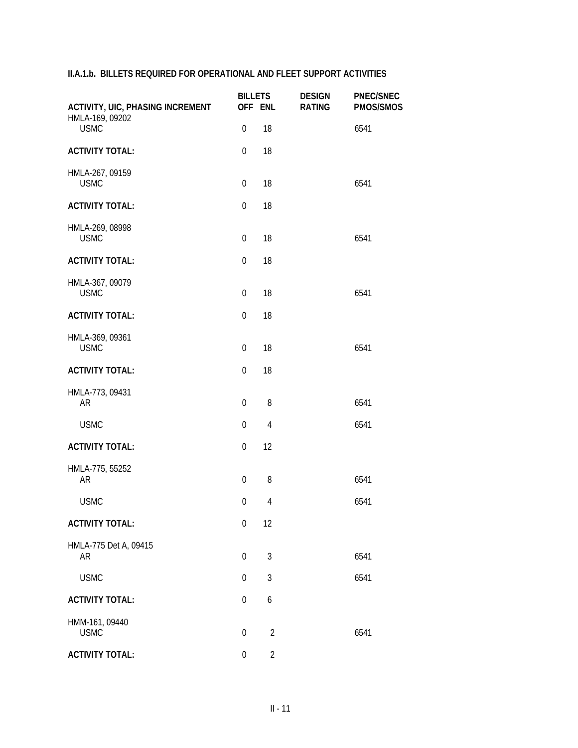| <b>ACTIVITY, UIC, PHASING INCREMENT</b> | <b>BILLETS</b>   | OFF ENL        | <b>DESIGN</b><br><b>RATING</b> | <b>PNEC/SNEC</b><br>PMOS/SMOS |
|-----------------------------------------|------------------|----------------|--------------------------------|-------------------------------|
| HMLA-169, 09202<br><b>USMC</b>          | $\boldsymbol{0}$ | 18             |                                | 6541                          |
| <b>ACTIVITY TOTAL:</b>                  | $\mathbf{0}$     | 18             |                                |                               |
| HMLA-267, 09159<br><b>USMC</b>          | $\boldsymbol{0}$ | 18             |                                | 6541                          |
| <b>ACTIVITY TOTAL:</b>                  | $\mathbf 0$      | 18             |                                |                               |
| HMLA-269, 08998<br><b>USMC</b>          | $\mathbf 0$      | 18             |                                | 6541                          |
| <b>ACTIVITY TOTAL:</b>                  | $\mathbf 0$      | 18             |                                |                               |
| HMLA-367, 09079<br><b>USMC</b>          | $\mathbf 0$      | 18             |                                | 6541                          |
| <b>ACTIVITY TOTAL:</b>                  | $\boldsymbol{0}$ | 18             |                                |                               |
| HMLA-369, 09361<br><b>USMC</b>          | $\boldsymbol{0}$ | 18             |                                | 6541                          |
| <b>ACTIVITY TOTAL:</b>                  | $\mathbf 0$      | 18             |                                |                               |
| HMLA-773, 09431<br>AR                   | 0                | 8              |                                | 6541                          |
| <b>USMC</b>                             | $\mathbf 0$      | $\overline{4}$ |                                | 6541                          |
| <b>ACTIVITY TOTAL:</b>                  | $\mathbf 0$      | 12             |                                |                               |
| HMLA-775, 55252<br><b>AR</b>            | $\boldsymbol{0}$ | 8              |                                | 6541                          |
| <b>USMC</b>                             | $\overline{0}$   | $\overline{4}$ |                                | 6541                          |
| <b>ACTIVITY TOTAL:</b>                  | $\boldsymbol{0}$ | 12             |                                |                               |
| HMLA-775 Det A, 09415<br>AR             | 0                | 3              |                                | 6541                          |
| <b>USMC</b>                             | $\boldsymbol{0}$ | $\mathfrak{Z}$ |                                | 6541                          |
| <b>ACTIVITY TOTAL:</b>                  | $\Omega$         | 6              |                                |                               |
| HMM-161, 09440<br><b>USMC</b>           | $\mathbf 0$      | $\overline{2}$ |                                | 6541                          |
| <b>ACTIVITY TOTAL:</b>                  | $\boldsymbol{0}$ | $\overline{2}$ |                                |                               |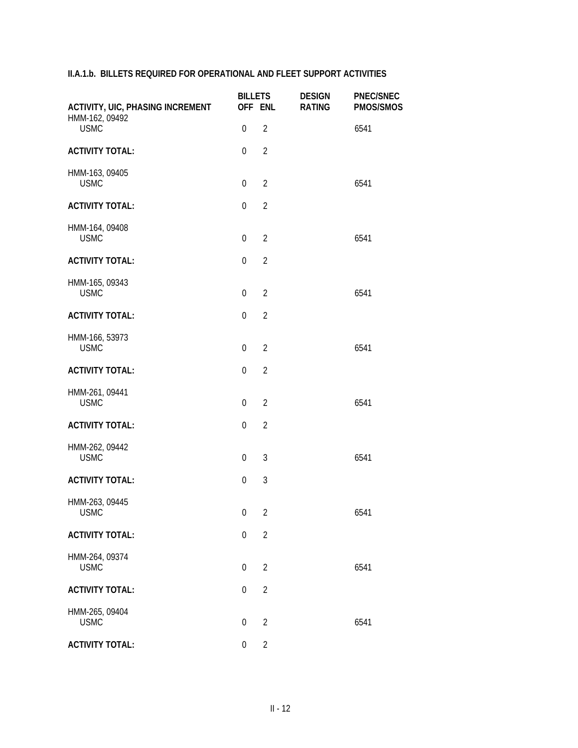| <b>ACTIVITY, UIC, PHASING INCREMENT</b> | <b>BILLETS</b><br>OFF ENL |                | <b>DESIGN</b><br><b>RATING</b> | <b>PNEC/SNEC</b><br><b>PMOS/SMOS</b> |
|-----------------------------------------|---------------------------|----------------|--------------------------------|--------------------------------------|
| HMM-162, 09492<br><b>USMC</b>           | $\boldsymbol{0}$          | $\overline{2}$ |                                | 6541                                 |
| <b>ACTIVITY TOTAL:</b>                  | $\boldsymbol{0}$          | $\overline{2}$ |                                |                                      |
| HMM-163, 09405<br><b>USMC</b>           | $\mathbf 0$               | $\overline{2}$ |                                | 6541                                 |
| <b>ACTIVITY TOTAL:</b>                  | $\mathbf 0$               | $\overline{2}$ |                                |                                      |
| HMM-164, 09408<br><b>USMC</b>           | $\mathbf 0$               | $\overline{2}$ |                                | 6541                                 |
| <b>ACTIVITY TOTAL:</b>                  | $\mathbf{0}$              | $\overline{2}$ |                                |                                      |
| HMM-165, 09343<br><b>USMC</b>           | $\mathbf 0$               | $\overline{2}$ |                                | 6541                                 |
| <b>ACTIVITY TOTAL:</b>                  | $\boldsymbol{0}$          | $\overline{2}$ |                                |                                      |
| HMM-166, 53973<br><b>USMC</b>           | $\mathbf 0$               | $\overline{2}$ |                                | 6541                                 |
| <b>ACTIVITY TOTAL:</b>                  | $\boldsymbol{0}$          | $\overline{2}$ |                                |                                      |
| HMM-261, 09441<br><b>USMC</b>           | $\boldsymbol{0}$          | $\overline{2}$ |                                | 6541                                 |
| <b>ACTIVITY TOTAL:</b>                  | $\mathbf 0$               | $\overline{2}$ |                                |                                      |
| HMM-262, 09442<br><b>USMC</b>           | $\mathbf 0$               | 3              |                                | 6541                                 |
| <b>ACTIVITY TOTAL:</b>                  | $\mathbf 0$               | $\mathfrak{Z}$ |                                |                                      |
| HMM-263, 09445<br><b>USMC</b>           | $\overline{0}$            | $\overline{2}$ |                                | 6541                                 |
| <b>ACTIVITY TOTAL:</b>                  | $\boldsymbol{0}$          | $\overline{2}$ |                                |                                      |
| HMM-264, 09374<br><b>USMC</b>           | $\boldsymbol{0}$          | $\overline{2}$ |                                | 6541                                 |
| <b>ACTIVITY TOTAL:</b>                  | 0                         | $\overline{2}$ |                                |                                      |
| HMM-265, 09404<br><b>USMC</b>           | $\boldsymbol{0}$          | $\overline{2}$ |                                | 6541                                 |
| <b>ACTIVITY TOTAL:</b>                  | $\boldsymbol{0}$          | $\overline{2}$ |                                |                                      |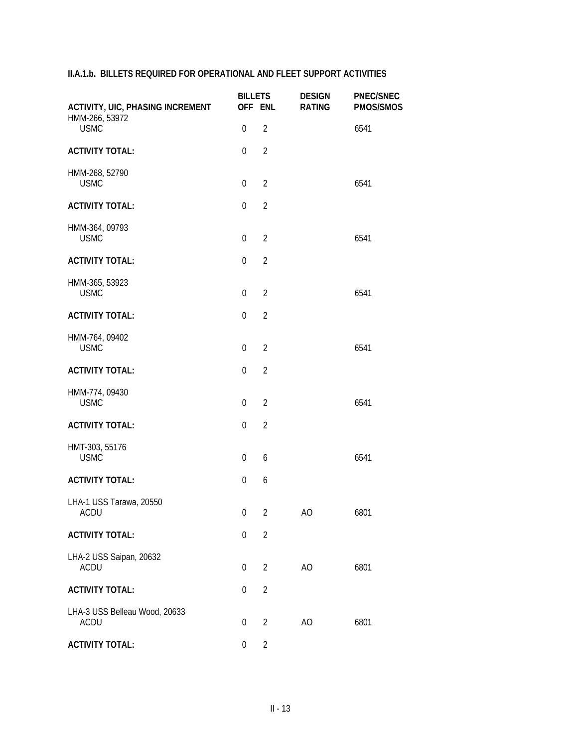| <b>ACTIVITY, UIC, PHASING INCREMENT</b>      | <b>BILLETS</b>   | OFF ENL        | <b>DESIGN</b><br><b>RATING</b> | <b>PNEC/SNEC</b><br><b>PMOS/SMOS</b> |
|----------------------------------------------|------------------|----------------|--------------------------------|--------------------------------------|
| HMM-266, 53972<br><b>USMC</b>                | $\boldsymbol{0}$ | $\overline{2}$ |                                | 6541                                 |
| <b>ACTIVITY TOTAL:</b>                       | $\mathbf{0}$     | $\overline{2}$ |                                |                                      |
| HMM-268, 52790<br><b>USMC</b>                | $\mathbf 0$      | $\overline{2}$ |                                | 6541                                 |
| <b>ACTIVITY TOTAL:</b>                       | $\mathbf 0$      | $\overline{2}$ |                                |                                      |
| HMM-364, 09793<br><b>USMC</b>                | $\mathbf 0$      | $\overline{2}$ |                                | 6541                                 |
| <b>ACTIVITY TOTAL:</b>                       | $\mathbf{0}$     | $\overline{2}$ |                                |                                      |
| HMM-365, 53923<br><b>USMC</b>                | $\mathbf 0$      | $\overline{2}$ |                                | 6541                                 |
| <b>ACTIVITY TOTAL:</b>                       | $\mathbf{0}$     | $\overline{2}$ |                                |                                      |
| HMM-764, 09402<br><b>USMC</b>                | $\boldsymbol{0}$ | $\overline{2}$ |                                | 6541                                 |
| <b>ACTIVITY TOTAL:</b>                       | $\boldsymbol{0}$ | $\overline{2}$ |                                |                                      |
| HMM-774, 09430<br><b>USMC</b>                | $\boldsymbol{0}$ | $\overline{2}$ |                                | 6541                                 |
| <b>ACTIVITY TOTAL:</b>                       | $\mathbf 0$      | $\overline{2}$ |                                |                                      |
| HMT-303, 55176<br><b>USMC</b>                | $\boldsymbol{0}$ | 6              |                                | 6541                                 |
| <b>ACTIVITY TOTAL:</b>                       | $\mathbf 0$      | 6              |                                |                                      |
| LHA-1 USS Tarawa, 20550<br>ACDU              | 0                | $2^{\circ}$    | AO                             | 6801                                 |
| <b>ACTIVITY TOTAL:</b>                       | 0                | $\overline{2}$ |                                |                                      |
| LHA-2 USS Saipan, 20632<br><b>ACDU</b>       | 0                | $\overline{2}$ | AO                             | 6801                                 |
| <b>ACTIVITY TOTAL:</b>                       | 0                | $\overline{2}$ |                                |                                      |
| LHA-3 USS Belleau Wood, 20633<br><b>ACDU</b> | $\boldsymbol{0}$ | $\overline{2}$ | AO                             | 6801                                 |
| <b>ACTIVITY TOTAL:</b>                       | $\boldsymbol{0}$ | $\overline{2}$ |                                |                                      |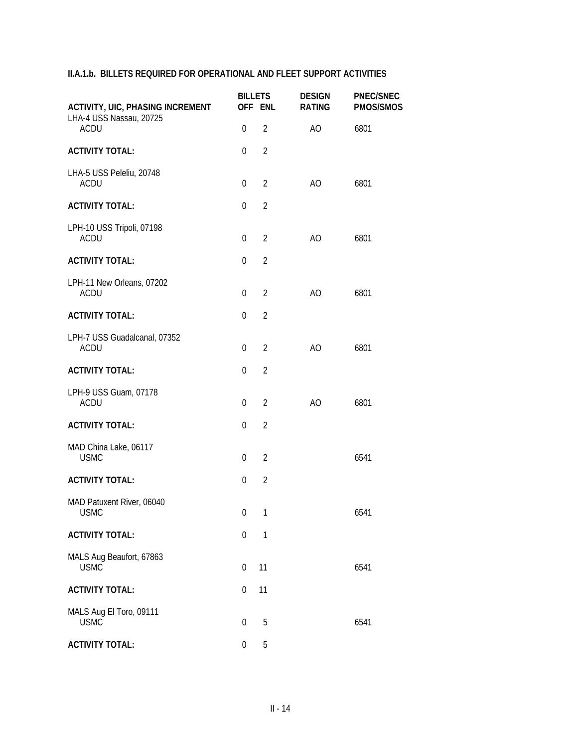| <b>ACTIVITY, UIC, PHASING INCREMENT</b><br>LHA-4 USS Nassau, 20725 |                  | <b>BILLETS</b><br>OFF ENL | <b>DESIGN</b><br><b>RATING</b> | <b>PNEC/SNEC</b><br><b>PMOS/SMOS</b> |  |
|--------------------------------------------------------------------|------------------|---------------------------|--------------------------------|--------------------------------------|--|
| <b>ACDU</b>                                                        | $\boldsymbol{0}$ | $\overline{2}$            | AO                             | 6801                                 |  |
| <b>ACTIVITY TOTAL:</b>                                             | 0                | $\overline{2}$            |                                |                                      |  |
| LHA-5 USS Peleliu, 20748<br><b>ACDU</b>                            | $\boldsymbol{0}$ | $\overline{2}$            | AO                             | 6801                                 |  |
| <b>ACTIVITY TOTAL:</b>                                             | $\boldsymbol{0}$ | $\overline{2}$            |                                |                                      |  |
| LPH-10 USS Tripoli, 07198<br><b>ACDU</b>                           | $\theta$         | $\overline{2}$            | AO                             | 6801                                 |  |
| <b>ACTIVITY TOTAL:</b>                                             | $\boldsymbol{0}$ | $\overline{2}$            |                                |                                      |  |
| LPH-11 New Orleans, 07202<br><b>ACDU</b>                           | $\theta$         | $\overline{2}$            | A <sub>O</sub>                 | 6801                                 |  |
| <b>ACTIVITY TOTAL:</b>                                             | $\boldsymbol{0}$ | $\overline{2}$            |                                |                                      |  |
| LPH-7 USS Guadalcanal, 07352<br><b>ACDU</b>                        | $\boldsymbol{0}$ | $\overline{2}$            | AO                             | 6801                                 |  |
| <b>ACTIVITY TOTAL:</b>                                             | $\boldsymbol{0}$ | $\overline{2}$            |                                |                                      |  |
| LPH-9 USS Guam, 07178<br><b>ACDU</b>                               | $\boldsymbol{0}$ | $\overline{2}$            | AO                             | 6801                                 |  |
| <b>ACTIVITY TOTAL:</b>                                             | $\Omega$         | $\overline{2}$            |                                |                                      |  |
| MAD China Lake, 06117<br><b>USMC</b>                               | 0                | $\overline{2}$            |                                | 6541                                 |  |
| <b>ACTIVITY TOTAL:</b>                                             | 0                | $\overline{2}$            |                                |                                      |  |
| MAD Patuxent River, 06040<br><b>USMC</b>                           | $\overline{0}$   | 1                         |                                | 6541                                 |  |
| <b>ACTIVITY TOTAL:</b>                                             | 0                | $\mathbf{1}$              |                                |                                      |  |
| MALS Aug Beaufort, 67863<br><b>USMC</b>                            | 0                | 11                        |                                | 6541                                 |  |
| <b>ACTIVITY TOTAL:</b>                                             | 0                | 11                        |                                |                                      |  |
| MALS Aug El Toro, 09111<br><b>USMC</b>                             | $\boldsymbol{0}$ | 5                         |                                | 6541                                 |  |
| <b>ACTIVITY TOTAL:</b>                                             | 0                | $5\,$                     |                                |                                      |  |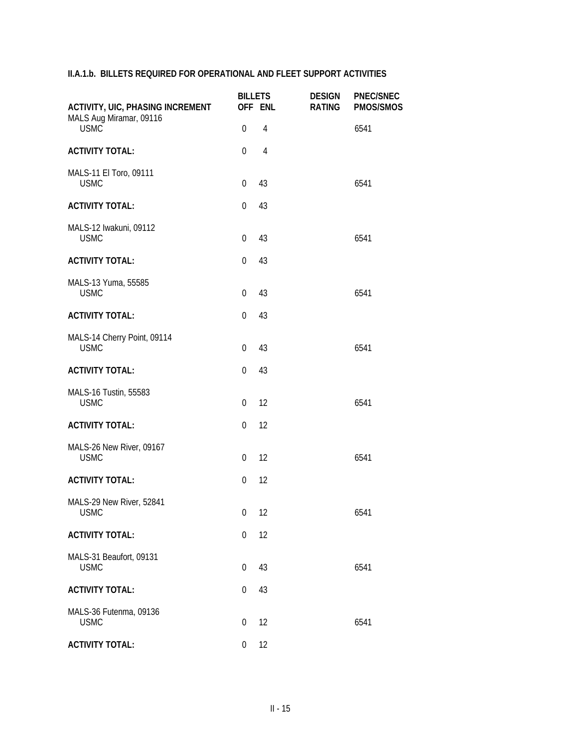| <b>ACTIVITY, UIC, PHASING INCREMENT</b><br>MALS Aug Miramar, 09116 | <b>BILLETS</b>   | OFF ENL        | <b>DESIGN</b><br><b>RATING</b> | <b>PNEC/SNEC</b><br><b>PMOS/SMOS</b> |
|--------------------------------------------------------------------|------------------|----------------|--------------------------------|--------------------------------------|
| <b>USMC</b>                                                        | $\boldsymbol{0}$ | $\overline{4}$ |                                | 6541                                 |
| <b>ACTIVITY TOTAL:</b>                                             | 0                | $\overline{4}$ |                                |                                      |
| MALS-11 El Toro, 09111<br><b>USMC</b>                              | $\boldsymbol{0}$ | 43             |                                | 6541                                 |
| <b>ACTIVITY TOTAL:</b>                                             | $\mathbf 0$      | 43             |                                |                                      |
| MALS-12 Iwakuni, 09112<br><b>USMC</b>                              | $\mathbf 0$      | 43             |                                | 6541                                 |
| <b>ACTIVITY TOTAL:</b>                                             | $\mathbf 0$      | 43             |                                |                                      |
| MALS-13 Yuma, 55585<br><b>USMC</b>                                 | $\overline{0}$   | 43             |                                | 6541                                 |
| <b>ACTIVITY TOTAL:</b>                                             | $\mathbf{0}$     | 43             |                                |                                      |
| MALS-14 Cherry Point, 09114<br><b>USMC</b>                         | $\boldsymbol{0}$ | 43             |                                | 6541                                 |
| <b>ACTIVITY TOTAL:</b>                                             | $\boldsymbol{0}$ | 43             |                                |                                      |
| MALS-16 Tustin, 55583<br><b>USMC</b>                               | 0                | 12             |                                | 6541                                 |
| <b>ACTIVITY TOTAL:</b>                                             | $\mathbf 0$      | 12             |                                |                                      |
| MALS-26 New River, 09167<br><b>USMC</b>                            | 0                | 12             |                                | 6541                                 |
| <b>ACTIVITY TOTAL:</b>                                             | $\mathbf 0$      | 12             |                                |                                      |
| MALS-29 New River, 52841<br><b>USMC</b>                            | $0$ 12           |                |                                | 6541                                 |
| <b>ACTIVITY TOTAL:</b>                                             | 0                | 12             |                                |                                      |
| MALS-31 Beaufort, 09131<br><b>USMC</b>                             | $\boldsymbol{0}$ | 43             |                                | 6541                                 |
| <b>ACTIVITY TOTAL:</b>                                             | 0                | 43             |                                |                                      |
| MALS-36 Futenma, 09136<br><b>USMC</b>                              | $\boldsymbol{0}$ | 12             |                                | 6541                                 |
| <b>ACTIVITY TOTAL:</b>                                             | $\boldsymbol{0}$ | 12             |                                |                                      |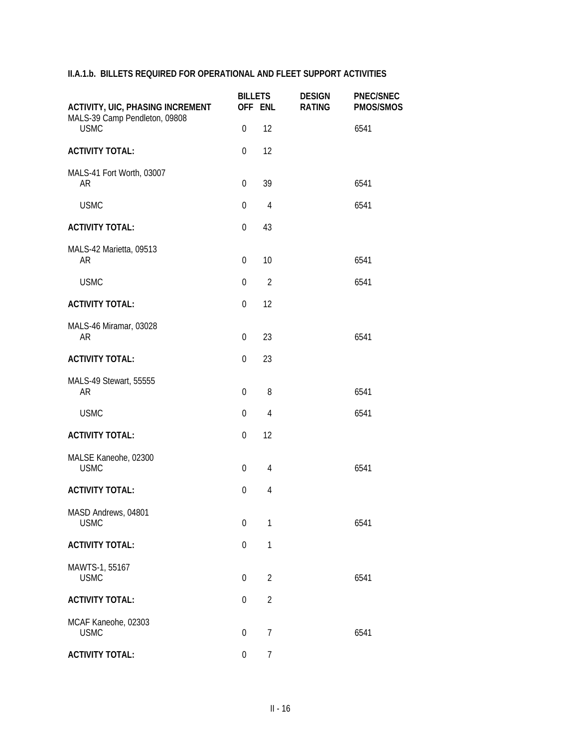| <b>ACTIVITY, UIC, PHASING INCREMENT</b><br>MALS-39 Camp Pendleton, 09808 | <b>BILLETS</b>   | OFF ENL        | <b>DESIGN</b><br><b>RATING</b> | <b>PNEC/SNEC</b><br><b>PMOS/SMOS</b> |
|--------------------------------------------------------------------------|------------------|----------------|--------------------------------|--------------------------------------|
| <b>USMC</b>                                                              | $\mathbf 0$      | 12             |                                | 6541                                 |
| <b>ACTIVITY TOTAL:</b>                                                   | $\mathbf 0$      | 12             |                                |                                      |
| MALS-41 Fort Worth, 03007<br>AR                                          | 0                | 39             |                                | 6541                                 |
| <b>USMC</b>                                                              | $\mathbf 0$      | $\overline{4}$ |                                | 6541                                 |
| <b>ACTIVITY TOTAL:</b>                                                   | 0                | 43             |                                |                                      |
| MALS-42 Marietta, 09513<br>AR                                            | $\boldsymbol{0}$ | 10             |                                | 6541                                 |
| <b>USMC</b>                                                              | $\mathbf 0$      | $\overline{2}$ |                                | 6541                                 |
| <b>ACTIVITY TOTAL:</b>                                                   | $\mathbf 0$      | 12             |                                |                                      |
| MALS-46 Miramar, 03028<br>AR                                             | 0                | 23             |                                | 6541                                 |
| <b>ACTIVITY TOTAL:</b>                                                   | 0                | 23             |                                |                                      |
| MALS-49 Stewart, 55555<br>AR                                             | 0                | 8              |                                | 6541                                 |
| <b>USMC</b>                                                              | $\boldsymbol{0}$ | $\overline{4}$ |                                | 6541                                 |
| <b>ACTIVITY TOTAL:</b>                                                   | 0                | 12             |                                |                                      |
| MALSE Kaneohe, 02300<br><b>USMC</b>                                      | $\boldsymbol{0}$ | $\overline{4}$ |                                | 6541                                 |
| <b>ACTIVITY TOTAL:</b>                                                   | 0                | $\overline{4}$ |                                |                                      |
| MASD Andrews, 04801<br><b>USMC</b>                                       | $\mathbf 0$      | $\mathbf{1}$   |                                | 6541                                 |
| <b>ACTIVITY TOTAL:</b>                                                   | $\boldsymbol{0}$ | 1              |                                |                                      |
| MAWTS-1, 55167<br><b>USMC</b>                                            | $\boldsymbol{0}$ | $\overline{2}$ |                                | 6541                                 |
| <b>ACTIVITY TOTAL:</b>                                                   | $\Omega$         | $\overline{2}$ |                                |                                      |
| MCAF Kaneohe, 02303<br><b>USMC</b>                                       | $\boldsymbol{0}$ | $\overline{7}$ |                                | 6541                                 |
| <b>ACTIVITY TOTAL:</b>                                                   | $\boldsymbol{0}$ | $\overline{7}$ |                                |                                      |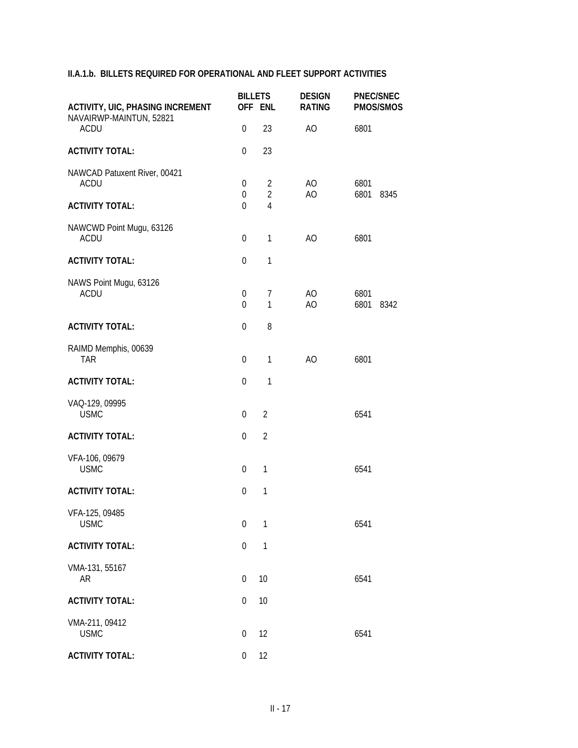| <b>ACTIVITY, UIC, PHASING INCREMENT</b>     |                                    | <b>BILLETS</b><br>OFF ENL        | <b>DESIGN</b><br><b>RATING</b> | <b>PNEC/SNEC</b><br><b>PMOS/SMOS</b> |
|---------------------------------------------|------------------------------------|----------------------------------|--------------------------------|--------------------------------------|
| NAVAIRWP-MAINTUN, 52821<br><b>ACDU</b>      | $\mathbf 0$                        | 23                               | AO                             | 6801                                 |
| <b>ACTIVITY TOTAL:</b>                      | $\overline{0}$                     | 23                               |                                |                                      |
| NAWCAD Patuxent River, 00421<br><b>ACDU</b> | $\boldsymbol{0}$<br>0              | $\overline{2}$<br>$\overline{2}$ | AO.<br>AO                      | 6801<br>6801<br>8345                 |
| <b>ACTIVITY TOTAL:</b>                      | $\Omega$                           | $\overline{4}$                   |                                |                                      |
| NAWCWD Point Mugu, 63126<br><b>ACDU</b>     | $\boldsymbol{0}$                   | $\mathbf{1}$                     | AO                             | 6801                                 |
| <b>ACTIVITY TOTAL:</b>                      | $\mathbf 0$                        | $\mathbf{1}$                     |                                |                                      |
| NAWS Point Mugu, 63126<br><b>ACDU</b>       | $\boldsymbol{0}$<br>$\overline{0}$ | $\overline{7}$<br>$\mathbf{1}$   | AO.<br>AO                      | 6801<br>6801<br>8342                 |
| <b>ACTIVITY TOTAL:</b>                      | $\mathbf 0$                        | 8                                |                                |                                      |
| RAIMD Memphis, 00639<br><b>TAR</b>          | $\boldsymbol{0}$                   | $\mathbf{1}$                     | AO                             | 6801                                 |
| <b>ACTIVITY TOTAL:</b>                      | $\boldsymbol{0}$                   | $\mathbf{1}$                     |                                |                                      |
| VAQ-129, 09995<br><b>USMC</b>               | $\boldsymbol{0}$                   | $\overline{2}$                   |                                | 6541                                 |
| <b>ACTIVITY TOTAL:</b>                      | 0                                  | $\overline{2}$                   |                                |                                      |
| VFA-106, 09679<br><b>USMC</b>               | $\boldsymbol{0}$                   | $\mathbf{1}$                     |                                | 6541                                 |
| <b>ACTIVITY TOTAL:</b>                      | $\mathbf 0$                        | $\mathbf{1}$                     |                                |                                      |
| VFA-125, 09485<br><b>USMC</b>               | $\boldsymbol{0}$                   | $\mathbf{1}$                     |                                | 6541                                 |
| <b>ACTIVITY TOTAL:</b>                      | $\boldsymbol{0}$                   | $\mathbf{1}$                     |                                |                                      |
| VMA-131, 55167<br>AR                        | 0                                  | 10                               |                                | 6541                                 |
| <b>ACTIVITY TOTAL:</b>                      | $\boldsymbol{0}$                   | 10                               |                                |                                      |
| VMA-211, 09412<br><b>USMC</b>               | $\boldsymbol{0}$                   | 12                               |                                | 6541                                 |
| <b>ACTIVITY TOTAL:</b>                      | $\boldsymbol{0}$                   | 12                               |                                |                                      |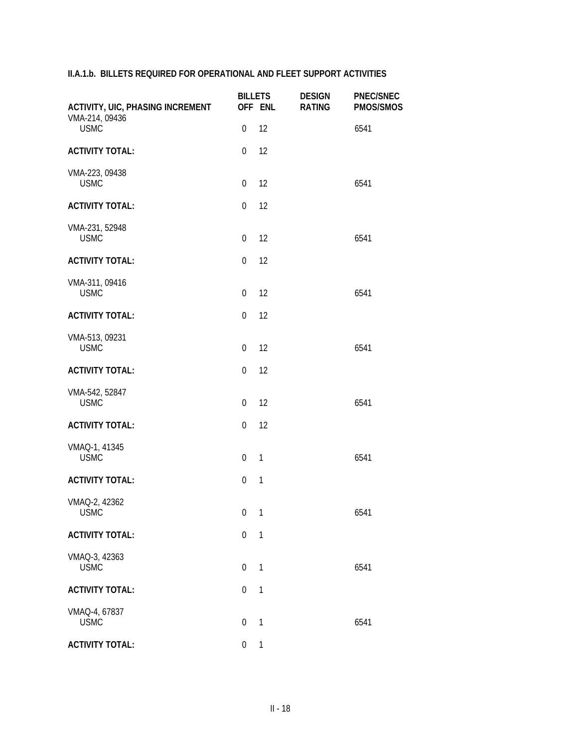| <b>ACTIVITY, UIC, PHASING INCREMENT</b> |                  | <b>BILLETS</b><br>OFF ENL | <b>DESIGN</b><br><b>RATING</b> | <b>PNEC/SNEC</b><br>PMOS/SMOS |
|-----------------------------------------|------------------|---------------------------|--------------------------------|-------------------------------|
| VMA-214, 09436<br><b>USMC</b>           | $\boldsymbol{0}$ | 12                        |                                | 6541                          |
| <b>ACTIVITY TOTAL:</b>                  | $\mathbf{0}$     | 12                        |                                |                               |
| VMA-223, 09438<br><b>USMC</b>           | $\boldsymbol{0}$ | 12                        |                                | 6541                          |
| <b>ACTIVITY TOTAL:</b>                  | $\boldsymbol{0}$ | 12                        |                                |                               |
| VMA-231, 52948<br><b>USMC</b>           | $\boldsymbol{0}$ | 12                        |                                | 6541                          |
| <b>ACTIVITY TOTAL:</b>                  | $\boldsymbol{0}$ | 12                        |                                |                               |
| VMA-311, 09416<br><b>USMC</b>           | $\boldsymbol{0}$ | 12                        |                                | 6541                          |
| <b>ACTIVITY TOTAL:</b>                  | $\boldsymbol{0}$ | 12                        |                                |                               |
| VMA-513, 09231<br><b>USMC</b>           | $\mathbf 0$      | 12                        |                                | 6541                          |
| <b>ACTIVITY TOTAL:</b>                  | $\boldsymbol{0}$ | 12                        |                                |                               |
| VMA-542, 52847<br><b>USMC</b>           | $\overline{0}$   | 12                        |                                | 6541                          |
| <b>ACTIVITY TOTAL:</b>                  | $\boldsymbol{0}$ | 12                        |                                |                               |
| VMAQ-1, 41345<br><b>USMC</b>            | $\mathbf 0$      | $\mathbf{1}$              |                                | 6541                          |
| <b>ACTIVITY TOTAL:</b>                  | $\boldsymbol{0}$ | $\mathbf{1}$              |                                |                               |
| VMAQ-2, 42362<br><b>USMC</b>            | $0 \quad 1$      |                           |                                | 6541                          |
| <b>ACTIVITY TOTAL:</b>                  | $\mathbf 0$      | $\mathbf{1}$              |                                |                               |
| VMAQ-3, 42363<br><b>USMC</b>            | $\mathbf 0$      | $\mathbf{1}$              |                                | 6541                          |
| <b>ACTIVITY TOTAL:</b>                  | $\boldsymbol{0}$ | 1                         |                                |                               |
| VMAQ-4, 67837<br><b>USMC</b>            | $\mathbf{0}$     | $\mathbf{1}$              |                                | 6541                          |
| <b>ACTIVITY TOTAL:</b>                  | $\boldsymbol{0}$ | $\mathbf{1}$              |                                |                               |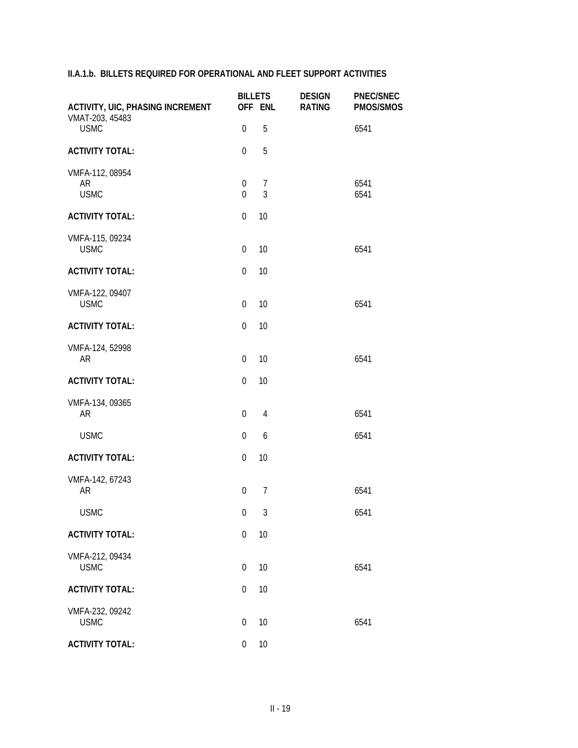| <b>ACTIVITY, UIC, PHASING INCREMENT</b>     |                                 | <b>BILLETS</b><br>OFF ENL        | <b>DESIGN</b><br><b>RATING</b> | <b>PNEC/SNEC</b><br>PMOS/SMOS |
|---------------------------------------------|---------------------------------|----------------------------------|--------------------------------|-------------------------------|
| VMAT-203, 45483<br><b>USMC</b>              | 0                               | 5                                |                                | 6541                          |
| <b>ACTIVITY TOTAL:</b>                      | $\mathbf 0$                     | 5                                |                                |                               |
| VMFA-112, 08954<br><b>AR</b><br><b>USMC</b> | $\boldsymbol{0}$<br>$\mathbf 0$ | $\overline{7}$<br>$\mathfrak{Z}$ |                                | 6541<br>6541                  |
| <b>ACTIVITY TOTAL:</b>                      | $\boldsymbol{0}$                | 10                               |                                |                               |
| VMFA-115, 09234<br><b>USMC</b>              | 0                               | 10                               |                                | 6541                          |
| <b>ACTIVITY TOTAL:</b>                      | $\mathbf 0$                     | 10                               |                                |                               |
| VMFA-122, 09407<br><b>USMC</b>              | $\mathbf 0$                     | 10                               |                                | 6541                          |
| <b>ACTIVITY TOTAL:</b>                      | $\mathbf 0$                     | 10                               |                                |                               |
| VMFA-124, 52998<br><b>AR</b>                | 0                               | 10                               |                                | 6541                          |
| <b>ACTIVITY TOTAL:</b>                      | 0                               | 10                               |                                |                               |
| VMFA-134, 09365<br><b>AR</b>                | 0                               | $\overline{4}$                   |                                | 6541                          |
| <b>USMC</b>                                 | 0                               | 6                                |                                | 6541                          |
| <b>ACTIVITY TOTAL:</b>                      | 0                               | 10                               |                                |                               |
| VMFA-142, 67243<br><b>AR</b>                | 0                               | $\overline{7}$                   |                                | 6541                          |
| <b>USMC</b>                                 | $\overline{0}$                  | $\mathfrak{Z}$                   |                                | 6541                          |
| <b>ACTIVITY TOTAL:</b>                      | $\boldsymbol{0}$                | 10                               |                                |                               |
| VMFA-212, 09434<br><b>USMC</b>              | 0                               | 10                               |                                | 6541                          |
| <b>ACTIVITY TOTAL:</b>                      | 0                               | 10                               |                                |                               |
| VMFA-232, 09242<br><b>USMC</b>              | 0                               | 10                               |                                | 6541                          |
| <b>ACTIVITY TOTAL:</b>                      | 0                               | 10                               |                                |                               |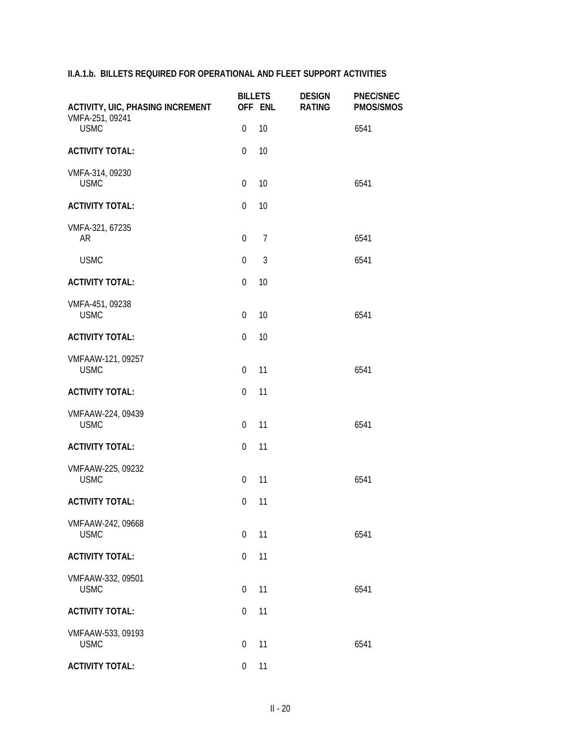| <b>ACTIVITY, UIC, PHASING INCREMENT</b> |                  | <b>BILLETS</b><br>OFF ENL | <b>DESIGN</b><br><b>RATING</b> | <b>PNEC/SNEC</b><br>PMOS/SMOS |
|-----------------------------------------|------------------|---------------------------|--------------------------------|-------------------------------|
| VMFA-251, 09241<br><b>USMC</b>          | $\mathbf 0$      | 10                        |                                | 6541                          |
| <b>ACTIVITY TOTAL:</b>                  | $\mathbf 0$      | 10                        |                                |                               |
| VMFA-314, 09230<br><b>USMC</b>          | 0                | 10                        |                                | 6541                          |
| <b>ACTIVITY TOTAL:</b>                  | $\mathbf 0$      | 10                        |                                |                               |
| VMFA-321, 67235<br>AR                   | $\boldsymbol{0}$ | $\overline{7}$            |                                | 6541                          |
| <b>USMC</b>                             | $\mathbf 0$      | $\mathfrak{Z}$            |                                | 6541                          |
| <b>ACTIVITY TOTAL:</b>                  | $\mathbf 0$      | 10                        |                                |                               |
| VMFA-451, 09238<br><b>USMC</b>          | $\mathbf 0$      | 10                        |                                | 6541                          |
| <b>ACTIVITY TOTAL:</b>                  | $\mathbf 0$      | 10                        |                                |                               |
| VMFAAW-121, 09257<br><b>USMC</b>        | 0                | 11                        |                                | 6541                          |
| <b>ACTIVITY TOTAL:</b>                  | $\mathbf 0$      | 11                        |                                |                               |
| VMFAAW-224, 09439<br><b>USMC</b>        | 0                | 11                        |                                | 6541                          |
| <b>ACTIVITY TOTAL:</b>                  | 0                | 11                        |                                |                               |
| VMFAAW-225, 09232<br><b>USMC</b>        | $\boldsymbol{0}$ | 11                        |                                | 6541                          |
| <b>ACTIVITY TOTAL:</b>                  | $\mathbf{0}$     | 11                        |                                |                               |
| VMFAAW-242, 09668<br><b>USMC</b>        | $\Omega$         | 11                        |                                | 6541                          |
| <b>ACTIVITY TOTAL:</b>                  | 0                | 11                        |                                |                               |
| VMFAAW-332, 09501<br><b>USMC</b>        | $\theta$         | 11                        |                                | 6541                          |
| <b>ACTIVITY TOTAL:</b>                  | $\Omega$         | 11                        |                                |                               |
| VMFAAW-533, 09193<br><b>USMC</b>        | $\boldsymbol{0}$ | 11                        |                                | 6541                          |
| <b>ACTIVITY TOTAL:</b>                  | 0                | 11                        |                                |                               |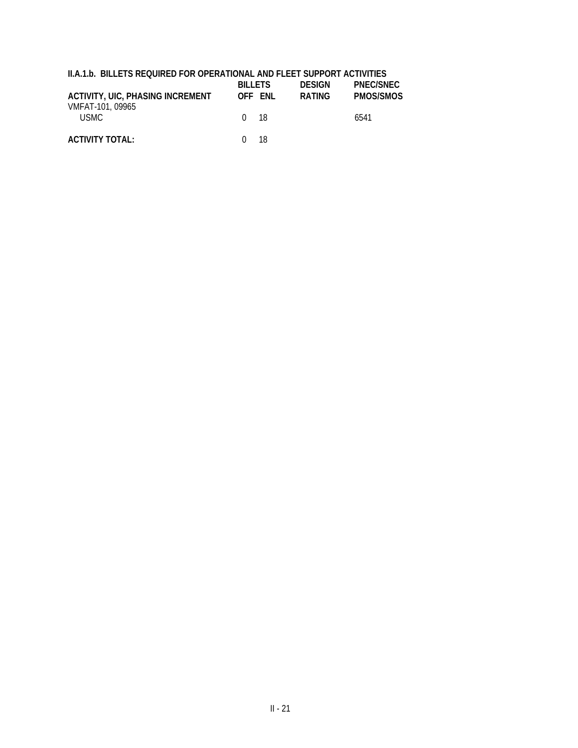|  |  |  | II.A.1.b. BILLETS REQUIRED FOR OPERATIONAL AND FLEET SUPPORT ACTIVITIES |
|--|--|--|-------------------------------------------------------------------------|
|--|--|--|-------------------------------------------------------------------------|

| ACTIVITY, UIC, PHASING INCREMENT<br>VMFAT-101, 09965 | <b>BILLETS</b><br>OFF FNL | <b>DESIGN</b><br><b>RATING</b> | PNEC/SNEC<br>PMOS/SMOS |
|------------------------------------------------------|---------------------------|--------------------------------|------------------------|
| USMC-                                                | 0 18                      |                                | 6541                   |
| <b>ACTIVITY TOTAL:</b>                               | 18<br>$\cup$              |                                |                        |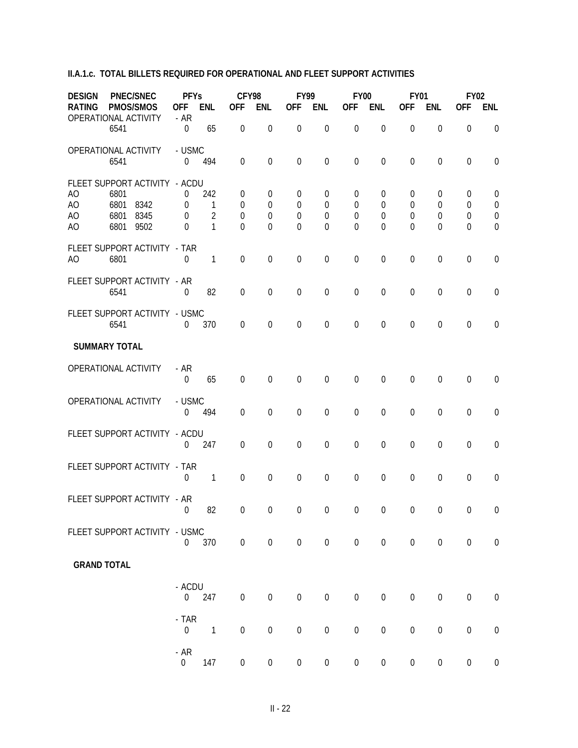| <b>DESIGN</b><br><b>RATING</b><br>OPERATIONAL ACTIVITY                       | <b>PNEC/SNEC</b><br><b>PMOS/SMOS</b>                  | <b>PFYs</b><br><b>OFF</b><br>$-AR$   | ENL                             | CFY98<br><b>OFF</b>                                           | <b>ENL</b>                                     | <b>FY99</b><br><b>OFF</b>                                  | <b>ENL</b>                      | <b>FY00</b><br><b>OFF</b>               | <b>ENL</b>                              | <b>FY01</b><br><b>OFF</b>                | <b>ENL</b>                 | <b>FY02</b><br><b>OFF</b>                   | <b>ENL</b>                                                         |
|------------------------------------------------------------------------------|-------------------------------------------------------|--------------------------------------|---------------------------------|---------------------------------------------------------------|------------------------------------------------|------------------------------------------------------------|---------------------------------|-----------------------------------------|-----------------------------------------|------------------------------------------|----------------------------|---------------------------------------------|--------------------------------------------------------------------|
| 6541                                                                         |                                                       | $\mathbf 0$                          | 65                              | $\boldsymbol{0}$                                              | $\boldsymbol{0}$                               | $\boldsymbol{0}$                                           | $\mathbf 0$                     | $\boldsymbol{0}$                        | $\mathbf 0$                             | $\boldsymbol{0}$                         | $\boldsymbol{0}$           | $\boldsymbol{0}$                            | $\mathbf 0$                                                        |
| OPERATIONAL ACTIVITY<br>6541                                                 |                                                       | - USMC<br>$\Omega$                   | 494                             | $\mathbf 0$                                                   | $\mathbf 0$                                    | $\mathbf 0$                                                | $\mathbf 0$                     | $\mathbf 0$                             | $\mathbf 0$                             | $\mathbf 0$                              | $\boldsymbol{0}$           | $\mathbf 0$                                 | $\mathbf 0$                                                        |
| A <sub>O</sub><br>6801<br>AO<br>6801<br>AO<br>6801<br>6801<br>A <sub>O</sub> | FLEET SUPPORT ACTIVITY - ACDU<br>8342<br>8345<br>9502 | 0<br>$\overline{0}$<br>0<br>$\theta$ | 242<br>1<br>$\overline{2}$<br>1 | $\overline{0}$<br>$\Omega$<br>$\boldsymbol{0}$<br>$\mathbf 0$ | 0<br>$\overline{0}$<br>$\mathbf 0$<br>$\theta$ | $\overline{0}$<br>$\Omega$<br>$\boldsymbol{0}$<br>$\Omega$ | $\boldsymbol{0}$<br>0<br>0<br>0 | $\overline{0}$<br>0<br>$\mathbf 0$<br>0 | $\mathbf 0$<br>0<br>0<br>$\overline{0}$ | 0<br>$\theta$<br>$\mathbf 0$<br>$\theta$ | 0<br>0<br>$\mathbf 0$<br>0 | 0<br>$\mathbf 0$<br>$\mathbf 0$<br>$\theta$ | $\mathbf 0$<br>$\mathbf 0$<br>$\boldsymbol{0}$<br>$\boldsymbol{0}$ |
| 6801<br>A <sub>O</sub>                                                       | FLEET SUPPORT ACTIVITY - TAR                          | $\theta$                             | 1                               | $\mathbf 0$                                                   | $\mathbf 0$                                    | $\mathbf 0$                                                | $\mathbf 0$                     | $\boldsymbol{0}$                        | $\mathbf 0$                             | $\mathbf 0$                              | $\mathbf 0$                | $\mathbf 0$                                 | $\mathbf 0$                                                        |
| 6541                                                                         | FLEET SUPPORT ACTIVITY - AR                           | 0                                    | 82                              | $\mathbf 0$                                                   | $\mathbf 0$                                    | $\boldsymbol{0}$                                           | $\mathbf 0$                     | $\boldsymbol{0}$                        | $\mathbf 0$                             | $\mathbf 0$                              | $\mathbf 0$                | $\mathbf 0$                                 | $\mathbf 0$                                                        |
| 6541                                                                         | FLEET SUPPORT ACTIVITY - USMC                         | 0                                    | 370                             | $\mathbf 0$                                                   | $\mathbf 0$                                    | $\mathbf 0$                                                | $\mathbf 0$                     | $\boldsymbol{0}$                        | $\overline{0}$                          | $\mathbf 0$                              | 0                          | $\mathbf 0$                                 | $\mathbf 0$                                                        |
| <b>SUMMARY TOTAL</b>                                                         |                                                       |                                      |                                 |                                                               |                                                |                                                            |                                 |                                         |                                         |                                          |                            |                                             |                                                                    |
| OPERATIONAL ACTIVITY                                                         |                                                       | $- AR$<br>$\boldsymbol{0}$           | 65                              | $\boldsymbol{0}$                                              | $\mathbf 0$                                    | $\mathbf 0$                                                | $\mathbf 0$                     | 0                                       | $\mathbf 0$                             | $\mathbf 0$                              | 0                          | $\mathbf 0$                                 | $\boldsymbol{0}$                                                   |
| OPERATIONAL ACTIVITY                                                         |                                                       | - USMC<br>0                          | 494                             | $\mathbf 0$                                                   | 0                                              | $\mathbf 0$                                                | $\mathbf 0$                     | $\boldsymbol{0}$                        | $\mathbf 0$                             | $\boldsymbol{0}$                         | $\boldsymbol{0}$           | $\boldsymbol{0}$                            | $\mathbf 0$                                                        |
|                                                                              | FLEET SUPPORT ACTIVITY - ACDU                         | $\Omega$                             | 247                             | $\theta$                                                      | 0                                              | $\mathbf 0$                                                | $\mathbf 0$                     | $\boldsymbol{0}$                        | $\mathbf 0$                             | $\mathbf 0$                              | $\boldsymbol{0}$           | $\boldsymbol{0}$                            | $\mathbf 0$                                                        |
|                                                                              | FLEET SUPPORT ACTIVITY - TAR                          | $\Omega$                             | 1                               | $\boldsymbol{0}$                                              | $\boldsymbol{0}$                               | $\mathbf 0$                                                | $\mathbf 0$                     | $\boldsymbol{0}$                        | $\boldsymbol{0}$                        | $\boldsymbol{0}$                         | $\boldsymbol{0}$           | $\mathbf 0$                                 | $\boldsymbol{0}$                                                   |
|                                                                              | FLEET SUPPORT ACTIVITY - AR                           | $\overline{0}$                       | 82                              | $\overline{0}$                                                | $\overline{0}$                                 | $\overline{0}$                                             | $\overline{0}$                  |                                         | $0\qquad 0$                             | $\overline{0}$                           | $\overline{0}$             | $\overline{0}$                              | $\overline{0}$                                                     |
|                                                                              | FLEET SUPPORT ACTIVITY - USMC                         | $\boldsymbol{0}$                     | 370                             | $\boldsymbol{0}$                                              | $\boldsymbol{0}$                               | $\boldsymbol{0}$                                           | $\boldsymbol{0}$                | $\boldsymbol{0}$                        | $\boldsymbol{0}$                        | $\boldsymbol{0}$                         | $\boldsymbol{0}$           | $\boldsymbol{0}$                            | $\boldsymbol{0}$                                                   |
| <b>GRAND TOTAL</b>                                                           |                                                       |                                      |                                 |                                                               |                                                |                                                            |                                 |                                         |                                         |                                          |                            |                                             |                                                                    |
|                                                                              |                                                       | - ACDU<br>$\overline{0}$             | 247                             | $\boldsymbol{0}$                                              | $\boldsymbol{0}$                               | $\boldsymbol{0}$                                           | $\boldsymbol{0}$                | $\boldsymbol{0}$                        | $\boldsymbol{0}$                        | $\boldsymbol{0}$                         | $\boldsymbol{0}$           | $\boldsymbol{0}$                            | $\boldsymbol{0}$                                                   |
|                                                                              |                                                       | $-TAR$<br>$\boldsymbol{0}$           | $\mathbf{1}$                    | $\boldsymbol{0}$                                              | $\boldsymbol{0}$                               | $\boldsymbol{0}$                                           | $\boldsymbol{0}$                | $\boldsymbol{0}$                        | $\boldsymbol{0}$                        | $\boldsymbol{0}$                         | $\boldsymbol{0}$           | $\boldsymbol{0}$                            | $\boldsymbol{0}$                                                   |
|                                                                              |                                                       | $- AR$<br>$\boldsymbol{0}$           | 147                             | $\boldsymbol{0}$                                              | $\boldsymbol{0}$                               | $\boldsymbol{0}$                                           | $\boldsymbol{0}$                | $\boldsymbol{0}$                        | $\boldsymbol{0}$                        | $\boldsymbol{0}$                         | $\boldsymbol{0}$           | $\boldsymbol{0}$                            | $\boldsymbol{0}$                                                   |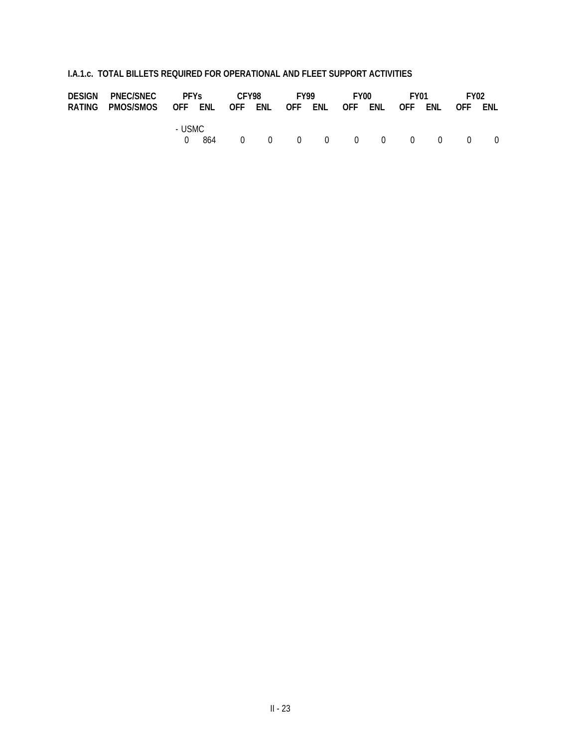| DESIGN PNEC/SNEC PFYS                                            |          | CFY98 |  | <b>FY99</b> |  | FY00 F |                           | FY01 |  | FY <sub>02</sub> |  |
|------------------------------------------------------------------|----------|-------|--|-------------|--|--------|---------------------------|------|--|------------------|--|
| RATING PMOS/SMOS OFF ENL OFF ENL OFF ENL OFF ENL OFF ENL OFF ENL |          |       |  |             |  |        |                           |      |  |                  |  |
|                                                                  | - USMC - |       |  |             |  |        | 864 0 0 0 0 0 0 0 0 0 0 0 |      |  |                  |  |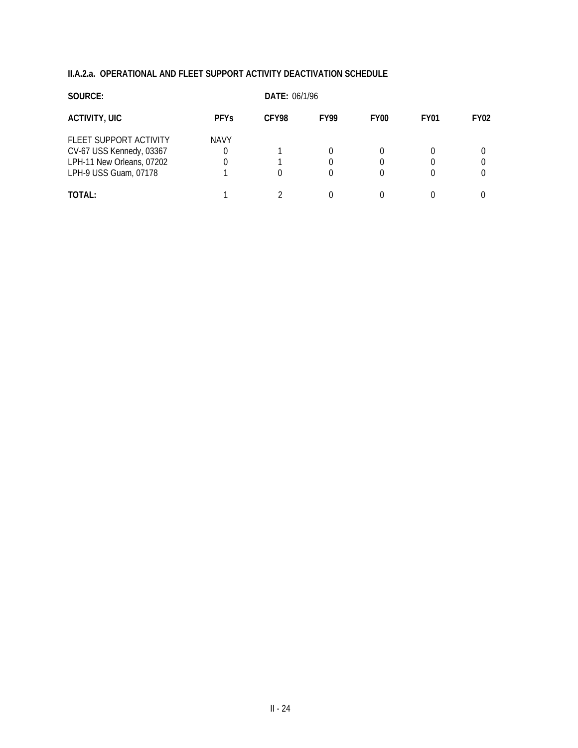## **II.A.2.a. OPERATIONAL AND FLEET SUPPORT ACTIVITY DEACTIVATION SCHEDULE**

| SOURCE:                   |             |       | <b>DATE: 06/1/96</b> |                  |             |             |  |  |  |  |  |
|---------------------------|-------------|-------|----------------------|------------------|-------------|-------------|--|--|--|--|--|
| <b>ACTIVITY, UIC</b>      | <b>PFYs</b> | CFY98 | <b>FY99</b>          | FY <sub>00</sub> | <b>FY01</b> | <b>FY02</b> |  |  |  |  |  |
| FLEET SUPPORT ACTIVITY    | <b>NAVY</b> |       |                      |                  |             |             |  |  |  |  |  |
| CV-67 USS Kennedy, 03367  |             |       |                      |                  |             |             |  |  |  |  |  |
| LPH-11 New Orleans, 07202 |             |       |                      |                  | 0           |             |  |  |  |  |  |
| LPH-9 USS Guam, 07178     |             |       |                      |                  | 0           |             |  |  |  |  |  |
| TOTAL:                    |             |       |                      |                  |             |             |  |  |  |  |  |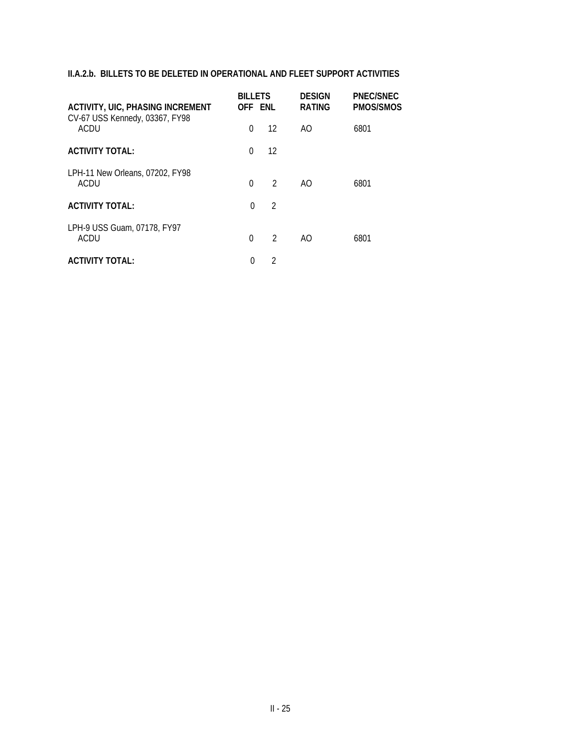# **II.A.2.b. BILLETS TO BE DELETED IN OPERATIONAL AND FLEET SUPPORT ACTIVITIES**

| <b>ACTIVITY, UIC, PHASING INCREMENT</b><br>CV-67 USS Kennedy, 03367, FY98 | <b>BILLETS</b><br>OFF ENL |                | <b>DESIGN</b><br><b>RATING</b> | PNEC/SNEC<br><b>PMOS/SMOS</b> |
|---------------------------------------------------------------------------|---------------------------|----------------|--------------------------------|-------------------------------|
| ACDU                                                                      | $\Omega$                  | 12             | AO                             | 6801                          |
| <b>ACTIVITY TOTAL:</b>                                                    | $\Omega$                  | 12             |                                |                               |
| LPH-11 New Orleans, 07202, FY98<br>ACDU                                   | $\Omega$                  | $\mathfrak{D}$ | AO.                            | 6801                          |
| <b>ACTIVITY TOTAL:</b>                                                    | $\Omega$                  | $\mathfrak{D}$ |                                |                               |
| LPH-9 USS Guam, 07178, FY97<br>ACDU                                       | $\Omega$                  | $\mathfrak{D}$ | AO                             | 6801                          |
| <b>ACTIVITY TOTAL:</b>                                                    | 0                         | $\mathfrak{D}$ |                                |                               |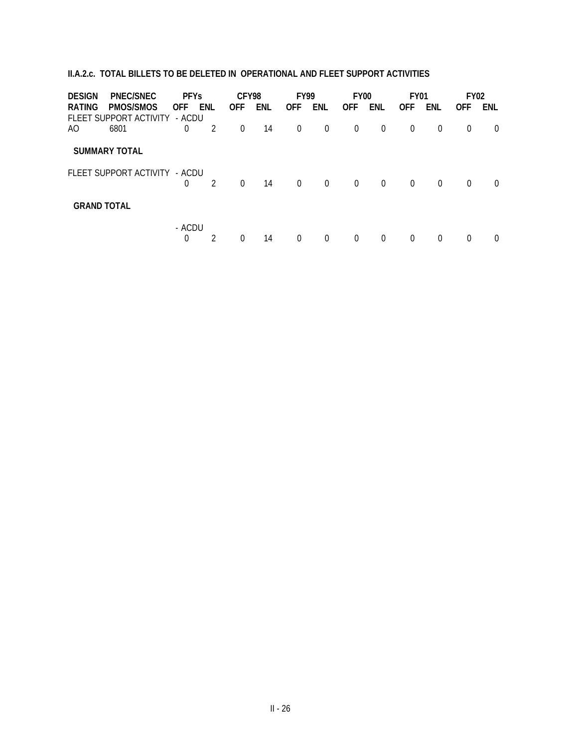# **II.A.2.c. TOTAL BILLETS TO BE DELETED IN OPERATIONAL AND FLEET SUPPORT ACTIVITIES**

| <b>DESIGN</b>      | PNEC/SNEC                           | <b>PFYs</b>          |                | CFY98          |            | <b>FY99</b>    |                | FY <sub>00</sub> |                | <b>FY01</b> |                | <b>FY02</b> |          |
|--------------------|-------------------------------------|----------------------|----------------|----------------|------------|----------------|----------------|------------------|----------------|-------------|----------------|-------------|----------|
| <b>RATING</b>      | PMOS/SMOS<br>FLEET SUPPORT ACTIVITY | <b>OFF</b><br>- ACDU | ENL            | <b>OFF</b>     | <b>ENL</b> | <b>OFF</b>     | <b>ENL</b>     | <b>OFF</b>       | ENL            | <b>OFF</b>  | ENL            | <b>OFF</b>  | ENL      |
| AO.                | 6801                                | 0                    | $\overline{2}$ | $\overline{0}$ | 14         | $\overline{0}$ | $\overline{0}$ | $\overline{0}$   | $\overline{0}$ | $\Omega$    | $\overline{0}$ | $\Omega$    | $\Omega$ |
|                    | <b>SUMMARY TOTAL</b>                |                      |                |                |            |                |                |                  |                |             |                |             |          |
|                    | FLEET SUPPORT ACTIVITY - ACDU       | $\overline{0}$       | 2              | $\Omega$       | 14         | $\Omega$       | $\Omega$       | $\Omega$         | $\Omega$       | $\Omega$    | $\Omega$       | $\Omega$    | $\Omega$ |
| <b>GRAND TOTAL</b> |                                     |                      |                |                |            |                |                |                  |                |             |                |             |          |
|                    |                                     | - ACDU<br>0          | 2              | 0              | 14         | $\Omega$       | 0              | $\Omega$         | $\Omega$       | $\Omega$    | $\Omega$       | $\Omega$    | $\Omega$ |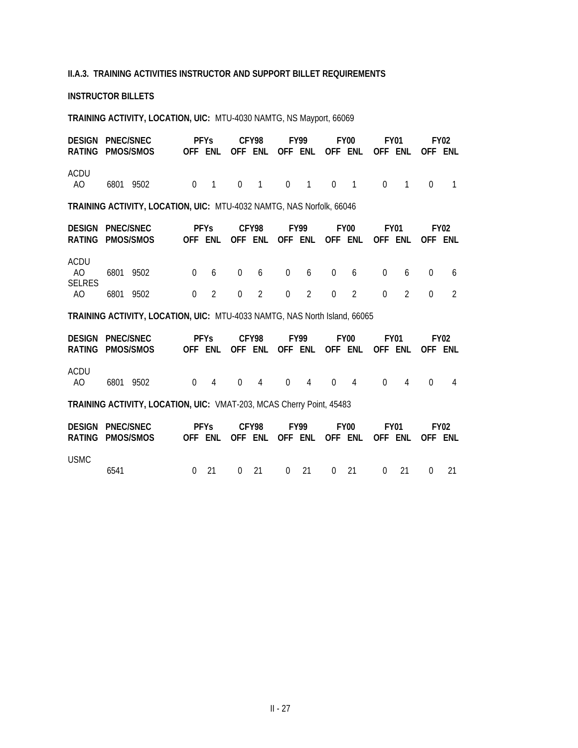## **II.A.3. TRAINING ACTIVITIES INSTRUCTOR AND SUPPORT BILLET REQUIREMENTS**

## **INSTRUCTOR BILLETS**

### **TRAINING ACTIVITY, LOCATION, UIC:** MTU-4030 NAMTG, NS Mayport, 66069

|             | DESIGN PNEC/SNEC |                                   |  |  |  |  |  |  | PFYs CFY98 FY99 FY00                            |  | FY01 | <b>FY02</b> |
|-------------|------------------|-----------------------------------|--|--|--|--|--|--|-------------------------------------------------|--|------|-------------|
|             |                  | RATING PMOS/SMOS                  |  |  |  |  |  |  | OFF ENL OFF ENL OFF ENL OFF ENL OFF ENL OFF ENL |  |      |             |
| ACDU<br>AO. |                  | 6801 9502 0 1 0 1 0 1 0 1 0 1 0 1 |  |  |  |  |  |  |                                                 |  |      |             |

**TRAINING ACTIVITY, LOCATION, UIC:** MTU-4032 NAMTG, NAS Norfolk, 66046

| DESIGN PNEC/SNEC            |  |           |                                   |  |  |  | PFYs CFY98 FY99 |  | FY00 |  | FY01                                            | FY <sub>02</sub> |  |
|-----------------------------|--|-----------|-----------------------------------|--|--|--|-----------------|--|------|--|-------------------------------------------------|------------------|--|
| RATING PMOS/SMOS            |  |           |                                   |  |  |  |                 |  |      |  | OFF ENL OFF ENL OFF ENL OFF ENL OFF ENL OFF ENL |                  |  |
| ACDU<br>AO<br><b>SELRES</b> |  | 6801 9502 | 0 6 0 6 0 6 0 6 0 6 0 6           |  |  |  |                 |  |      |  |                                                 |                  |  |
| AO                          |  |           | 6801 9502 0 2 0 2 0 2 0 2 0 2 0 2 |  |  |  |                 |  |      |  |                                                 |                  |  |

**TRAINING ACTIVITY, LOCATION, UIC:** MTU-4033 NAMTG, NAS North Island, 66065

|             | <b>DESIGN PNEC/SNEC</b><br>RATING PMOS/SMOS                          |          | <b>PFYs</b><br>OFF ENL OFF ENL OFF ENL OFF ENL OFF ENL OFF ENL |  | CFY98       |          | <b>FY99</b>                                    |  | FY <sub>00</sub> |          | FY <sub>01</sub> |                 | <b>FY02</b> |
|-------------|----------------------------------------------------------------------|----------|----------------------------------------------------------------|--|-------------|----------|------------------------------------------------|--|------------------|----------|------------------|-----------------|-------------|
| ACDU<br>AO. | 6801<br>9502                                                         | $\Omega$ | $\overline{4}$                                                 |  | $0 \quad 4$ | $\Omega$ | 4 0                                            |  | $\overline{4}$   | $\Omega$ | 4                | $\Omega$        | 4           |
|             | TRAINING ACTIVITY, LOCATION, UIC: VMAT-203, MCAS Cherry Point, 45483 |          |                                                                |  |             |          |                                                |  |                  |          |                  |                 |             |
|             | <b>DESIGN PNEC/SNEC</b><br>RATING PMOS/SMOS                          |          | <b>PFYs</b>                                                    |  | CFY98       |          | <b>FY99</b><br>OFF ENL OFF ENL OFF ENL OFF ENL |  | FY <sub>00</sub> |          | FY <sub>01</sub> | OFF ENL OFF ENL | <b>FY02</b> |
| <b>USMC</b> |                                                                      |          |                                                                |  |             |          |                                                |  |                  |          |                  |                 |             |

6541 0 21 0 21 0 21 0 21 0 21 0 21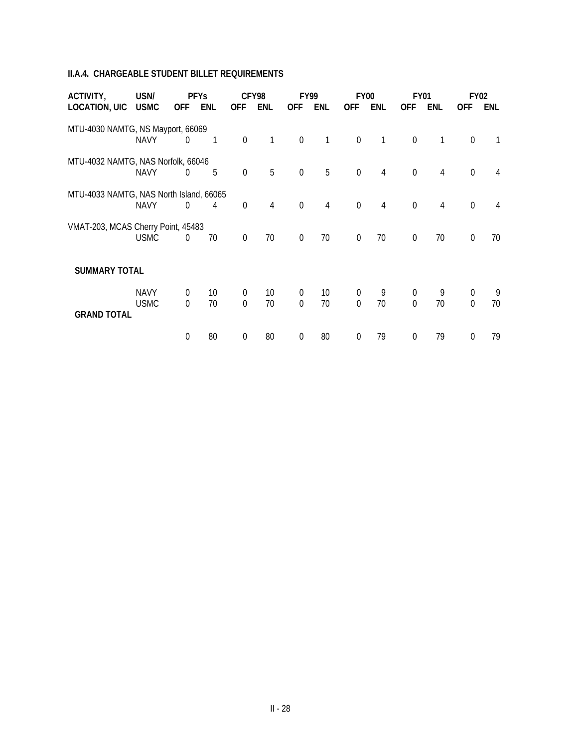# **II.A.4. CHARGEABLE STUDENT BILLET REQUIREMENTS**

| ACTIVITY,                               | USN/        | <b>PFYs</b>    |            |                  | CFY98          |                  | <b>FY99</b>     |                  | FY00           | <b>FY01</b>      |     |                  | <b>FY02</b> |
|-----------------------------------------|-------------|----------------|------------|------------------|----------------|------------------|-----------------|------------------|----------------|------------------|-----|------------------|-------------|
| <b>LOCATION, UIC</b>                    | <b>USMC</b> | <b>OFF</b>     | <b>ENL</b> | <b>OFF</b>       | ENL            | <b>OFF</b>       | <b>ENL</b>      | <b>OFF</b>       | ENL            | <b>OFF</b>       | ENL | <b>OFF</b>       | <b>ENL</b>  |
| MTU-4030 NAMTG, NS Mayport, 66069       |             |                |            |                  |                |                  |                 |                  |                |                  |     |                  |             |
|                                         | <b>NAVY</b> | $\overline{0}$ | 1          | $\mathbf 0$      | 1              | $\mathbf 0$      | 1               | $\boldsymbol{0}$ | 1              | $\boldsymbol{0}$ | 1   | $\mathbf 0$      | 1           |
| MTU-4032 NAMTG, NAS Norfolk, 66046      |             |                |            |                  |                |                  |                 |                  |                |                  |     |                  |             |
|                                         | <b>NAVY</b> | $\Omega$       | 5          | $\mathbf 0$      | 5              | $\mathbf 0$      | 5               | $\mathbf 0$      | $\overline{4}$ | $\mathbf 0$      | 4   | $\mathbf 0$      | 4           |
| MTU-4033 NAMTG, NAS North Island, 66065 |             |                |            |                  |                |                  |                 |                  |                |                  |     |                  |             |
|                                         | <b>NAVY</b> | $\theta$       | 4          | $\mathbf 0$      | $\overline{4}$ | $\mathbf 0$      | 4               | $\mathbf 0$      | $\overline{4}$ | $\mathbf 0$      | 4   | $\mathbf 0$      | 4           |
| VMAT-203, MCAS Cherry Point, 45483      |             |                |            |                  |                |                  |                 |                  |                |                  |     |                  |             |
|                                         | <b>USMC</b> | $\overline{0}$ | 70         | $\boldsymbol{0}$ | 70             | $\boldsymbol{0}$ | 70              | $\mathbf 0$      | 70             | $\mathbf 0$      | 70  | $\mathbf 0$      | 70          |
|                                         |             |                |            |                  |                |                  |                 |                  |                |                  |     |                  |             |
| <b>SUMMARY TOTAL</b>                    |             |                |            |                  |                |                  |                 |                  |                |                  |     |                  |             |
|                                         | <b>NAVY</b> | $\overline{0}$ | 10         | $\boldsymbol{0}$ | 10             | $\boldsymbol{0}$ | 10 <sup>°</sup> | $\boldsymbol{0}$ | 9              | $\boldsymbol{0}$ | 9   | $\boldsymbol{0}$ | 9           |
| <b>GRAND TOTAL</b>                      | <b>USMC</b> | $\overline{0}$ | 70         | $\mathbf 0$      | 70             | $\mathbf 0$      | 70              | $\mathbf 0$      | 70             | $\mathbf 0$      | 70  | $\mathbf 0$      | 70          |
|                                         |             |                |            |                  |                |                  |                 |                  |                |                  |     |                  |             |
|                                         |             | $\overline{0}$ | 80         | $\boldsymbol{0}$ | 80             | 0                | 80              | 0                | 79             | $\theta$         | 79  | 0                | 79          |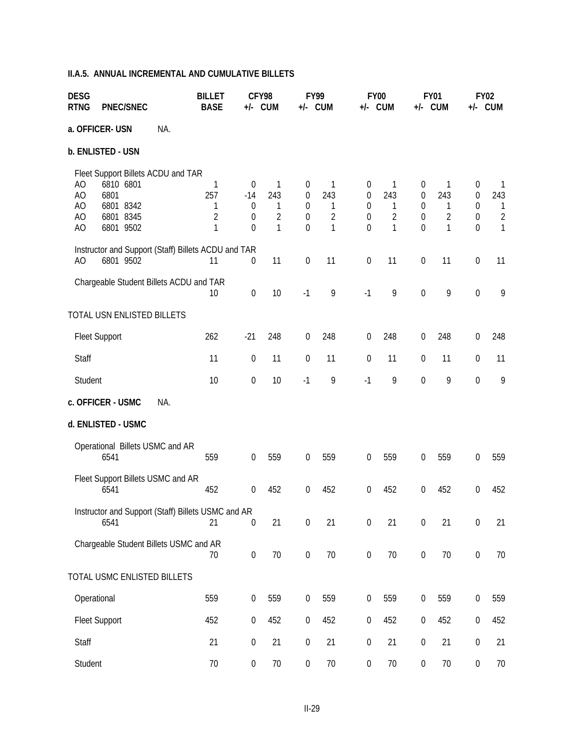# **II.A.5. ANNUAL INCREMENTAL AND CUMULATIVE BILLETS**

| <b>DESG</b><br><b>RTNG</b> | <b>PNEC/SNEC</b>                                                                               | <b>BILLET</b><br><b>BASE</b>         | CFY98<br><b>FY99</b><br>+/- CUM<br>+/- CUM                                |                                      | <b>FY00</b><br>+/- CUM                                                            |                                             | <b>FY01</b><br>+/- CUM                                                    |                                  |                                                                           | <b>FY02</b><br>+/- CUM                          |                                                     |                                                                       |
|----------------------------|------------------------------------------------------------------------------------------------|--------------------------------------|---------------------------------------------------------------------------|--------------------------------------|-----------------------------------------------------------------------------------|---------------------------------------------|---------------------------------------------------------------------------|----------------------------------|---------------------------------------------------------------------------|-------------------------------------------------|-----------------------------------------------------|-----------------------------------------------------------------------|
|                            | a. OFFICER- USN<br>NA.                                                                         |                                      |                                                                           |                                      |                                                                                   |                                             |                                                                           |                                  |                                                                           |                                                 |                                                     |                                                                       |
|                            | b. ENLISTED - USN                                                                              |                                      |                                                                           |                                      |                                                                                   |                                             |                                                                           |                                  |                                                                           |                                                 |                                                     |                                                                       |
| AO<br>AO<br>AO<br>AO<br>AO | Fleet Support Billets ACDU and TAR<br>6810 6801<br>6801<br>6801 8342<br>6801 8345<br>6801 9502 | 1<br>257<br>1<br>$\overline{2}$<br>1 | $\overline{0}$<br>$-14$<br>$\boldsymbol{0}$<br>$\overline{0}$<br>$\theta$ | 1<br>243<br>1<br>$\overline{2}$<br>1 | $\boldsymbol{0}$<br>$\boldsymbol{0}$<br>$\boldsymbol{0}$<br>$\boldsymbol{0}$<br>0 | 1<br>243<br>1<br>$\sqrt{2}$<br>$\mathbf{1}$ | $\boldsymbol{0}$<br>$\boldsymbol{0}$<br>0<br>$\boldsymbol{0}$<br>$\Omega$ | 1<br>243<br>1<br>$\sqrt{2}$<br>1 | $\boldsymbol{0}$<br>$\boldsymbol{0}$<br>$\boldsymbol{0}$<br>0<br>$\theta$ | 1<br>243<br>1<br>$\overline{2}$<br>$\mathbf{1}$ | $\boldsymbol{0}$<br>$\boldsymbol{0}$<br>0<br>0<br>0 | $\mathbf{1}$<br>243<br>$\mathbf{1}$<br>$\overline{2}$<br>$\mathbf{1}$ |
| A <sub>O</sub>             | Instructor and Support (Staff) Billets ACDU and TAR<br>6801 9502                               | 11                                   | 0                                                                         | 11                                   | $\boldsymbol{0}$                                                                  | 11                                          | $\boldsymbol{0}$                                                          | 11                               | $\boldsymbol{0}$                                                          | 11                                              | $\boldsymbol{0}$                                    | 11                                                                    |
|                            | Chargeable Student Billets ACDU and TAR                                                        | 10                                   | $\boldsymbol{0}$                                                          | 10                                   | $-1$                                                                              | 9                                           | $-1$                                                                      | 9                                | $\boldsymbol{0}$                                                          | 9                                               | $\boldsymbol{0}$                                    | 9                                                                     |
|                            | TOTAL USN ENLISTED BILLETS                                                                     |                                      |                                                                           |                                      |                                                                                   |                                             |                                                                           |                                  |                                                                           |                                                 |                                                     |                                                                       |
|                            | <b>Fleet Support</b>                                                                           | 262                                  | $-21$                                                                     | 248                                  | $\boldsymbol{0}$                                                                  | 248                                         | $\boldsymbol{0}$                                                          | 248                              | $\boldsymbol{0}$                                                          | 248                                             | $\boldsymbol{0}$                                    | 248                                                                   |
| Staff                      |                                                                                                | 11                                   | $\boldsymbol{0}$                                                          | 11                                   | 0                                                                                 | 11                                          | $\boldsymbol{0}$                                                          | 11                               | $\boldsymbol{0}$                                                          | 11                                              | $\boldsymbol{0}$                                    | 11                                                                    |
| Student                    |                                                                                                | 10                                   | $\boldsymbol{0}$                                                          | 10                                   | $-1$                                                                              | 9                                           | $-1$                                                                      | 9                                | $\boldsymbol{0}$                                                          | 9                                               | $\boldsymbol{0}$                                    | 9                                                                     |
|                            | c. OFFICER - USMC<br>NA.                                                                       |                                      |                                                                           |                                      |                                                                                   |                                             |                                                                           |                                  |                                                                           |                                                 |                                                     |                                                                       |
|                            | d. ENLISTED - USMC                                                                             |                                      |                                                                           |                                      |                                                                                   |                                             |                                                                           |                                  |                                                                           |                                                 |                                                     |                                                                       |
|                            | Operational Billets USMC and AR<br>6541                                                        | 559                                  | $\boldsymbol{0}$                                                          | 559                                  | $\boldsymbol{0}$                                                                  | 559                                         | $\theta$                                                                  | 559                              | $\boldsymbol{0}$                                                          | 559                                             | 0                                                   | 559                                                                   |
|                            | Fleet Support Billets USMC and AR<br>6541                                                      | 452                                  | $\boldsymbol{0}$                                                          | 452                                  | 0                                                                                 | 452                                         | 0                                                                         | 452                              | 0                                                                         | 452                                             | 0                                                   | 452                                                                   |
|                            | Instructor and Support (Staff) Billets USMC and AR<br>6541                                     | 21                                   | $\boldsymbol{0}$                                                          | 21                                   | $\boldsymbol{0}$                                                                  | 21                                          | $\boldsymbol{0}$                                                          | 21                               | $\boldsymbol{0}$                                                          | 21                                              | $\boldsymbol{0}$                                    | 21                                                                    |
|                            | Chargeable Student Billets USMC and AR                                                         | 70                                   | $\boldsymbol{0}$                                                          | 70                                   | $\boldsymbol{0}$                                                                  | 70                                          | $\boldsymbol{0}$                                                          | 70                               | $\boldsymbol{0}$                                                          | 70                                              | $\boldsymbol{0}$                                    | 70                                                                    |
|                            | TOTAL USMC ENLISTED BILLETS                                                                    |                                      |                                                                           |                                      |                                                                                   |                                             |                                                                           |                                  |                                                                           |                                                 |                                                     |                                                                       |
|                            | Operational                                                                                    | 559                                  | $\boldsymbol{0}$                                                          | 559                                  | $\boldsymbol{0}$                                                                  | 559                                         | 0                                                                         | 559                              | $\boldsymbol{0}$                                                          | 559                                             | $\boldsymbol{0}$                                    | 559                                                                   |
|                            | <b>Fleet Support</b>                                                                           | 452                                  | $\boldsymbol{0}$                                                          | 452                                  | $\boldsymbol{0}$                                                                  | 452                                         | $\boldsymbol{0}$                                                          | 452                              | $\boldsymbol{0}$                                                          | 452                                             | $\boldsymbol{0}$                                    | 452                                                                   |
| Staff                      |                                                                                                | 21                                   | $\boldsymbol{0}$                                                          | 21                                   | $\boldsymbol{0}$                                                                  | 21                                          | $\boldsymbol{0}$                                                          | 21                               | $\boldsymbol{0}$                                                          | 21                                              | $\boldsymbol{0}$                                    | 21                                                                    |
| Student                    |                                                                                                | $70$                                 | $\boldsymbol{0}$                                                          | 70                                   | $\boldsymbol{0}$                                                                  | 70                                          | $\boldsymbol{0}$                                                          | 70                               | $\boldsymbol{0}$                                                          | 70                                              | $\boldsymbol{0}$                                    | 70                                                                    |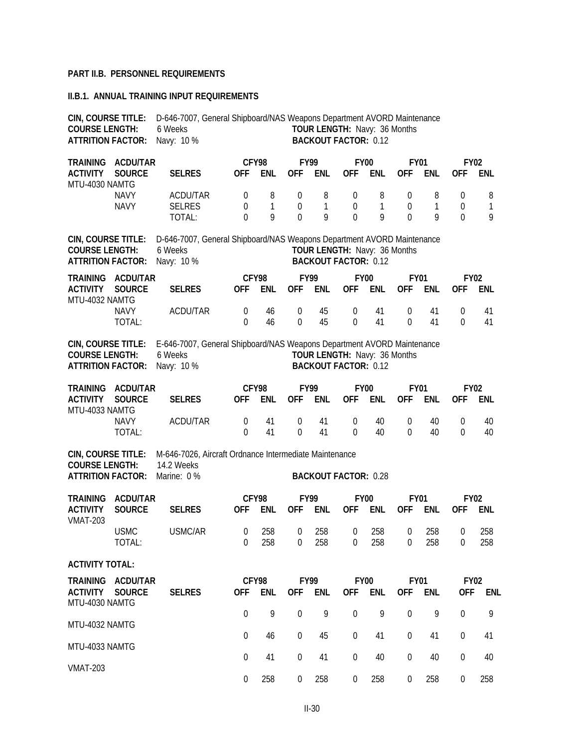## **PART II.B. PERSONNEL REQUIREMENTS**

### **II.B.1. ANNUAL TRAINING INPUT REQUIREMENTS**

| CIN, COURSE TITLE:<br><b>COURSE LENGTH:</b><br><b>ATTRITION FACTOR:</b>                                   |                                  | D-646-7007, General Shipboard/NAS Weapons Department AVORD Maintenance<br>TOUR LENGTH: Navy: 36 Months<br>6 Weeks<br>Navy: 10 %<br><b>BACKOUT FACTOR: 0.12</b> |                              |                     |                                 |                           |                                                             |                        |                                                |             |                       |                           |
|-----------------------------------------------------------------------------------------------------------|----------------------------------|----------------------------------------------------------------------------------------------------------------------------------------------------------------|------------------------------|---------------------|---------------------------------|---------------------------|-------------------------------------------------------------|------------------------|------------------------------------------------|-------------|-----------------------|---------------------------|
| <b>TRAINING</b><br><b>ACTIVITY</b>                                                                        | <b>ACDU/TAR</b><br><b>SOURCE</b> | <b>SELRES</b>                                                                                                                                                  | <b>OFF</b>                   | CFY98<br><b>ENL</b> | <b>OFF</b>                      | <b>FY99</b><br><b>ENL</b> | <b>FY00</b><br><b>OFF</b>                                   | <b>ENL</b>             | <b>FY01</b><br><b>OFF</b>                      | <b>ENL</b>  | <b>OFF</b>            | <b>FY02</b><br><b>ENL</b> |
| MTU-4030 NAMTG                                                                                            | <b>NAVY</b><br><b>NAVY</b>       | <b>ACDU/TAR</b><br><b>SELRES</b><br>TOTAL:                                                                                                                     | 0<br>0<br>$\Omega$           | 8<br>1<br>9         | 0<br>0<br>$\overline{0}$        | 8<br>1<br>9               | 0<br>$\boldsymbol{0}$<br>$\theta$                           | 8<br>$\mathbf{1}$<br>9 | $\theta$<br>$\boldsymbol{0}$<br>$\overline{0}$ | 8<br>1<br>9 | 0<br>0<br>$\mathbf 0$ | 8<br>1<br>9               |
| CIN, COURSE TITLE:<br><b>COURSE LENGTH:</b><br><b>ATTRITION FACTOR:</b>                                   |                                  | D-646-7007, General Shipboard/NAS Weapons Department AVORD Maintenance<br>6 Weeks<br>Navy: 10 %                                                                |                              |                     |                                 |                           | TOUR LENGTH: Navy: 36 Months<br><b>BACKOUT FACTOR: 0.12</b> |                        |                                                |             |                       |                           |
| <b>TRAINING</b><br><b>ACTIVITY</b><br>MTU-4032 NAMTG                                                      | ACDU/TAR<br><b>SOURCE</b>        | <b>SELRES</b>                                                                                                                                                  | <b>OFF</b>                   | CFY98<br><b>ENL</b> | <b>OFF</b>                      | <b>FY99</b><br><b>ENL</b> | <b>FY00</b><br><b>OFF</b>                                   | <b>ENL</b>             | <b>FY01</b><br><b>OFF</b>                      | <b>ENL</b>  | <b>OFF</b>            | <b>FY02</b><br><b>ENL</b> |
|                                                                                                           | <b>NAVY</b><br>TOTAL:            | ACDU/TAR                                                                                                                                                       | $\boldsymbol{0}$<br>$\theta$ | 46<br>46            | $\mathbf 0$<br>$\mathbf 0$      | 45<br>45                  | $\mathbf 0$<br>$\theta$                                     | 41<br>41               | $\boldsymbol{0}$<br>$\Omega$                   | 41<br>41    | $\boldsymbol{0}$<br>0 | 41<br>41                  |
| CIN, COURSE TITLE:<br><b>COURSE LENGTH:</b><br><b>ATTRITION FACTOR:</b>                                   |                                  | E-646-7007, General Shipboard/NAS Weapons Department AVORD Maintenance<br>6 Weeks<br>Navy: 10 %                                                                |                              |                     |                                 |                           | TOUR LENGTH: Navy: 36 Months<br><b>BACKOUT FACTOR: 0.12</b> |                        |                                                |             |                       |                           |
| <b>TRAINING</b><br><b>ACDU/TAR</b><br><b>ACTIVITY</b><br><b>SOURCE</b><br>MTU-4033 NAMTG                  |                                  | <b>SELRES</b>                                                                                                                                                  | <b>OFF</b>                   | CFY98<br>ENL        | <b>OFF</b>                      | <b>FY99</b><br><b>ENL</b> | <b>FY00</b><br><b>OFF</b>                                   | <b>ENL</b>             | <b>FY01</b><br><b>OFF</b>                      | <b>ENL</b>  | <b>OFF</b>            | <b>FY02</b><br><b>ENL</b> |
|                                                                                                           | <b>NAVY</b><br>TOTAL:            | ACDU/TAR                                                                                                                                                       | 0<br>$\theta$                | 41<br>41            | $\mathbf 0$<br>$\boldsymbol{0}$ | 41<br>41                  | $\mathbf 0$<br>$\Omega$                                     | 40<br>40               | $\theta$<br>$\theta$                           | 40<br>40    | 0<br>0                | 40<br>40                  |
| CIN, COURSE TITLE:<br><b>COURSE LENGTH:</b><br><b>ATTRITION FACTOR:</b>                                   |                                  | M-646-7026, Aircraft Ordnance Intermediate Maintenance<br>14.2 Weeks<br>Marine: 0 %                                                                            |                              |                     |                                 |                           | <b>BACKOUT FACTOR: 0.28</b>                                 |                        |                                                |             |                       |                           |
| <b>TRAINING</b><br><b>ACTIVITY</b>                                                                        | <b>ACDU/TAR</b><br><b>SOURCE</b> | <b>SELRES</b>                                                                                                                                                  | <b>OFF</b>                   | CFY98<br><b>ENL</b> | <b>OFF</b>                      | <b>FY99</b><br><b>ENL</b> | <b>FY00</b><br><b>OFF</b>                                   | <b>ENL</b>             | <b>FY01</b><br><b>OFF</b>                      | <b>ENL</b>  | 0FF                   | <b>FY02</b><br><b>ENL</b> |
| <b>VMAT-203</b>                                                                                           | <b>USMC</b><br>TOTAL:            | USMC/AR                                                                                                                                                        | 0<br>$\overline{0}$          | 258<br>258          | $\mathbf 0$<br>0                | 258<br>258                | 0<br>0                                                      | 258<br>258             | $\boldsymbol{0}$<br>0                          | 258<br>258  | 0<br>0                | 258<br>258                |
| <b>ACTIVITY TOTAL:</b>                                                                                    |                                  |                                                                                                                                                                |                              |                     |                                 |                           |                                                             |                        |                                                |             |                       |                           |
| <b>ACDU/TAR</b><br><b>TRAINING</b><br><b>ACTIVITY</b><br><b>SOURCE</b><br><b>SELRES</b><br>MTU-4030 NAMTG |                                  |                                                                                                                                                                | <b>OFF</b>                   | CFY98<br><b>ENL</b> | <b>OFF</b>                      | <b>FY99</b><br>ENL        | <b>FY00</b><br><b>OFF</b>                                   | <b>ENL</b>             | <b>FY01</b><br><b>OFF</b>                      | <b>ENL</b>  | <b>OFF</b>            | <b>FY02</b><br><b>ENL</b> |
| MTU-4032 NAMTG                                                                                            |                                  |                                                                                                                                                                | $\overline{0}$               | 9                   | $\mathbf 0$                     | 9                         | $\mathbf 0$                                                 | 9                      | $\overline{0}$                                 | 9           | 0                     | 9                         |
| MTU-4033 NAMTG                                                                                            |                                  |                                                                                                                                                                | $\Omega$                     | 46                  | $\boldsymbol{0}$                | 45                        | 0                                                           | 41                     | $\Omega$                                       | 41          | 0                     | 41                        |
|                                                                                                           |                                  |                                                                                                                                                                | 41                           | 0                   | 41                              | $\mathbf 0$               | 40                                                          | $\Omega$               | 40                                             | 0           | 40                    |                           |
| <b>VMAT-203</b>                                                                                           |                                  |                                                                                                                                                                | 0                            | 258                 | $\boldsymbol{0}$                | 258                       | $\mathbf 0$                                                 | 258                    | 0                                              | 258         | 0                     | 258                       |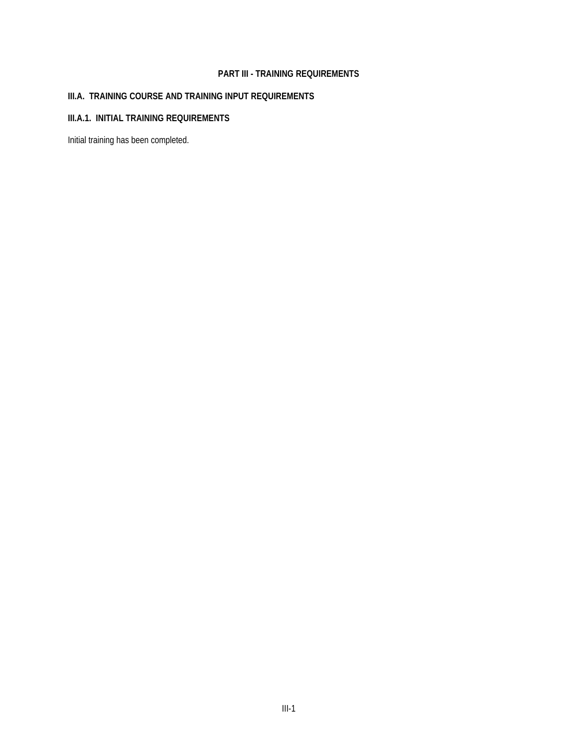## **PART III - TRAINING REQUIREMENTS**

# **III.A. TRAINING COURSE AND TRAINING INPUT REQUIREMENTS**

## **III.A.1. INITIAL TRAINING REQUIREMENTS**

Initial training has been completed.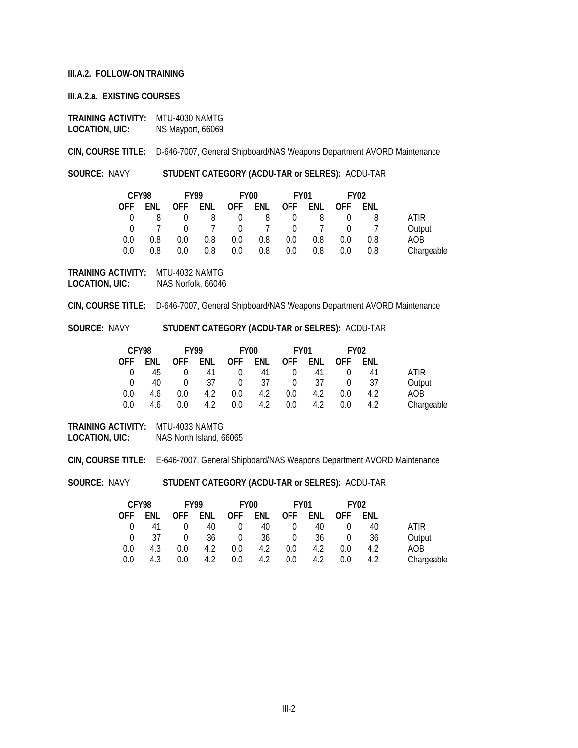### **III.A.2. FOLLOW-ON TRAINING**

#### **III.A.2.a. EXISTING COURSES**

**TRAINING ACTIVITY: MTU-4030 NAMTG<br>LOCATION, UIC:** NS Mayport, 66069 **LOCATION, UIC:** NS Mayport, 66069

**CIN, COURSE TITLE:** D-646-7007, General Shipboard/NAS Weapons Department AVORD Maintenance

**SOURCE:** NAVY **STUDENT CATEGORY (ACDU-TAR or SELRES):** ACDU-TAR

| CFY98 |     | <b>FY99</b> |     | FY00    |                                 |          | FY01 |          | <b>FY02</b> |            |
|-------|-----|-------------|-----|---------|---------------------------------|----------|------|----------|-------------|------------|
| OFF.  | ENL |             |     |         | OFF ENL OFF ENL OFF ENL OFF ENL |          |      |          |             |            |
| - 0   | 8   |             |     |         | $0 \quad 8 \quad 0 \quad 8$     | $\Omega$ | -8   | $\Omega$ | 8           | ATIR       |
| - 0   |     |             |     |         | 0 7 0 7 0 7                     |          |      | $\sim$ 0 |             | Output     |
| 0.0   | 0.8 | 0.0         | 0.8 | $0.0\,$ | 0.8                             | 0.0      | 0.8  | 0.0      | 0.8         | AOB        |
| 0.0   | 0.8 | 0.0         | 0.8 | 0.0     | 0.8                             | 0.0      | 0.8  | $0.0\,$  | 0.8         | Chargeable |

**TRAINING ACTIVITY:** MTU-4032 NAMTG **LOCATION, UIC:** NAS Norfolk, 66046

**CIN, COURSE TITLE:** D-646-7007, General Shipboard/NAS Weapons Department AVORD Maintenance

**SOURCE:** NAVY **STUDENT CATEGORY (ACDU-TAR or SELRES):** ACDU-TAR

| CFY98    |     | <b>FY99</b> |     |            | FY <sub>00</sub> | <b>FY01</b> |     |            | <b>FY02</b> |            |
|----------|-----|-------------|-----|------------|------------------|-------------|-----|------------|-------------|------------|
| OFF.     | ENL | <b>OFF</b>  | ENL | <b>OFF</b> | ENL              | <b>OFF</b>  | ENL | <b>OFF</b> | ENL         |            |
| $\Omega$ | 45  |             | 41  | $\Omega$   | 41               | $\Omega$    | 41  |            | 41          | ATIR       |
| $\cap$   | 40  | 0           | 37  | $\Omega$   | 37               | $\Omega$    | 37  |            | -37         | Output     |
| 0.0      | 4.6 | 0.0         | 4.2 | 0.0        | 4.2              | 0.0         | 4.2 | $0.0\,$    | 4.2         | AOB        |
| 0.0      | 4.6 | 0.0         | 4.2 | 0.0        | 4.2              | 0.0         | 4.2 | 0.0        | 4.2         | Chargeable |

**TRAINING ACTIVITY:** MTU-4033 NAMTG **LOCATION, UIC:** NAS North Island, 66065

**CIN, COURSE TITLE:** E-646-7007, General Shipboard/NAS Weapons Department AVORD Maintenance

**SOURCE:** NAVY **STUDENT CATEGORY (ACDU-TAR or SELRES):** ACDU-TAR

| CFY98  |     | <b>FY99</b> |     |            | <b>FY00</b> |            | <b>FY01</b> |            | <b>FY02</b> |            |
|--------|-----|-------------|-----|------------|-------------|------------|-------------|------------|-------------|------------|
| OFF    | ENL | <b>OFF</b>  | ENL | <b>OFF</b> | ENL         | <b>OFF</b> | ENL         | <b>OFF</b> | ENL         |            |
|        | 41  |             | 40  | $\Omega$   | 40          |            | 40          |            | 40          | ATIR       |
| $\cap$ | 37  |             | 36  | $\Omega$   | 36          | $\Omega$   | 36          |            | 36          | Output     |
| 0.0    | 4.3 | 0.0         | 4.2 | 0.0        | 4.2         | 0.0        | 4.2         | 0.0        | 4.2         | AOB        |
| 0.0    | 4.3 | 0.0         | 4.2 | 0.0        | 4.2         | 0.0        | 4.2         | 0.0        | 4.2         | Chargeable |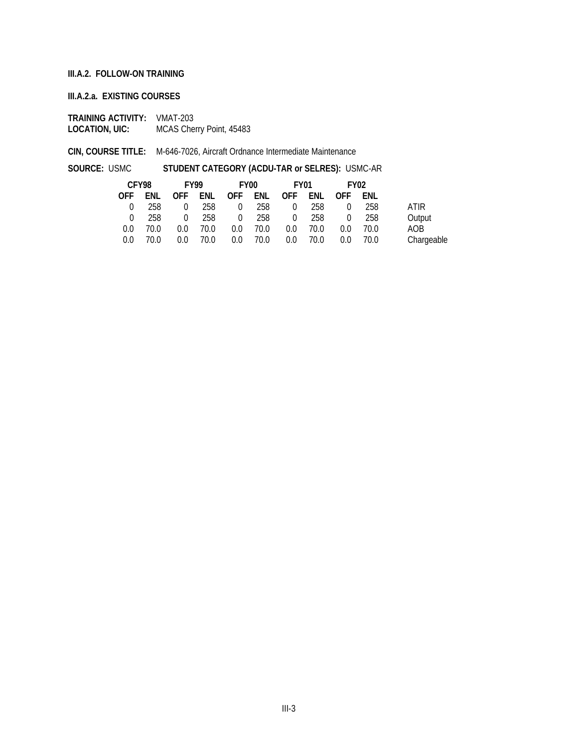### **III.A.2. FOLLOW-ON TRAINING**

### **III.A.2.a. EXISTING COURSES**

**TRAINING ACTIVITY:** VMAT-203<br>**LOCATION, UIC:** MCAS Cher **MCAS Cherry Point, 45483** 

**CIN, COURSE TITLE:** M-646-7026, Aircraft Ordnance Intermediate Maintenance

**SOURCE:** USMC **STUDENT CATEGORY (ACDU-TAR or SELRES):** USMC-AR

| CFY98    |      | FY99     |       |                | FY00     | FY01                            |      | FY <sub>02</sub> |      |             |
|----------|------|----------|-------|----------------|----------|---------------------------------|------|------------------|------|-------------|
|          |      |          |       |                |          | OFF ENL OFF ENL OFF ENL OFF ENL |      | OFF FNL          |      |             |
| $\cap$   | -258 | 0        | - 258 | $\Omega$       | 258      | $\Omega$                        | 258  | $\Omega$         | 258  | <b>ATIR</b> |
| $\Omega$ | 258  | $\Omega$ | 258   | $\overline{0}$ |          | 258 0                           | 258  | $\Omega$         | 258  | Output      |
| 0.0      | 70.0 | 0.0      | 70.0  | 0.0            | 70.0     | $0.0^{\circ}$                   | 70.0 | 0.0              | 70.0 | AOB         |
| 0.0      | 70.0 | 0.0      | 70.0  |                | 0.0 70.0 | 0.0                             | 70.0 | $0.0\,$          | 70.0 | Chargeable  |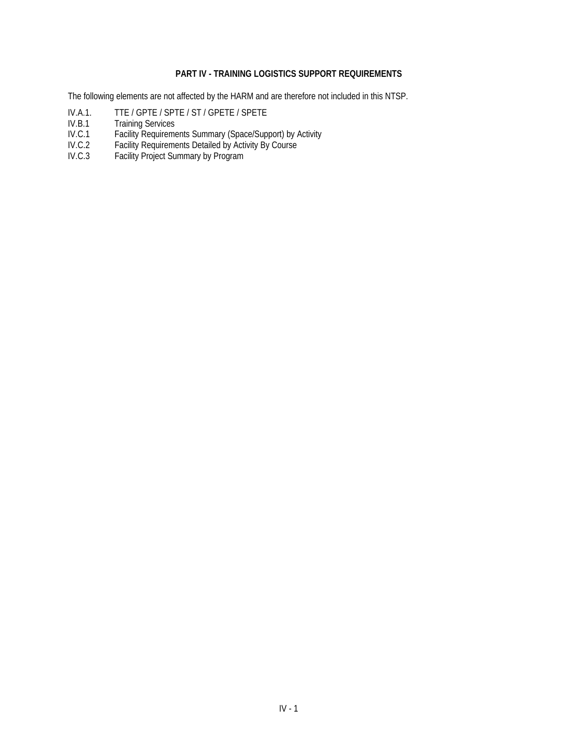# **PART IV - TRAINING LOGISTICS SUPPORT REQUIREMENTS**

The following elements are not affected by the HARM and are therefore not included in this NTSP.

- IV.A.1. TTE / GPTE / SPTE / ST / GPETE / SPETE<br>IV.B.1 Training Services
- IV.B.1 Training Services<br>IV.C.1 Facility Requirement
- IV.C.1 Facility Requirements Summary (Space/Support) by Activity
- IV.C.2 Facility Requirements Detailed by Activity By Course
- IV.C.3 Facility Project Summary by Program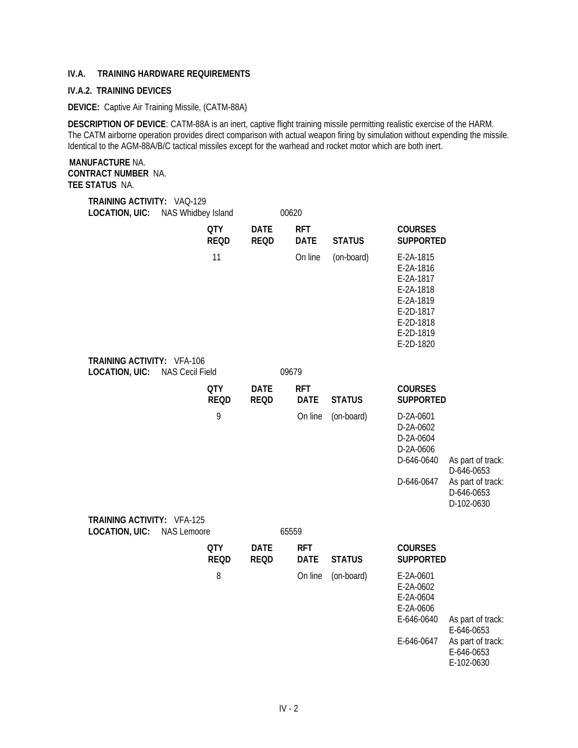## **IV.A. TRAINING HARDWARE REQUIREMENTS**

#### **IV.A.2. TRAINING DEVICES**

#### **DEVICE:** Captive Air Training Missile, (CATM-88A)

**DESCRIPTION OF DEVICE**: CATM-88A is an inert, captive flight training missile permitting realistic exercise of the HARM. The CATM airborne operation provides direct comparison with actual weapon firing by simulation without expending the missile. Identical to the AGM-88A/B/C tactical missiles except for the warhead and rocket motor which are both inert.

### **MANUFACTURE** NA. **CONTRACT NUMBER** NA. **TEE STATUS** NA.

### **TRAINING ACTIVITY:** VAQ-129 LOCATION, UIC: NAS Whidbey Island 00620

|                                                            | <b>QTY</b><br><b>REQD</b> | <b>DATE</b><br><b>REQD</b> | <b>RFT</b><br><b>DATE</b> | <b>STATUS</b> | <b>COURSES</b><br><b>SUPPORTED</b>                                                                                |                                                                                  |
|------------------------------------------------------------|---------------------------|----------------------------|---------------------------|---------------|-------------------------------------------------------------------------------------------------------------------|----------------------------------------------------------------------------------|
|                                                            | 11                        |                            | On line                   | (on-board)    | E-2A-1815<br>E-2A-1816<br>E-2A-1817<br>E-2A-1818<br>E-2A-1819<br>E-2D-1817<br>E-2D-1818<br>E-2D-1819<br>E-2D-1820 |                                                                                  |
| <b>TRAINING ACTIVITY: VFA-106</b><br><b>LOCATION, UIC:</b> | <b>NAS Cecil Field</b>    |                            | 09679                     |               |                                                                                                                   |                                                                                  |
|                                                            | <b>QTY</b><br><b>REQD</b> | <b>DATE</b><br><b>REQD</b> | <b>RFT</b><br><b>DATE</b> | <b>STATUS</b> | <b>COURSES</b><br><b>SUPPORTED</b>                                                                                |                                                                                  |
|                                                            | 9                         |                            | On line                   | (on-board)    | D-2A-0601<br>D-2A-0602<br>D-2A-0604<br>D-2A-0606<br>D-646-0640<br>D-646-0647                                      | As part of track:<br>D-646-0653<br>As part of track:<br>D-646-0653<br>D-102-0630 |
| <b>TRAINING ACTIVITY: VFA-125</b><br><b>LOCATION, UIC:</b> | <b>NAS Lemoore</b>        |                            | 65559                     |               |                                                                                                                   |                                                                                  |
|                                                            | <b>QTY</b><br><b>REQD</b> | <b>DATE</b><br><b>REQD</b> | <b>RFT</b><br><b>DATE</b> | <b>STATUS</b> | <b>COURSES</b><br><b>SUPPORTED</b>                                                                                |                                                                                  |
|                                                            | 8                         |                            | On line                   | (on-board)    | E-2A-0601<br>E-2A-0602<br>E-2A-0604<br>E-2A-0606<br>$-$ ,,,,,,,                                                   |                                                                                  |

E-646-0640 As part of track: E-646-0653 E-646-0647 As part of track: E-646-0653 E-102-0630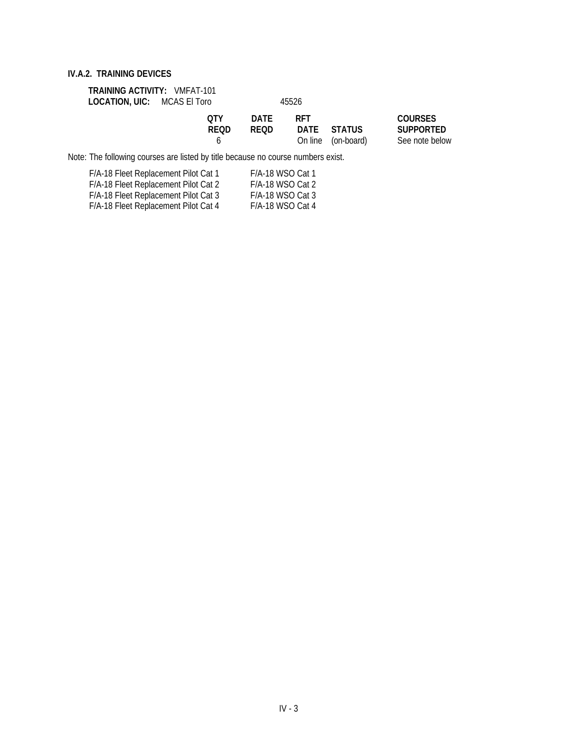## **TRAINING ACTIVITY:** VMFAT-101 LOCATION, UIC: MCAS El Toro 45526

| 0TY  | <b>DATE</b> | <b>RFT</b> |                    |
|------|-------------|------------|--------------------|
| REOD | <b>REOD</b> |            | DATE STATUS        |
|      |             |            | On line (on-board) |

### **QTY DATE RFT COURSES**  $\overline{\text{SUPPORTED}}$ See note below

Note: The following courses are listed by title because no course numbers exist.

| F/A-18 Fleet Replacement Pilot Cat 1 | F/A-18 WSO Cat 1   |
|--------------------------------------|--------------------|
| F/A-18 Fleet Replacement Pilot Cat 2 | F/A-18 WSO Cat 2   |
| F/A-18 Fleet Replacement Pilot Cat 3 | $F/A-18$ WSO Cat 3 |
| F/A-18 Fleet Replacement Pilot Cat 4 | F/A-18 WSO Cat 4   |
|                                      |                    |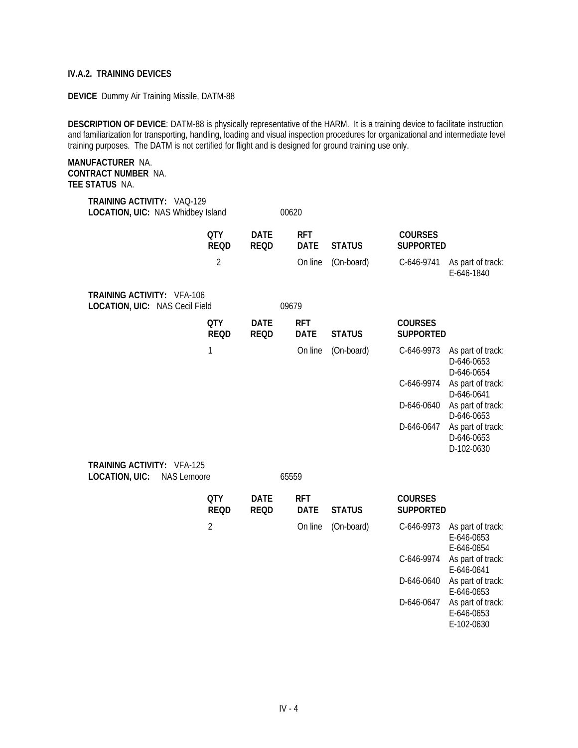**DEVICE** Dummy Air Training Missile, DATM-88

**DESCRIPTION OF DEVICE**: DATM-88 is physically representative of the HARM. It is a training device to facilitate instruction and familiarization for transporting, handling, loading and visual inspection procedures for organizational and intermediate level training purposes. The DATM is not certified for flight and is designed for ground training use only.

### **MANUFACTURER** NA. **CONTRACT NUMBER** NA. **TEE STATUS** NA.

| TRAINING ACTIVITY: VAQ-129<br>LOCATION, UIC: NAS Whidbey Island                  |                           |                            | 00620                     |               |                                    |                                               |
|----------------------------------------------------------------------------------|---------------------------|----------------------------|---------------------------|---------------|------------------------------------|-----------------------------------------------|
|                                                                                  | <b>QTY</b><br><b>REQD</b> | <b>DATE</b><br><b>REQD</b> | <b>RFT</b><br><b>DATE</b> | <b>STATUS</b> | <b>COURSES</b><br><b>SUPPORTED</b> |                                               |
|                                                                                  | 2                         |                            | On line                   | (On-board)    | C-646-9741                         | As part of track:<br>E-646-1840               |
| <b>TRAINING ACTIVITY: VFA-106</b><br>LOCATION, UIC: NAS Cecil Field              |                           |                            | 09679                     |               |                                    |                                               |
|                                                                                  | <b>QTY</b><br><b>REQD</b> | <b>DATE</b><br><b>REQD</b> | <b>RFT</b><br><b>DATE</b> | <b>STATUS</b> | <b>COURSES</b><br><b>SUPPORTED</b> |                                               |
|                                                                                  | $\mathbf 1$               |                            | On line                   | (On-board)    | C-646-9973                         | As part of track:<br>D-646-0653<br>D-646-0654 |
|                                                                                  |                           |                            |                           |               | C-646-9974                         | As part of track:<br>D-646-0641               |
|                                                                                  |                           |                            |                           |               | D-646-0640                         | As part of track:<br>D-646-0653               |
|                                                                                  |                           |                            |                           |               | D-646-0647                         | As part of track:<br>D-646-0653<br>D-102-0630 |
| <b>TRAINING ACTIVITY: VFA-125</b><br><b>LOCATION, UIC:</b><br><b>NAS Lemoore</b> |                           |                            | 65559                     |               |                                    |                                               |
|                                                                                  | <b>QTY</b><br><b>REQD</b> | <b>DATE</b><br><b>REQD</b> | <b>RFT</b><br><b>DATE</b> | <b>STATUS</b> | <b>COURSES</b><br><b>SUPPORTED</b> |                                               |
|                                                                                  | $\overline{2}$            |                            | On line                   | (On-board)    | C-646-9973                         | As part of track:<br>E-646-0653<br>E-646-0654 |
|                                                                                  |                           |                            |                           |               | C-646-9974                         | As part of track:<br>E-646-0641               |
|                                                                                  |                           |                            |                           |               | D-646-0640                         | As part of track:<br>E-646-0653               |
|                                                                                  |                           |                            |                           |               | D-646-0647                         | As part of track:                             |

E-646-0653 E-102-0630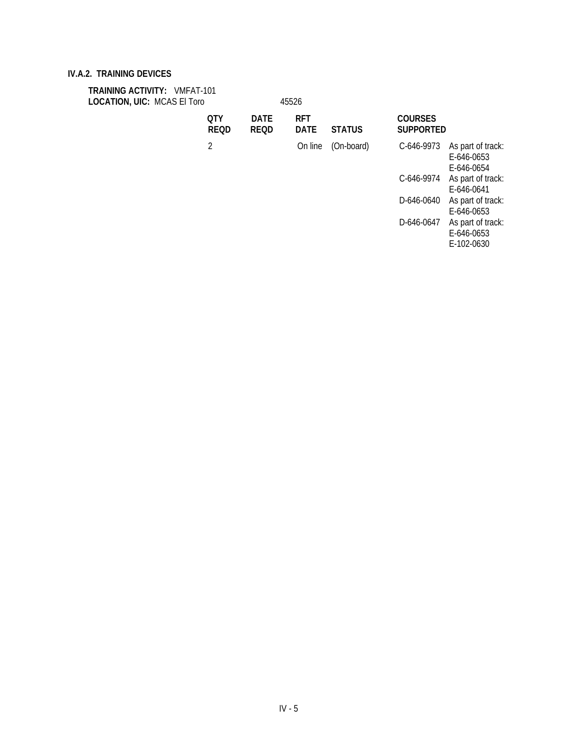| <b>TRAINING ACTIVITY: VMFAT-101</b><br><b>LOCATION, UIC: MCAS El Toro</b> |  |                           |                            | 45526                     |               |                                    |                                               |
|---------------------------------------------------------------------------|--|---------------------------|----------------------------|---------------------------|---------------|------------------------------------|-----------------------------------------------|
|                                                                           |  | <b>OTY</b><br><b>REQD</b> | <b>DATE</b><br><b>REQD</b> | <b>RFT</b><br><b>DATE</b> | <b>STATUS</b> | <b>COURSES</b><br><b>SUPPORTED</b> |                                               |
|                                                                           |  | 2                         |                            | On line                   | (On-board)    | C-646-9973                         | As part of track:<br>E-646-0653<br>E-646-0654 |
|                                                                           |  |                           |                            |                           |               | C-646-9974                         | As part of track:<br>E-646-0641               |
|                                                                           |  |                           |                            |                           |               | D-646-0640                         | As part of track:<br>E-646-0653               |
|                                                                           |  |                           |                            |                           |               | D-646-0647                         | As part of track:<br>E-646-0653               |

E-102-0630

IV - 5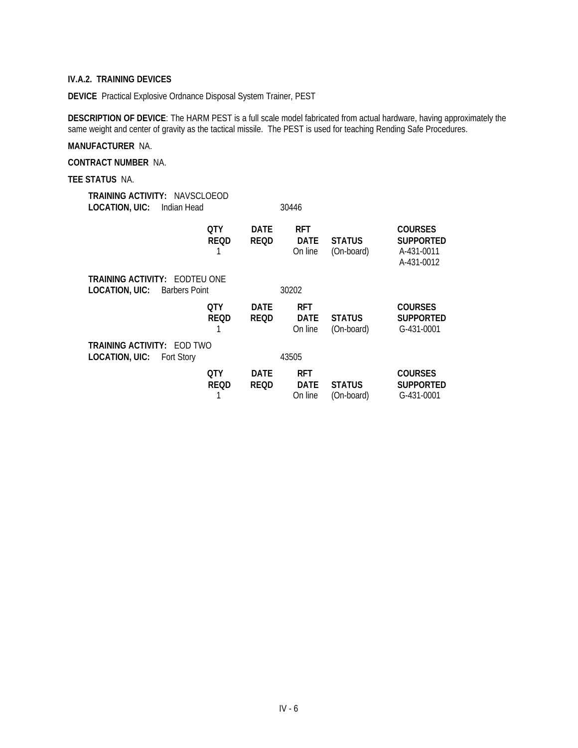**DEVICE** Practical Explosive Ordnance Disposal System Trainer, PEST

**DESCRIPTION OF DEVICE**: The HARM PEST is a full scale model fabricated from actual hardware, having approximately the same weight and center of gravity as the tactical missile. The PEST is used for teaching Rending Safe Procedures.

## **MANUFACTURER** NA.

**CONTRACT NUMBER** NA.

#### **TEE STATUS** NA.

| LOCATION, UIC:                                         |                    |                                                                                                                                    |                                      |                             |                                                                |
|--------------------------------------------------------|--------------------|------------------------------------------------------------------------------------------------------------------------------------|--------------------------------------|-----------------------------|----------------------------------------------------------------|
|                                                        | 0TY<br><b>REOD</b> | DATE<br><b>REQD</b>                                                                                                                | <b>RFT</b><br><b>DATE</b><br>On line | <b>STATUS</b><br>(On-board) | <b>COURSES</b><br><b>SUPPORTED</b><br>A-431-0011<br>A-431-0012 |
|                                                        |                    |                                                                                                                                    |                                      |                             |                                                                |
|                                                        | 0TY                | <b>DATE</b>                                                                                                                        | <b>RFT</b>                           |                             | <b>COURSES</b>                                                 |
|                                                        | <b>REQD</b>        | <b>REQD</b>                                                                                                                        | <b>DATE</b><br>On line               | <b>STATUS</b><br>(On-board) | <b>SUPPORTED</b><br>G-431-0001                                 |
| <b>TRAINING ACTIVITY: EOD TWO</b><br><b>Fort Story</b> |                    |                                                                                                                                    | 43505                                |                             |                                                                |
|                                                        |                    | <b>TRAINING ACTIVITY: NAVSCLOEOD</b><br>Indian Head<br><b>TRAINING ACTIVITY: EODTEU ONE</b><br><b>LOCATION, UIC:</b> Barbers Point |                                      | 30446<br>30202              |                                                                |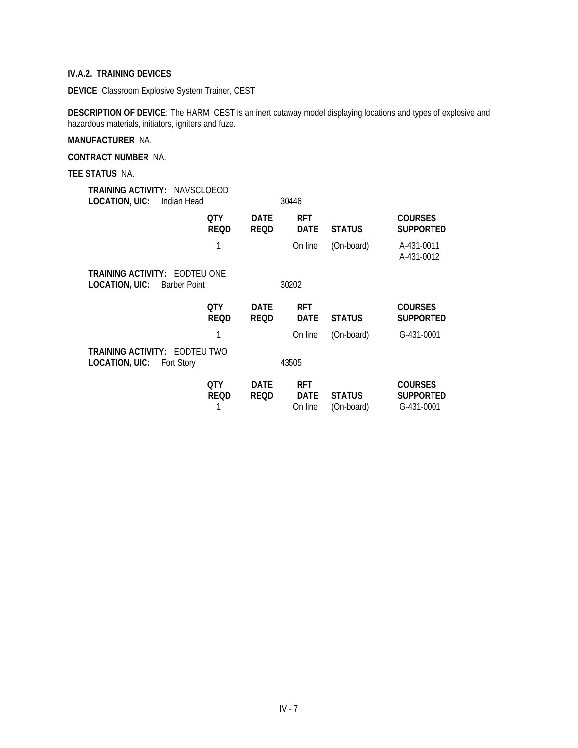**DEVICE** Classroom Explosive System Trainer, CEST

**DESCRIPTION OF DEVICE**: The HARM CEST is an inert cutaway model displaying locations and types of explosive and hazardous materials, initiators, igniters and fuze.

## **MANUFACTURER** NA.

**CONTRACT NUMBER** NA.

**TEE STATUS** NA.

| <b>TRAINING ACTIVITY: NAVSCLOEOD</b><br>LOCATION, UIC:<br>Indian Head         |                    |                            | 30446                     |               |                                    |
|-------------------------------------------------------------------------------|--------------------|----------------------------|---------------------------|---------------|------------------------------------|
|                                                                               | 0TY<br><b>REQD</b> | <b>DATE</b><br><b>REQD</b> | <b>RFT</b><br><b>DATE</b> | <b>STATUS</b> | <b>COURSES</b><br><b>SUPPORTED</b> |
|                                                                               |                    |                            | On line                   | (On-board)    | A-431-0011<br>A-431-0012           |
| <b>TRAINING ACTIVITY: EODTEU ONE</b><br>LOCATION, UIC:<br><b>Barber Point</b> |                    |                            | 30202                     |               |                                    |
|                                                                               | 0TY<br><b>REQD</b> | <b>DATE</b><br><b>REQD</b> | <b>RFT</b><br><b>DATE</b> | <b>STATUS</b> | <b>COURSES</b><br><b>SUPPORTED</b> |
|                                                                               |                    |                            | On line                   | (On-board)    | G-431-0001                         |
| <b>TRAINING ACTIVITY: EODTEU TWO</b><br>LOCATION, UIC:<br><b>Fort Story</b>   |                    |                            | 43505                     |               |                                    |
|                                                                               | 0TY<br><b>REQD</b> | <b>DATE</b><br>REOD        | <b>RFT</b><br><b>DATE</b> | <b>STATUS</b> | <b>COURSES</b><br><b>SUPPORTED</b> |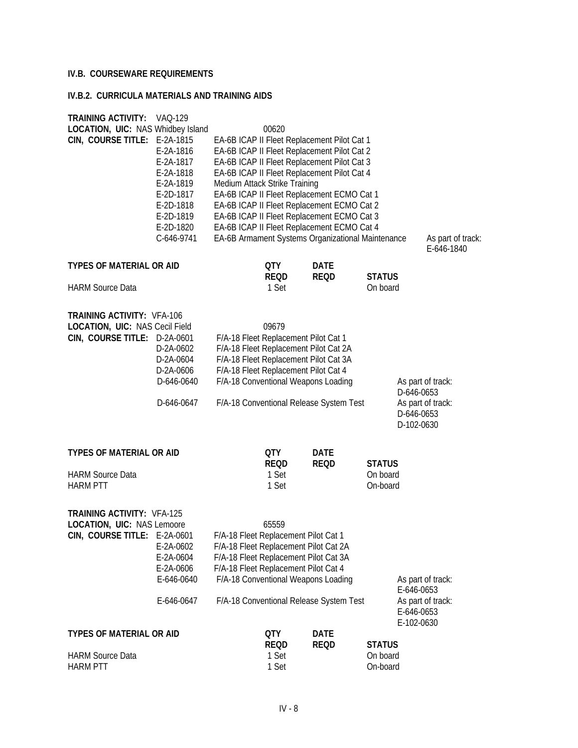# **IV.B. COURSEWARE REQUIREMENTS**

### **IV.B.2. CURRICULA MATERIALS AND TRAINING AIDS**

| <b>TRAINING ACTIVITY: VAQ-129</b>        |            |                               |                                             |                                                   |                   |
|------------------------------------------|------------|-------------------------------|---------------------------------------------|---------------------------------------------------|-------------------|
| <b>LOCATION, UIC: NAS Whidbey Island</b> |            | 00620                         |                                             |                                                   |                   |
| CIN, COURSE TITLE: E-2A-1815             |            |                               | EA-6B ICAP II Fleet Replacement Pilot Cat 1 |                                                   |                   |
|                                          | E-2A-1816  |                               | EA-6B ICAP II Fleet Replacement Pilot Cat 2 |                                                   |                   |
|                                          | E-2A-1817  |                               | EA-6B ICAP II Fleet Replacement Pilot Cat 3 |                                                   |                   |
|                                          | E-2A-1818  |                               | EA-6B ICAP II Fleet Replacement Pilot Cat 4 |                                                   |                   |
|                                          | E-2A-1819  | Medium Attack Strike Training |                                             |                                                   |                   |
|                                          | E-2D-1817  |                               | EA-6B ICAP II Fleet Replacement ECMO Cat 1  |                                                   |                   |
|                                          | E-2D-1818  |                               | EA-6B ICAP II Fleet Replacement ECMO Cat 2  |                                                   |                   |
|                                          | E-2D-1819  |                               | EA-6B ICAP II Fleet Replacement ECMO Cat 3  |                                                   |                   |
|                                          | E-2D-1820  |                               | EA-6B ICAP II Fleet Replacement ECMO Cat 4  |                                                   |                   |
|                                          |            |                               |                                             |                                                   |                   |
|                                          | C-646-9741 |                               |                                             | EA-6B Armament Systems Organizational Maintenance | As part of track: |
|                                          |            |                               |                                             |                                                   | E-646-1840        |
| <b>TYPES OF MATERIAL OR AID</b>          |            | QTY                           | <b>DATE</b>                                 |                                                   |                   |
|                                          |            | REQD                          | <b>REQD</b>                                 | <b>STATUS</b>                                     |                   |
| <b>HARM Source Data</b>                  |            | 1 Set                         |                                             | On board                                          |                   |
|                                          |            |                               |                                             |                                                   |                   |
|                                          |            |                               |                                             |                                                   |                   |
| <b>TRAINING ACTIVITY: VFA-106</b>        |            |                               |                                             |                                                   |                   |
| <b>LOCATION, UIC: NAS Cecil Field</b>    |            | 09679                         |                                             |                                                   |                   |
| CIN, COURSE TITLE: D-2A-0601             |            |                               | F/A-18 Fleet Replacement Pilot Cat 1        |                                                   |                   |
|                                          | D-2A-0602  |                               | F/A-18 Fleet Replacement Pilot Cat 2A       |                                                   |                   |
|                                          | D-2A-0604  |                               | F/A-18 Fleet Replacement Pilot Cat 3A       |                                                   |                   |

| D-2A-0606  | F/A-18 Fleet Replacement Pilot Cat 4    |                                 |
|------------|-----------------------------------------|---------------------------------|
| D-646-0640 | F/A-18 Conventional Weapons Loading     | As part of track:<br>D-646-0653 |
| D-646-0647 | F/A-18 Conventional Release System Test | As part of track:               |

53<br>f track: D-646-0653 D-102-0630

| <b>TYPES OF MATERIAL OR AID</b> | 0TY<br><b>REOD</b> | <b>DATE</b><br><b>REOD</b> | <b>STATUS</b>        |
|---------------------------------|--------------------|----------------------------|----------------------|
| <b>HARM Source Data</b>         | 1 Set              |                            | On board<br>On-board |
| <b>HARM PTT</b>                 | 1 Set              |                            |                      |

| <b>TRAINING ACTIVITY: VFA-125</b> |            |                                         |             |                                       |                                               |
|-----------------------------------|------------|-----------------------------------------|-------------|---------------------------------------|-----------------------------------------------|
| <b>LOCATION, UIC: NAS Lemoore</b> |            | 65559                                   |             |                                       |                                               |
| CIN, COURSE TITLE: E-2A-0601      |            | F/A-18 Fleet Replacement Pilot Cat 1    |             |                                       |                                               |
|                                   | E-2A-0602  | F/A-18 Fleet Replacement Pilot Cat 2A   |             |                                       |                                               |
|                                   | E-2A-0604  | F/A-18 Fleet Replacement Pilot Cat 3A   |             |                                       |                                               |
|                                   | E-2A-0606  | F/A-18 Fleet Replacement Pilot Cat 4    |             |                                       |                                               |
|                                   | E-646-0640 | F/A-18 Conventional Weapons Loading     |             | As part of track:<br>$E - 646 - 0653$ |                                               |
|                                   | E-646-0647 | F/A-18 Conventional Release System Test |             |                                       | As part of track:<br>E-646-0653<br>E-102-0630 |
| <b>TYPES OF MATERIAL OR AID</b>   |            | 0TY                                     | <b>DATE</b> |                                       |                                               |
|                                   |            | <b>REQD</b>                             | <b>REQD</b> | <b>STATUS</b>                         |                                               |
| <b>HARM Source Data</b>           |            | 1 Set                                   |             | On board                              |                                               |
| <b>HARM PTT</b>                   |            | 1 Set                                   |             | On-board                              |                                               |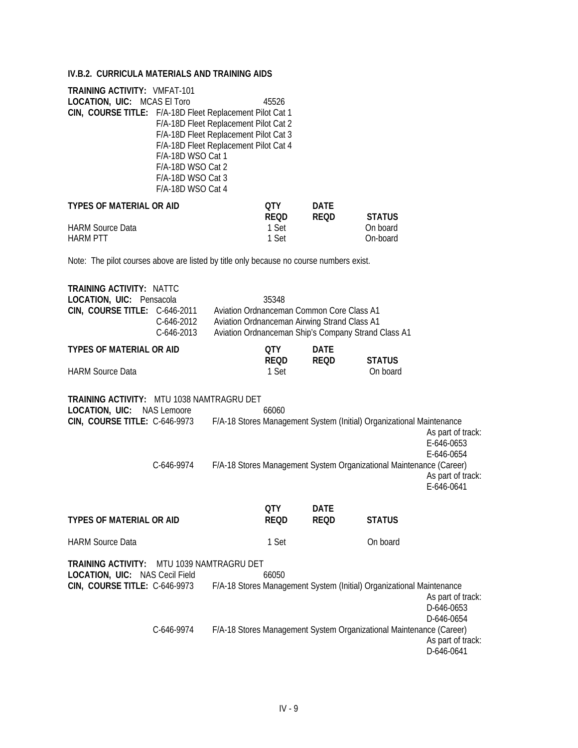# **IV.B.2. CURRICULA MATERIALS AND TRAINING AIDS**

| <b>TRAINING ACTIVITY: VMFAT-101</b><br><b>LOCATION, UIC: MCAS El Toro</b><br>CIN, COURSE TITLE: F/A-18D Fleet Replacement Pilot Cat 1<br>F/A-18D WSO Cat 1<br>F/A-18D WSO Cat 2<br>F/A-18D WSO Cat 3<br>F/A-18D WSO Cat 4 | 45526<br>F/A-18D Fleet Replacement Pilot Cat 2<br>F/A-18D Fleet Replacement Pilot Cat 3<br>F/A-18D Fleet Replacement Pilot Cat 4                          |                            |                      |
|---------------------------------------------------------------------------------------------------------------------------------------------------------------------------------------------------------------------------|-----------------------------------------------------------------------------------------------------------------------------------------------------------|----------------------------|----------------------|
| <b>TYPES OF MATERIAL OR AID</b>                                                                                                                                                                                           | OTY .<br>REOD                                                                                                                                             | <b>DATE</b><br><b>REQD</b> | <b>STATUS</b>        |
| <b>HARM Source Data</b><br><b>HARM PTT</b>                                                                                                                                                                                | 1 Set<br>1 Set                                                                                                                                            |                            | On board<br>On-board |
| Note: The pilot courses above are listed by title only because no course numbers exist.                                                                                                                                   |                                                                                                                                                           |                            |                      |
| <b>TRAINING ACTIVITY: NATTC</b><br>LOCATION, UIC: Pensacola<br>CIN, COURSE TITLE: C-646-2011<br>C-646-2012<br>C-646-2013                                                                                                  | 35348<br>Aviation Ordnanceman Common Core Class A1<br>Aviation Ordnanceman Airwing Strand Class A1<br>Aviation Ordnanceman Ship's Company Strand Class A1 |                            |                      |
| <b>TYPES OF MATERIAL OR AID</b>                                                                                                                                                                                           | <b>QTY</b><br>REOD                                                                                                                                        | <b>DATE</b><br><b>REQD</b> | <b>STATUS</b>        |
| <b>HARM Source Data</b>                                                                                                                                                                                                   | 1 Set                                                                                                                                                     |                            | On board             |
| TRAINING ACTIVITY: MTU 1038 NAMTRAGRU DET<br><b>LOCATION, UIC: NAS Lemoore</b><br>CIN, COURSE TITLE: C-646-9973 F/A-18 Stores Management System (Initial) Organizationa                                                   | 66060                                                                                                                                                     |                            |                      |

| <b>LOUATION, UIU.</b> INAJ LUIIDUIU                                                                |            | uuun  |             |                                                                       |                                                                                        |
|----------------------------------------------------------------------------------------------------|------------|-------|-------------|-----------------------------------------------------------------------|----------------------------------------------------------------------------------------|
| CIN, COURSE TITLE: C-646-9973                                                                      |            |       |             | F/A-18 Stores Management System (Initial) Organizational Maintenance  |                                                                                        |
|                                                                                                    | C-646-9974 |       |             | F/A-18 Stores Management System Organizational Maintenance (Career)   | As part of track:<br>E-646-0653<br>$E - 646 - 0654$<br>As part of track:<br>E-646-0641 |
|                                                                                                    |            | 0TY   | <b>DATE</b> |                                                                       |                                                                                        |
| <b>TYPES OF MATERIAL OR AID</b>                                                                    |            | REQD  | <b>REQD</b> | <b>STATUS</b>                                                         |                                                                                        |
| <b>HARM Source Data</b>                                                                            |            | 1 Set |             | On board                                                              |                                                                                        |
| <b>TRAINING ACTIVITY: MTU 1039 NAMTRAGRU DET</b>                                                   |            |       |             |                                                                       |                                                                                        |
| LOCATION, UIC: NAS Cecil Field                                                                     |            | 66050 |             |                                                                       |                                                                                        |
| CIN, COURSE TITLE: C-646-9973 F/A-18 Stores Management System (Initial) Organizational Maintenance |            |       |             |                                                                       |                                                                                        |
|                                                                                                    |            |       |             |                                                                       | As part of track:                                                                      |
|                                                                                                    |            |       |             |                                                                       | D-646-0653                                                                             |
|                                                                                                    |            |       |             |                                                                       | D-646-0654                                                                             |
|                                                                                                    | 0.110071   |       |             | FIA 10 Classe Messenses of Curbos Ossestrational Metatements (Cesses) |                                                                                        |

C-646-9974 F/A-18 Stores Management System Organizational Maintenance (Career) As part of track: D-646-0641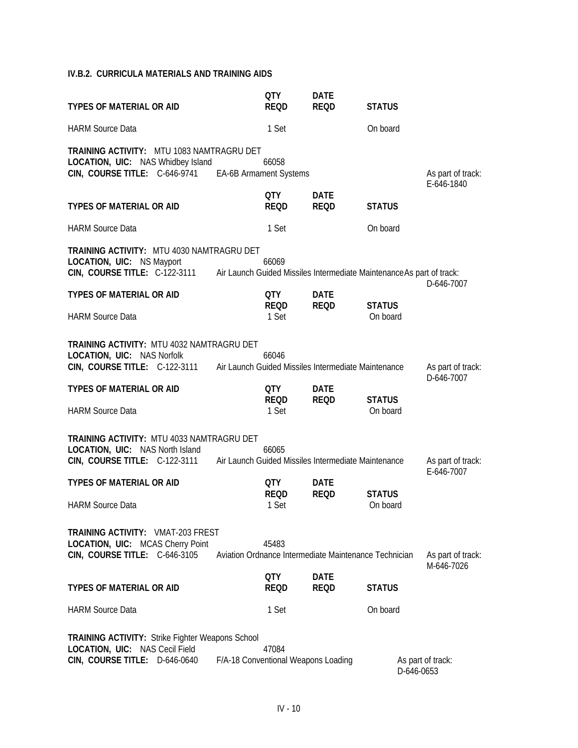# **IV.B.2. CURRICULA MATERIALS AND TRAINING AIDS**

| <b>TYPES OF MATERIAL OR AID</b>                                                                                                                                                             |                                     | <b>QTY</b><br><b>REOD</b>   | <b>DATE</b><br><b>REQD</b>                            | <b>STATUS</b>             |                                 |
|---------------------------------------------------------------------------------------------------------------------------------------------------------------------------------------------|-------------------------------------|-----------------------------|-------------------------------------------------------|---------------------------|---------------------------------|
| <b>HARM Source Data</b>                                                                                                                                                                     |                                     | 1 Set                       |                                                       | On board                  |                                 |
| <b>TRAINING ACTIVITY: MTU 1083 NAMTRAGRU DET</b><br>LOCATION, UIC: NAS Whidbey Island<br>CIN, COURSE TITLE: C-646-9741                                                                      | EA-6B Armament Systems              | 66058                       |                                                       |                           | As part of track:<br>E-646-1840 |
| <b>TYPES OF MATERIAL OR AID</b>                                                                                                                                                             |                                     | QTY<br><b>REQD</b>          | <b>DATE</b><br><b>REQD</b>                            | <b>STATUS</b>             |                                 |
| <b>HARM Source Data</b>                                                                                                                                                                     |                                     | 1 Set                       |                                                       | On board                  |                                 |
| <b>TRAINING ACTIVITY: MTU 4030 NAMTRAGRU DET</b><br><b>LOCATION, UIC: NS Mayport</b><br>CIN, COURSE TITLE: C-122-3111 Air Launch Guided Missiles Intermediate Maintenance As part of track: |                                     | 66069                       |                                                       |                           | D-646-7007                      |
| <b>TYPES OF MATERIAL OR AID</b><br><b>HARM Source Data</b>                                                                                                                                  |                                     | QTY<br><b>REQD</b><br>1 Set | <b>DATE</b><br><b>REQD</b>                            | <b>STATUS</b><br>On board |                                 |
| <b>TRAINING ACTIVITY: MTU 4032 NAMTRAGRU DET</b><br>LOCATION, UIC: NAS Norfolk<br>CIN, COURSE TITLE: C-122-3111 Air Launch Guided Missiles Intermediate Maintenance                         |                                     | 66046                       |                                                       |                           | As part of track:<br>D-646-7007 |
| <b>TYPES OF MATERIAL OR AID</b><br><b>HARM Source Data</b>                                                                                                                                  |                                     | QTY<br><b>REOD</b><br>1 Set | <b>DATE</b><br><b>REQD</b>                            | <b>STATUS</b><br>On board |                                 |
| <b>TRAINING ACTIVITY: MTU 4033 NAMTRAGRU DET</b><br><b>LOCATION, UIC: NAS North Island</b><br>CIN, COURSE TITLE: C-122-3111 Air Launch Guided Missiles Intermediate Maintenance             |                                     | 66065                       |                                                       |                           | As part of track:<br>E-646-7007 |
| <b>TYPES OF MATERIAL OR AID</b><br><b>HARM Source Data</b>                                                                                                                                  |                                     | QTY<br><b>REQD</b><br>1 Set | <b>DATE</b><br><b>REQD</b>                            | <b>STATUS</b><br>On board |                                 |
| <b>TRAINING ACTIVITY: VMAT-203 FREST</b><br>LOCATION, UIC: MCAS Cherry Point<br>CIN, COURSE TITLE: C-646-3105                                                                               |                                     | 45483                       | Aviation Ordnance Intermediate Maintenance Technician |                           | As part of track:<br>M-646-7026 |
| <b>TYPES OF MATERIAL OR AID</b>                                                                                                                                                             |                                     | <b>QTY</b><br><b>REQD</b>   | <b>DATE</b><br><b>REQD</b>                            | <b>STATUS</b>             |                                 |
| <b>HARM Source Data</b>                                                                                                                                                                     |                                     | 1 Set                       |                                                       | On board                  |                                 |
| <b>TRAINING ACTIVITY: Strike Fighter Weapons School</b><br>LOCATION, UIC: NAS Cecil Field<br>CIN, COURSE TITLE: D-646-0640                                                                  | F/A-18 Conventional Weapons Loading | 47084                       |                                                       |                           | As part of track:<br>D-646-0653 |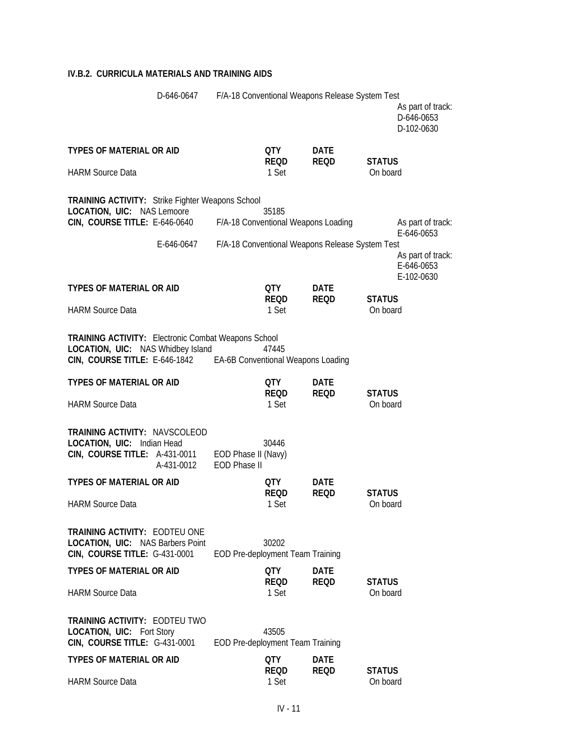## **IV.B.2. CURRICULA MATERIALS AND TRAINING AIDS**

|                                                                                                                                                                            | D-646-0647 F/A-18 Conventional Weapons Release System Test |                                            |                      |                                                 |                           | As part of track:<br>D-646-0653<br>D-102-0630                      |
|----------------------------------------------------------------------------------------------------------------------------------------------------------------------------|------------------------------------------------------------|--------------------------------------------|----------------------|-------------------------------------------------|---------------------------|--------------------------------------------------------------------|
| <b>TYPES OF MATERIAL OR AID</b>                                                                                                                                            |                                                            |                                            | QTY<br><b>REQD</b>   | <b>DATE</b><br><b>REQD</b>                      | <b>STATUS</b>             |                                                                    |
| <b>HARM Source Data</b>                                                                                                                                                    |                                                            |                                            | 1 Set                |                                                 | On board                  |                                                                    |
| TRAINING ACTIVITY: Strike Fighter Weapons School<br><b>LOCATION, UIC: NAS Lemoore</b><br><b>CIN, COURSE TITLE: E-646-0640</b>                                              | E-646-0647                                                 | F/A-18 Conventional Weapons Loading        | 35185                | F/A-18 Conventional Weapons Release System Test |                           | As part of track:<br>E-646-0653<br>As part of track:<br>E-646-0653 |
| <b>TYPES OF MATERIAL OR AID</b>                                                                                                                                            |                                                            |                                            | QTY<br><b>REQD</b>   | <b>DATE</b><br><b>REQD</b>                      | <b>STATUS</b>             | E-102-0630                                                         |
| <b>HARM Source Data</b>                                                                                                                                                    |                                                            |                                            | 1 Set                |                                                 | On board                  |                                                                    |
| <b>TRAINING ACTIVITY:</b> Electronic Combat Weapons School<br><b>LOCATION, UIC: NAS Whidbey Island</b><br>CIN, COURSE TITLE: E-646-1842 EA-6B Conventional Weapons Loading |                                                            |                                            | 47445                |                                                 |                           |                                                                    |
| TYPES OF MATERIAL OR AID                                                                                                                                                   |                                                            |                                            | QTY<br><b>REQD</b>   | <b>DATE</b><br><b>REQD</b>                      | <b>STATUS</b>             |                                                                    |
| <b>HARM Source Data</b>                                                                                                                                                    |                                                            |                                            | 1 Set                |                                                 | On board                  |                                                                    |
| <b>TRAINING ACTIVITY: NAVSCOLEOD</b><br>LOCATION, UIC: Indian Head<br>CIN, COURSE TITLE: A-431-0011                                                                        | A-431-0012                                                 | EOD Phase II (Navy)<br><b>EOD Phase II</b> | 30446                |                                                 |                           |                                                                    |
| <b>TYPES OF MATERIAL OR AID</b>                                                                                                                                            |                                                            |                                            | QTY<br><b>REQD</b>   | <b>DATE</b><br><b>REQD</b>                      | <b>STATUS</b>             |                                                                    |
| <b>HARM Source Data</b>                                                                                                                                                    |                                                            |                                            | 1 Set                |                                                 | On board                  |                                                                    |
| <b>TRAINING ACTIVITY: EODTEU ONE</b><br><b>LOCATION, UIC: NAS Barbers Point</b><br>CIN, COURSE TITLE: G-431-0001                                                           |                                                            | EOD Pre-deployment Team Training           | 30202                |                                                 |                           |                                                                    |
| <b>TYPES OF MATERIAL OR AID</b>                                                                                                                                            |                                                            |                                            | QTY<br><b>REOD</b>   | <b>DATE</b><br><b>REQD</b>                      | <b>STATUS</b>             |                                                                    |
| <b>HARM Source Data</b>                                                                                                                                                    |                                                            |                                            | 1 Set                |                                                 | On board                  |                                                                    |
| <b>TRAINING ACTIVITY: EODTEU TWO</b><br><b>LOCATION, UIC: Fort Story</b><br>CIN, COURSE TITLE: G-431-0001                                                                  |                                                            | EOD Pre-deployment Team Training           | 43505                |                                                 |                           |                                                                    |
| <b>TYPES OF MATERIAL OR AID</b>                                                                                                                                            |                                                            |                                            | QTY                  | <b>DATE</b>                                     |                           |                                                                    |
| <b>HARM Source Data</b>                                                                                                                                                    |                                                            |                                            | <b>REQD</b><br>1 Set | <b>REQD</b>                                     | <b>STATUS</b><br>On board |                                                                    |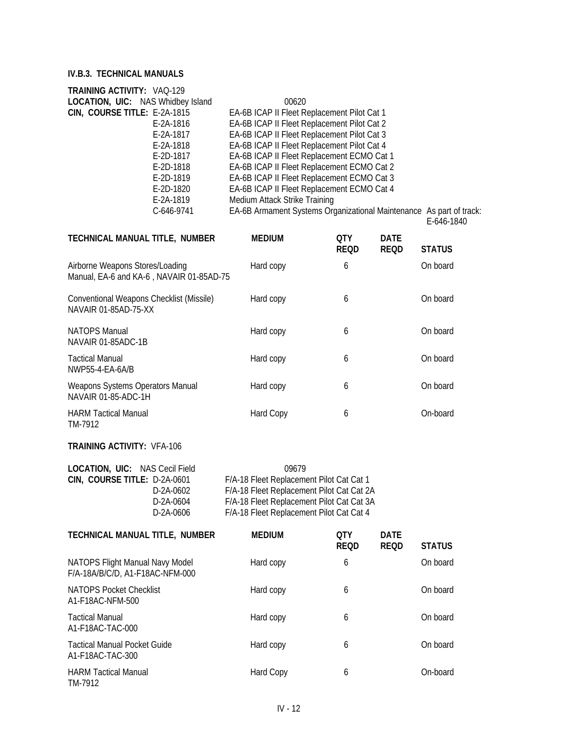| TRAINING ACTIVITY: VAQ-129               |                                                                     |
|------------------------------------------|---------------------------------------------------------------------|
| <b>LOCATION, UIC: NAS Whidbey Island</b> | 00620                                                               |
| CIN, COURSE TITLE: E-2A-1815             | EA-6B ICAP II Fleet Replacement Pilot Cat 1                         |
| E-2A-1816                                | EA-6B ICAP II Fleet Replacement Pilot Cat 2                         |
| E-2A-1817                                | EA-6B ICAP II Fleet Replacement Pilot Cat 3                         |
| E-2A-1818                                | EA-6B ICAP II Fleet Replacement Pilot Cat 4                         |
| E-2D-1817                                | EA-6B ICAP II Fleet Replacement ECMO Cat 1                          |
| E-2D-1818                                | EA-6B ICAP II Fleet Replacement ECMO Cat 2                          |
| E-2D-1819                                | EA-6B ICAP II Fleet Replacement ECMO Cat 3                          |
| E-2D-1820                                | EA-6B ICAP II Fleet Replacement ECMO Cat 4                          |
| E-2A-1819                                | Medium Attack Strike Training                                       |
| C-646-9741                               | EA-6B Armament Systems Organizational Maintenance As part of track: |
|                                          |                                                                     |

E-646-1840

| TECHNICAL MANUAL TITLE, NUMBER                                              | <b>MEDIUM</b> | OTY<br>REOD | DATE<br><b>REOD</b> | <b>STATUS</b> |
|-----------------------------------------------------------------------------|---------------|-------------|---------------------|---------------|
| Airborne Weapons Stores/Loading<br>Manual, EA-6 and KA-6, NAVAIR 01-85AD-75 | Hard copy     | 6           |                     | On board      |
| Conventional Weapons Checklist (Missile)<br>NAVAIR 01-85AD-75-XX            | Hard copy     | 6           |                     | On board      |
| NATOPS Manual<br>NAVAIR 01-85ADC-1B                                         | Hard copy     | 6           |                     | On board      |
| Tactical Manual<br>NWP55-4-EA-6A/B                                          | Hard copy     | 6           |                     | On board      |
| Weapons Systems Operators Manual<br>NAVAIR 01-85-ADC-1H                     | Hard copy     | 6           |                     | On board      |
| <b>HARM Tactical Manual</b><br>TM-7912                                      | Hard Copy     | 6           |                     | On-board      |

### **TRAINING ACTIVITY:** VFA-106

| <b>LOCATION, UIC: NAS Cecil Field</b> | 09679                                     |
|---------------------------------------|-------------------------------------------|
| CIN, COURSE TITLE: D-2A-0601          | F/A-18 Fleet Replacement Pilot Cat Cat 1  |
| D-2A-0602                             | F/A-18 Fleet Replacement Pilot Cat Cat 2A |
| D-2A-0604                             | F/A-18 Fleet Replacement Pilot Cat Cat 3A |
| D-2A-0606                             | F/A-18 Fleet Replacement Pilot Cat Cat 4  |

| TECHNICAL MANUAL TITLE, NUMBER                                     | <b>MEDIUM</b> | <b>OTY</b><br><b>REQD</b> | <b>DATE</b><br><b>REQD</b> | <b>STATUS</b> |
|--------------------------------------------------------------------|---------------|---------------------------|----------------------------|---------------|
| NATOPS Flight Manual Navy Model<br>F/A-18A/B/C/D, A1-F18AC-NFM-000 | Hard copy     | 6                         |                            | On board      |
| <b>NATOPS Pocket Checklist</b><br>A1-F18AC-NFM-500                 | Hard copy     | 6                         |                            | On board      |
| <b>Tactical Manual</b><br>A1-F18AC-TAC-000                         | Hard copy     | 6                         |                            | On board      |
| <b>Tactical Manual Pocket Guide</b><br>A1-F18AC-TAC-300            | Hard copy     | 6                         |                            | On board      |
| <b>HARM Tactical Manual</b><br>TM-7912                             | Hard Copy     | 6                         |                            | On-board      |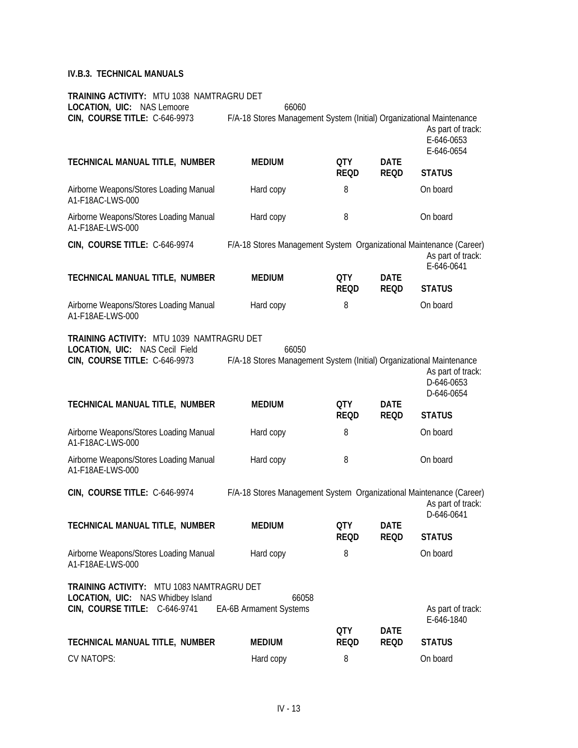| TRAINING ACTIVITY: MTU 1038 NAMTRAGRU DET<br>LOCATION, UIC: NAS Lemoore                                                       | 66060                                                                         |                           |                            |                                               |
|-------------------------------------------------------------------------------------------------------------------------------|-------------------------------------------------------------------------------|---------------------------|----------------------------|-----------------------------------------------|
| CIN, COURSE TITLE: C-646-9973                                                                                                 | F/A-18 Stores Management System (Initial) Organizational Maintenance          |                           |                            | As part of track:<br>E-646-0653<br>E-646-0654 |
| TECHNICAL MANUAL TITLE, NUMBER                                                                                                | <b>MEDIUM</b>                                                                 | <b>QTY</b><br><b>REQD</b> | <b>DATE</b><br><b>REQD</b> | <b>STATUS</b>                                 |
| Airborne Weapons/Stores Loading Manual<br>A1-F18AC-LWS-000                                                                    | Hard copy                                                                     | 8                         |                            | On board                                      |
| Airborne Weapons/Stores Loading Manual<br>A1-F18AE-LWS-000                                                                    | Hard copy                                                                     | 8                         |                            | On board                                      |
| CIN, COURSE TITLE: C-646-9974                                                                                                 | F/A-18 Stores Management System Organizational Maintenance (Career)           |                           |                            | As part of track:<br>E-646-0641               |
| TECHNICAL MANUAL TITLE, NUMBER                                                                                                | <b>MEDIUM</b>                                                                 | <b>QTY</b><br><b>REQD</b> | <b>DATE</b><br><b>REQD</b> | <b>STATUS</b>                                 |
| Airborne Weapons/Stores Loading Manual<br>A1-F18AE-LWS-000                                                                    | Hard copy                                                                     | 8                         |                            | On board                                      |
| <b>TRAINING ACTIVITY: MTU 1039 NAMTRAGRU DET</b><br>LOCATION, UIC: NAS Cecil Field<br>CIN, COURSE TITLE: C-646-9973           | 66050<br>F/A-18 Stores Management System (Initial) Organizational Maintenance |                           |                            | As part of track:<br>D-646-0653<br>D-646-0654 |
| TECHNICAL MANUAL TITLE, NUMBER                                                                                                | <b>MEDIUM</b>                                                                 | QTY<br><b>REQD</b>        | <b>DATE</b><br><b>REQD</b> | <b>STATUS</b>                                 |
| Airborne Weapons/Stores Loading Manual<br>A1-F18AC-LWS-000                                                                    | Hard copy                                                                     | 8                         |                            | On board                                      |
| Airborne Weapons/Stores Loading Manual<br>A1-F18AE-LWS-000                                                                    | Hard copy                                                                     | 8                         |                            | On board                                      |
| CIN, COURSE TITLE: C-646-9974                                                                                                 | F/A-18 Stores Management System Organizational Maintenance (Career)           |                           |                            | As part of track:<br>D-646-0641               |
| TECHNICAL MANUAL TITLE, NUMBER                                                                                                | <b>MEDIUM</b>                                                                 | QTY<br><b>REQD</b>        | <b>DATE</b><br><b>REQD</b> | <b>STATUS</b>                                 |
| Airborne Weapons/Stores Loading Manual<br>A1-F18AE-LWS-000                                                                    | Hard copy                                                                     | 8                         |                            | On board                                      |
| <b>TRAINING ACTIVITY: MTU 1083 NAMTRAGRU DET</b><br><b>LOCATION, UIC: NAS Whidbey Island</b><br>CIN, COURSE TITLE: C-646-9741 | 66058<br>EA-6B Armament Systems                                               |                           |                            | As part of track:<br>E-646-1840               |
| TECHNICAL MANUAL TITLE, NUMBER                                                                                                | <b>MEDIUM</b>                                                                 | <b>QTY</b><br><b>REQD</b> | <b>DATE</b><br><b>REQD</b> | <b>STATUS</b>                                 |
| <b>CV NATOPS:</b>                                                                                                             | Hard copy                                                                     | 8                         |                            | On board                                      |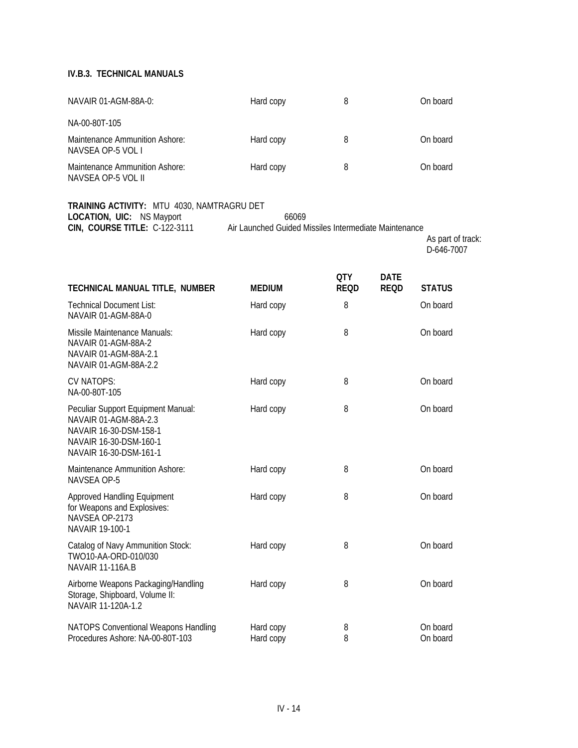| NAVAIR 01-AGM-88A-0:                                                                                                                      | Hard copy                                                      | 8           |             | On board                        |
|-------------------------------------------------------------------------------------------------------------------------------------------|----------------------------------------------------------------|-------------|-------------|---------------------------------|
| NA-00-80T-105                                                                                                                             |                                                                |             |             |                                 |
| Maintenance Ammunition Ashore:<br>NAVSEA OP-5 VOL I                                                                                       | Hard copy                                                      | 8           |             | On board                        |
| Maintenance Ammunition Ashore:<br>NAVSEA OP-5 VOL II                                                                                      | Hard copy                                                      | 8           |             | On board                        |
| TRAINING ACTIVITY: MTU 4030, NAMTRAGRU DET<br>LOCATION, UIC: NS Mayport<br><b>CIN, COURSE TITLE: C-122-3111</b>                           | 66069<br>Air Launched Guided Missiles Intermediate Maintenance |             |             | As part of track:<br>D-646-7007 |
|                                                                                                                                           |                                                                | QTY         | <b>DATE</b> |                                 |
| TECHNICAL MANUAL TITLE, NUMBER                                                                                                            | <b>MEDIUM</b>                                                  | <b>REQD</b> | <b>REQD</b> | <b>STATUS</b>                   |
| <b>Technical Document List:</b><br>NAVAIR 01-AGM-88A-0                                                                                    | Hard copy                                                      | 8           |             | On board                        |
| Missile Maintenance Manuals:<br>NAVAIR 01-AGM-88A-2<br>NAVAIR 01-AGM-88A-2.1<br>NAVAIR 01-AGM-88A-2.2                                     | Hard copy                                                      | 8           |             | On board                        |
| <b>CV NATOPS:</b><br>NA-00-80T-105                                                                                                        | Hard copy                                                      | 8           |             | On board                        |
| Peculiar Support Equipment Manual:<br>NAVAIR 01-AGM-88A-2.3<br>NAVAIR 16-30-DSM-158-1<br>NAVAIR 16-30-DSM-160-1<br>NAVAIR 16-30-DSM-161-1 | Hard copy                                                      | 8           |             | On board                        |
| Maintenance Ammunition Ashore:<br>NAVSEA OP-5                                                                                             | Hard copy                                                      | 8           |             | On board                        |
| Approved Handling Equipment<br>for Weapons and Explosives:<br>NAVSEA OP-2173<br>NAVAIR 19-100-1                                           | Hard copy                                                      | 8           |             | On board                        |
| Catalog of Navy Ammunition Stock:<br>TWO10-AA-ORD-010/030<br><b>NAVAIR 11-116A.B</b>                                                      | Hard copy                                                      | 8           |             | On board                        |
| Airborne Weapons Packaging/Handling<br>Storage, Shipboard, Volume II:<br>NAVAIR 11-120A-1.2                                               | Hard copy                                                      | 8           |             | On board                        |
| NATOPS Conventional Weapons Handling<br>Procedures Ashore: NA-00-80T-103                                                                  | Hard copy<br>Hard copy                                         | 8<br>8      |             | On board<br>On board            |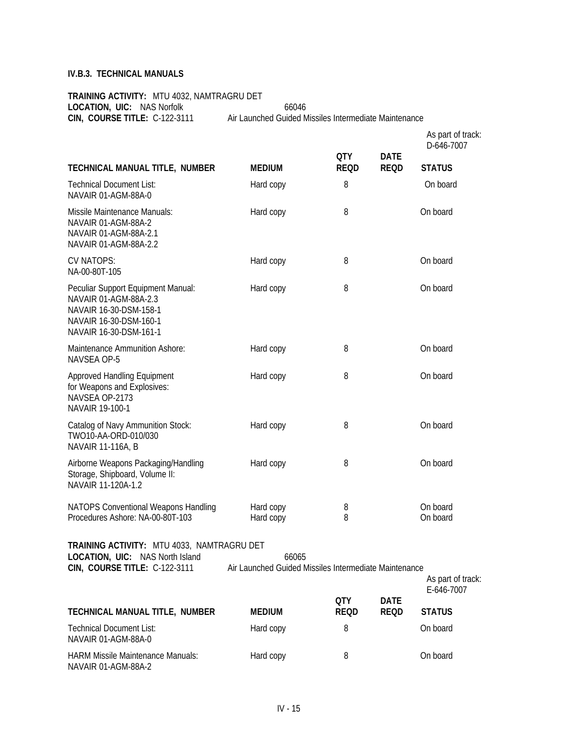**TRAINING ACTIVITY:** MTU 4032, NAMTRAGRU DET LOCATION, UIC: NAS Norfolk 66046 **CIN, COURSE TITLE:** C-122-3111 Air Launched Guided Missiles Intermediate Maintenance

|                                                                                                                                           |                                                                |                           |                            | As part of track:<br>D-646-7007 |
|-------------------------------------------------------------------------------------------------------------------------------------------|----------------------------------------------------------------|---------------------------|----------------------------|---------------------------------|
| TECHNICAL MANUAL TITLE, NUMBER                                                                                                            | <b>MEDIUM</b>                                                  | <b>QTY</b><br><b>REQD</b> | <b>DATE</b><br><b>REQD</b> | <b>STATUS</b>                   |
| <b>Technical Document List:</b><br>NAVAIR 01-AGM-88A-0                                                                                    | Hard copy                                                      | 8                         |                            | On board                        |
| Missile Maintenance Manuals:<br>NAVAIR 01-AGM-88A-2<br>NAVAIR 01-AGM-88A-2.1<br>NAVAIR 01-AGM-88A-2.2                                     | Hard copy                                                      | 8                         |                            | On board                        |
| <b>CV NATOPS:</b><br>NA-00-80T-105                                                                                                        | Hard copy                                                      | 8                         |                            | On board                        |
| Peculiar Support Equipment Manual:<br>NAVAIR 01-AGM-88A-2.3<br>NAVAIR 16-30-DSM-158-1<br>NAVAIR 16-30-DSM-160-1<br>NAVAIR 16-30-DSM-161-1 | Hard copy                                                      | 8                         |                            | On board                        |
| Maintenance Ammunition Ashore:<br>NAVSEA OP-5                                                                                             | Hard copy                                                      | 8                         |                            | On board                        |
| Approved Handling Equipment<br>for Weapons and Explosives:<br>NAVSEA OP-2173<br>NAVAIR 19-100-1                                           | Hard copy                                                      | 8                         |                            | On board                        |
| Catalog of Navy Ammunition Stock:<br>TWO10-AA-ORD-010/030<br>NAVAIR 11-116A, B                                                            | Hard copy                                                      | 8                         |                            | On board                        |
| Airborne Weapons Packaging/Handling<br>Storage, Shipboard, Volume II:<br>NAVAIR 11-120A-1.2                                               | Hard copy                                                      | 8                         |                            | On board                        |
| NATOPS Conventional Weapons Handling<br>Procedures Ashore: NA-00-80T-103                                                                  | Hard copy<br>Hard copy                                         | 8<br>8                    |                            | On board<br>On board            |
| TRAINING ACTIVITY: MTU 4033, NAMTRAGRU DET<br><b>LOCATION, UIC:</b> NAS North Island<br>CIN, COURSE TITLE: C-122-3111                     | 66065<br>Air Launched Guided Missiles Intermediate Maintenance |                           |                            | As part of track:<br>E-646-7007 |
| TECHNICAL MANUAL TITLE, NUMBER                                                                                                            | <b>MEDIUM</b>                                                  | <b>QTY</b><br><b>REQD</b> | <b>DATE</b><br><b>REQD</b> | <b>STATUS</b>                   |
| <b>Technical Document List:</b>                                                                                                           | Hard copy                                                      | 8                         |                            | On board                        |

NAVAIR 01-AGM-88A-0 HARM Missile Maintenance Manuals: 
Hard copy 
and the Manuals and Hard copy and B and Contact Contact On board NAVAIR 01-AGM-88A-2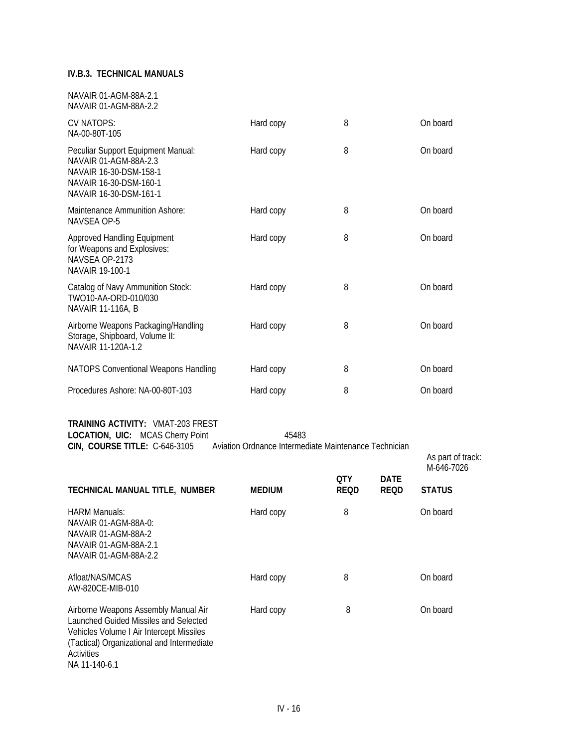#### **IV.B.3. TECHNICAL MANUALS**

| NAVAIR 01-AGM-88A-2.1<br>NAVAIR 01-AGM-88A-2.2                                                                                                                                                         |                                                                |                           |                            |                             |
|--------------------------------------------------------------------------------------------------------------------------------------------------------------------------------------------------------|----------------------------------------------------------------|---------------------------|----------------------------|-----------------------------|
| CV NATOPS:<br>NA-00-80T-105                                                                                                                                                                            | Hard copy                                                      | 8                         |                            | On board                    |
| Peculiar Support Equipment Manual:<br>NAVAIR 01-AGM-88A-2.3<br>NAVAIR 16-30-DSM-158-1<br>NAVAIR 16-30-DSM-160-1<br>NAVAIR 16-30-DSM-161-1                                                              | Hard copy                                                      | 8                         |                            | On board                    |
| Maintenance Ammunition Ashore:<br>NAVSEA OP-5                                                                                                                                                          | Hard copy                                                      | 8                         |                            | On board                    |
| Approved Handling Equipment<br>for Weapons and Explosives:<br>NAVSEA OP-2173<br>NAVAIR 19-100-1                                                                                                        | Hard copy                                                      | 8                         |                            | On board                    |
| Catalog of Navy Ammunition Stock:<br>TWO10-AA-ORD-010/030<br>NAVAIR 11-116A, B                                                                                                                         | Hard copy                                                      | 8                         |                            | On board                    |
| Airborne Weapons Packaging/Handling<br>Storage, Shipboard, Volume II:<br>NAVAIR 11-120A-1.2                                                                                                            | Hard copy                                                      | 8                         |                            | On board                    |
| NATOPS Conventional Weapons Handling                                                                                                                                                                   | Hard copy                                                      | 8                         |                            | On board                    |
| Procedures Ashore: NA-00-80T-103                                                                                                                                                                       | Hard copy                                                      | 8                         |                            | On board                    |
| <b>TRAINING ACTIVITY: VMAT-203 FREST</b><br>LOCATION, UIC: MCAS Cherry Point<br>CIN, COURSE TITLE: C-646-3105                                                                                          | 45483<br>Aviation Ordnance Intermediate Maintenance Technician |                           |                            | As part of track:           |
| TECHNICAL MANUAL TITLE, NUMBER                                                                                                                                                                         | <b>MEDIUM</b>                                                  | <b>QTY</b><br><b>REQD</b> | <b>DATE</b><br><b>REQD</b> | M-646-7026<br><b>STATUS</b> |
|                                                                                                                                                                                                        |                                                                |                           |                            |                             |
| <b>HARM Manuals:</b><br>NAVAIR 01-AGM-88A-0:<br>NAVAIR 01-AGM-88A-2<br>NAVAIR 01-AGM-88A-2.1<br>NAVAIR 01-AGM-88A-2.2                                                                                  | Hard copy                                                      | 8                         |                            | On board                    |
| Afloat/NAS/MCAS<br>AW-820CE-MIB-010                                                                                                                                                                    | Hard copy                                                      | 8                         |                            | On board                    |
| Airborne Weapons Assembly Manual Air<br>Launched Guided Missiles and Selected<br>Vehicles Volume I Air Intercept Missiles<br>(Tactical) Organizational and Intermediate<br>Activities<br>NA 11-140-6.1 | Hard copy                                                      | 8                         |                            | On board                    |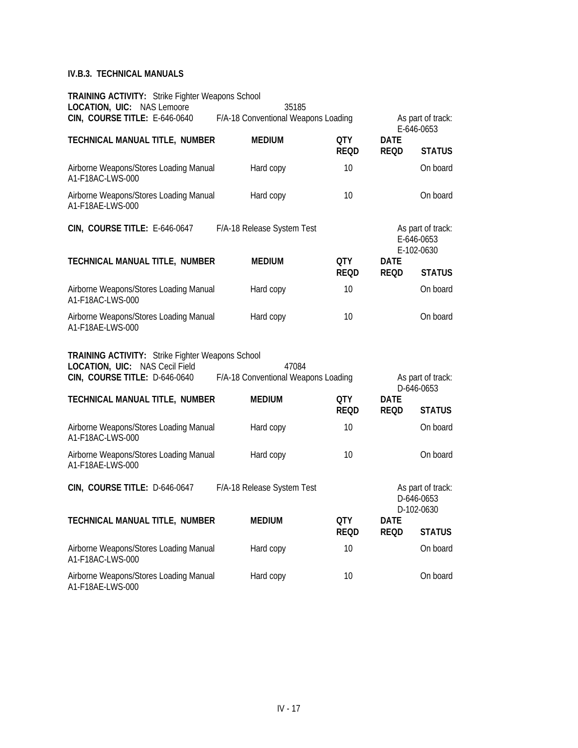### **IV.B.3. TECHNICAL MANUALS**

| <b>TRAINING ACTIVITY:</b> Strike Fighter Weapons School<br>LOCATION, UIC: NAS Lemoore                                      | 35185                                        |                           |                            |                                               |
|----------------------------------------------------------------------------------------------------------------------------|----------------------------------------------|---------------------------|----------------------------|-----------------------------------------------|
| CIN, COURSE TITLE: E-646-0640                                                                                              | F/A-18 Conventional Weapons Loading          |                           |                            | As part of track:<br>E-646-0653               |
| TECHNICAL MANUAL TITLE, NUMBER                                                                                             | <b>MEDIUM</b>                                | <b>QTY</b><br><b>REQD</b> | <b>DATE</b><br><b>REQD</b> | <b>STATUS</b>                                 |
| Airborne Weapons/Stores Loading Manual<br>A1-F18AC-LWS-000                                                                 | Hard copy                                    | 10                        |                            | On board                                      |
| Airborne Weapons/Stores Loading Manual<br>A1-F18AE-LWS-000                                                                 | Hard copy                                    | 10                        |                            | On board                                      |
| CIN, COURSE TITLE: E-646-0647                                                                                              | F/A-18 Release System Test                   |                           |                            | As part of track:<br>E-646-0653<br>E-102-0630 |
| TECHNICAL MANUAL TITLE, NUMBER                                                                                             | <b>MEDIUM</b>                                | QTY<br><b>REQD</b>        | <b>DATE</b><br><b>REQD</b> | <b>STATUS</b>                                 |
| Airborne Weapons/Stores Loading Manual<br>A1-F18AC-LWS-000                                                                 | Hard copy                                    | 10                        |                            | On board                                      |
| Airborne Weapons/Stores Loading Manual<br>A1-F18AE-LWS-000                                                                 | Hard copy                                    | 10                        |                            | On board                                      |
| <b>TRAINING ACTIVITY:</b> Strike Fighter Weapons School<br>LOCATION, UIC: NAS Cecil Field<br>CIN, COURSE TITLE: D-646-0640 | 47084<br>F/A-18 Conventional Weapons Loading |                           |                            | As part of track:<br>D-646-0653               |
| TECHNICAL MANUAL TITLE, NUMBER                                                                                             | <b>MEDIUM</b>                                | <b>QTY</b><br><b>REQD</b> | <b>DATE</b><br><b>REQD</b> | <b>STATUS</b>                                 |
| Airborne Weapons/Stores Loading Manual<br>A1-F18AC-LWS-000                                                                 | Hard copy                                    | 10                        |                            | On board                                      |
| Airborne Weapons/Stores Loading Manual<br>A1-F18AE-LWS-000                                                                 | Hard copy                                    | 10                        |                            | On board                                      |
| CIN, COURSE TITLE: D-646-0647                                                                                              | F/A-18 Release System Test                   |                           |                            | As part of track:<br>D-646-0653<br>D-102-0630 |
| TECHNICAL MANUAL TITLE, NUMBER                                                                                             | <b>MEDIUM</b>                                | <b>QTY</b><br><b>REQD</b> | <b>DATE</b><br><b>REQD</b> | <b>STATUS</b>                                 |
| Airborne Weapons/Stores Loading Manual<br>A1-F18AC-LWS-000                                                                 | Hard copy                                    | 10                        |                            | On board                                      |
| Airborne Weapons/Stores Loading Manual<br>A1-F18AE-LWS-000                                                                 | Hard copy                                    | 10                        |                            | On board                                      |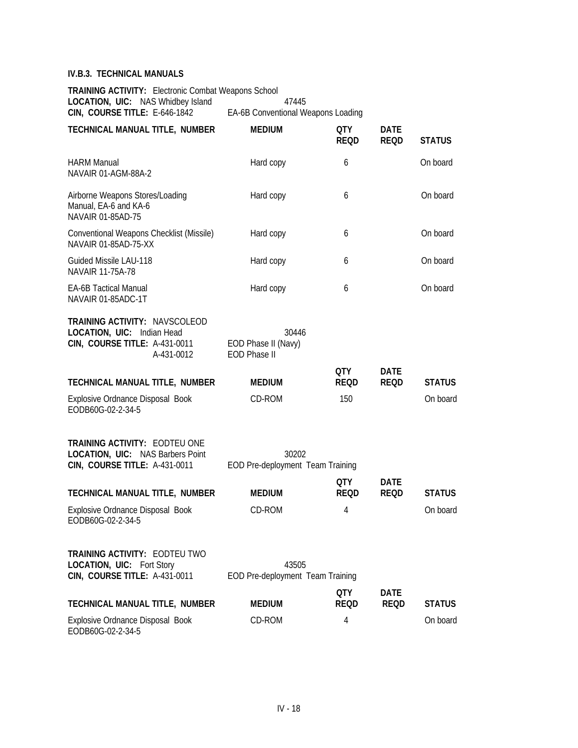### **IV.B.3. TECHNICAL MANUALS**

**TRAINING ACTIVITY:** Electronic Combat Weapons School LOCATION, UIC: NAS Whidbey Island 47445<br>CIN, COURSE TITLE: E-646-1842 EA-6B Conventional W EA-6B Conventional Weapons Loading

| TECHNICAL MANUAL TITLE, NUMBER                                                                                    | <b>MEDIUM</b>                                       | <b>QTY</b><br><b>REQD</b> | <b>DATE</b><br><b>REQD</b> | <b>STATUS</b> |
|-------------------------------------------------------------------------------------------------------------------|-----------------------------------------------------|---------------------------|----------------------------|---------------|
| <b>HARM Manual</b><br>NAVAIR 01-AGM-88A-2                                                                         | Hard copy                                           | 6                         |                            | On board      |
| Airborne Weapons Stores/Loading<br>Manual, EA-6 and KA-6<br>NAVAIR 01-85AD-75                                     | Hard copy                                           | 6                         |                            | On board      |
| Conventional Weapons Checklist (Missile)<br>NAVAIR 01-85AD-75-XX                                                  | Hard copy                                           | 6                         |                            | On board      |
| Guided Missile LAU-118<br>NAVAIR 11-75A-78                                                                        | Hard copy                                           | 6                         |                            | On board      |
| <b>EA-6B Tactical Manual</b><br>NAVAIR 01-85ADC-1T                                                                | Hard copy                                           | 6                         |                            | On board      |
| <b>TRAINING ACTIVITY: NAVSCOLEOD</b><br>LOCATION, UIC: Indian Head<br>CIN, COURSE TITLE: A-431-0011<br>A-431-0012 | 30446<br>EOD Phase II (Navy)<br><b>EOD Phase II</b> |                           |                            |               |
| TECHNICAL MANUAL TITLE, NUMBER                                                                                    | <b>MEDIUM</b>                                       | QTY<br><b>REQD</b>        | <b>DATE</b><br><b>REQD</b> | <b>STATUS</b> |
| Explosive Ordnance Disposal Book<br>EODB60G-02-2-34-5                                                             | CD-ROM                                              | 150                       |                            | On board      |
| <b>TRAINING ACTIVITY: EODTEU ONE</b><br>LOCATION, UIC: NAS Barbers Point<br>CIN, COURSE TITLE: A-431-0011         | 30202<br>EOD Pre-deployment Team Training           |                           |                            |               |
|                                                                                                                   |                                                     | QTY                       | <b>DATE</b>                |               |
| TECHNICAL MANUAL TITLE, NUMBER                                                                                    | <b>MEDIUM</b>                                       | <b>REQD</b>               | <b>REQD</b>                | <b>STATUS</b> |
| Explosive Ordnance Disposal Book<br>EODB60G-02-2-34-5                                                             | CD-ROM                                              | 4                         |                            | On board      |
| TRAINING ACTIVITY: EODTEU TWO<br><b>LOCATION, UIC: Fort Story</b><br>CIN, COURSE TITLE: A-431-0011                | 43505<br>EOD Pre-deployment Team Training           |                           |                            |               |
|                                                                                                                   |                                                     | <b>QTY</b>                | <b>DATE</b>                |               |
| TECHNICAL MANUAL TITLE, NUMBER                                                                                    | <b>MEDIUM</b>                                       | <b>REQD</b>               | <b>REQD</b>                | <b>STATUS</b> |
| Explosive Ordnance Disposal Book<br>EODB60G-02-2-34-5                                                             | CD-ROM                                              | 4                         |                            | On board      |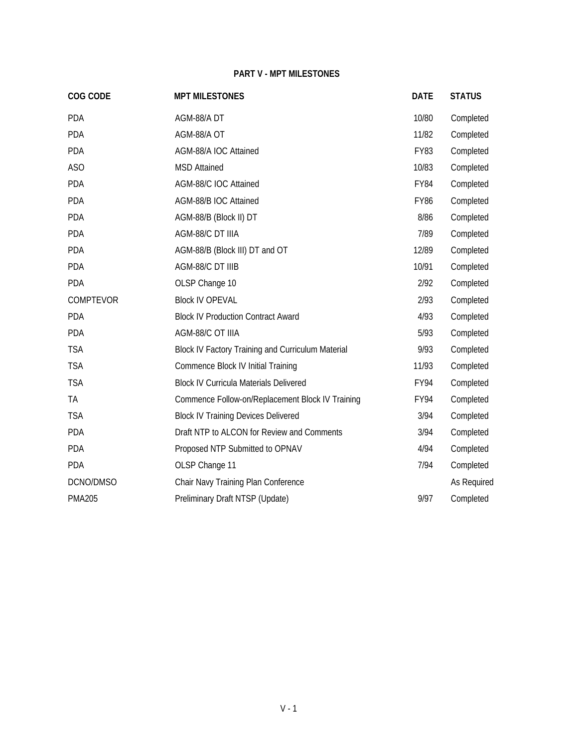# **PART V - MPT MILESTONES**

| COG CODE      | <b>MPT MILESTONES</b>                             | <b>DATE</b> | <b>STATUS</b> |
|---------------|---------------------------------------------------|-------------|---------------|
| <b>PDA</b>    | AGM-88/A DT                                       | 10/80       | Completed     |
| <b>PDA</b>    | AGM-88/A OT                                       | 11/82       | Completed     |
| <b>PDA</b>    | AGM-88/A IOC Attained                             | <b>FY83</b> | Completed     |
| ASO           | <b>MSD Attained</b>                               | 10/83       | Completed     |
| <b>PDA</b>    | AGM-88/C IOC Attained                             | <b>FY84</b> | Completed     |
| <b>PDA</b>    | AGM-88/B IOC Attained                             | <b>FY86</b> | Completed     |
| <b>PDA</b>    | AGM-88/B (Block II) DT                            | 8/86        | Completed     |
| <b>PDA</b>    | AGM-88/C DT IIIA                                  | 7/89        | Completed     |
| <b>PDA</b>    | AGM-88/B (Block III) DT and OT                    | 12/89       | Completed     |
| <b>PDA</b>    | AGM-88/C DT IIIB                                  | 10/91       | Completed     |
| <b>PDA</b>    | OLSP Change 10                                    | 2/92        | Completed     |
| COMPTEVOR     | <b>Block IV OPEVAL</b>                            | 2/93        | Completed     |
| <b>PDA</b>    | <b>Block IV Production Contract Award</b>         | 4/93        | Completed     |
| <b>PDA</b>    | AGM-88/C OT IIIA                                  | 5/93        | Completed     |
| <b>TSA</b>    | Block IV Factory Training and Curriculum Material | 9/93        | Completed     |
| <b>TSA</b>    | Commence Block IV Initial Training                | 11/93       | Completed     |
| <b>TSA</b>    | <b>Block IV Curricula Materials Delivered</b>     | FY94        | Completed     |
| TA            | Commence Follow-on/Replacement Block IV Training  | FY94        | Completed     |
| <b>TSA</b>    | <b>Block IV Training Devices Delivered</b>        | 3/94        | Completed     |
| PDA           | Draft NTP to ALCON for Review and Comments        | 3/94        | Completed     |
| <b>PDA</b>    | Proposed NTP Submitted to OPNAV                   | 4/94        | Completed     |
| PDA           | OLSP Change 11                                    | 7/94        | Completed     |
| DCNO/DMSO     | Chair Navy Training Plan Conference               |             | As Required   |
| <b>PMA205</b> | Preliminary Draft NTSP (Update)                   | 9/97        | Completed     |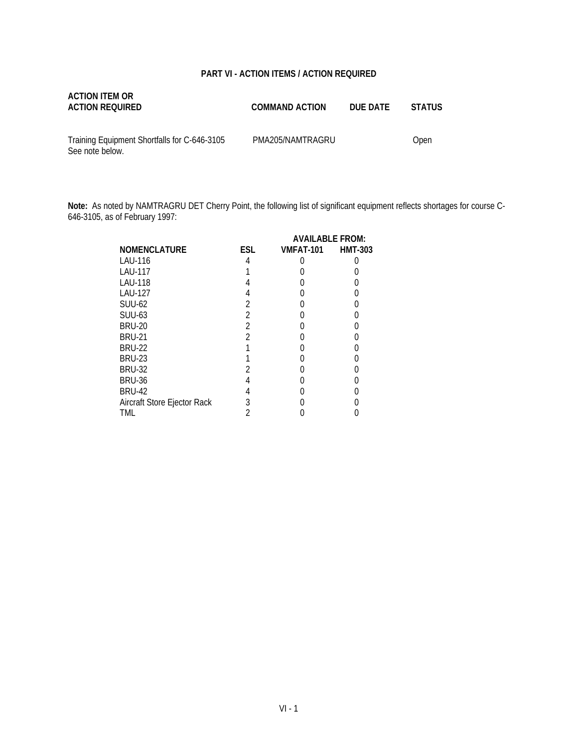### **PART VI - ACTION ITEMS / ACTION REQUIRED**

| ACTION ITEM OR  |                       |          |        |
|-----------------|-----------------------|----------|--------|
| ACTION REQUIRED | <b>COMMAND ACTION</b> | DUE DATE | STATUS |
|                 |                       |          |        |

Training Equipment Shortfalls for C-646-3105 See note below.

PMA205/NAMTRAGRU Open

**Note:** As noted by NAMTRAGRU DET Cherry Point, the following list of significant equipment reflects shortages for course C-646-3105, as of February 1997:

|                             |     | <b>AVAILABLE FROM:</b> |                |
|-----------------------------|-----|------------------------|----------------|
| <b>NOMENCLATURE</b>         | ESL | VMFAT-101              | <b>HMT-303</b> |
| LAU-116                     |     |                        |                |
| <b>LAU-117</b>              |     |                        |                |
| <b>LAU-118</b>              |     |                        |                |
| LAU-127                     |     |                        |                |
| <b>SUU-62</b>               |     |                        |                |
| <b>SUU-63</b>               |     |                        |                |
| <b>BRU-20</b>               |     |                        |                |
| <b>BRU-21</b>               |     |                        |                |
| <b>BRU-22</b>               |     |                        |                |
| <b>BRU-23</b>               |     |                        |                |
| <b>BRU-32</b>               |     |                        |                |
| <b>BRU-36</b>               |     |                        |                |
| <b>BRU-42</b>               | 4   |                        |                |
| Aircraft Store Ejector Rack | 3   |                        |                |
| TML                         |     |                        |                |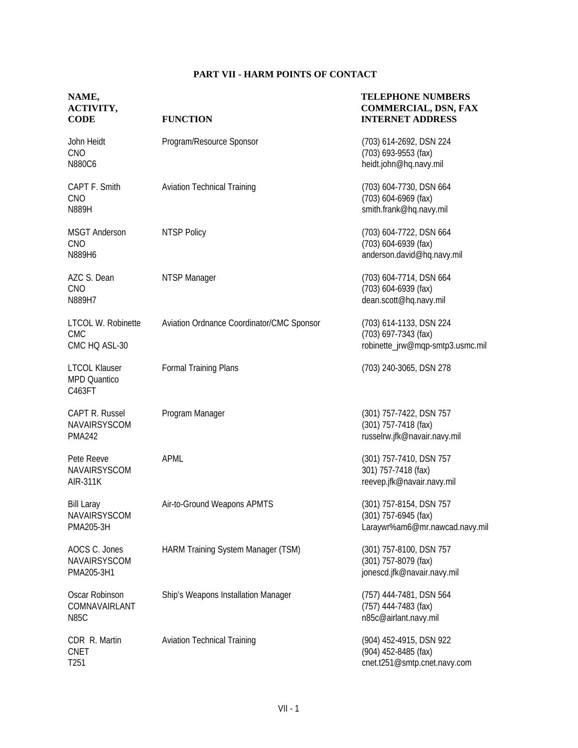# **PART VII - HARM POINTS OF CONTACT**

| NAME,<br>ACTIVITY,<br><b>CODE</b>                     | <b>FUNCTION</b>                           | <b>TELEPHONE NUMBERS</b><br><b>COMMERCIAL, DSN, FAX</b><br><b>INTERNET ADDRESS</b>  |
|-------------------------------------------------------|-------------------------------------------|-------------------------------------------------------------------------------------|
| John Heidt<br>CNO<br>N880C6                           | Program/Resource Sponsor                  | (703) 614-2692, DSN 224<br>(703) 693-9553 (fax)<br>heidt.john@hq.navy.mil           |
| CAPT F. Smith<br><b>CNO</b><br>N889H                  | <b>Aviation Technical Training</b>        | (703) 604-7730, DSN 664<br>(703) 604-6969 (fax)<br>smith.frank@hq.navy.mil          |
| <b>MSGT Anderson</b><br>CNO<br>N889H6                 | <b>NTSP Policy</b>                        | (703) 604-7722, DSN 664<br>(703) 604-6939 (fax)<br>anderson.david@hq.navy.mil       |
| AZC S. Dean<br>CNO<br>N889H7                          | NTSP Manager                              | (703) 604-7714, DSN 664<br>(703) 604-6939 (fax)<br>dean.scott@hq.navy.mil           |
| LTCOL W. Robinette<br><b>CMC</b><br>CMC HQ ASL-30     | Aviation Ordnance Coordinator/CMC Sponsor | (703) 614-1133, DSN 224<br>(703) 697-7343 (fax)<br>robinette_jrw@mqp-smtp3.usmc.mil |
| <b>LTCOL Klauser</b><br><b>MPD Quantico</b><br>C463FT | Formal Training Plans                     | (703) 240-3065, DSN 278                                                             |
| CAPT R. Russel<br>NAVAIRSYSCOM<br><b>PMA242</b>       | Program Manager                           | (301) 757-7422, DSN 757<br>(301) 757-7418 (fax)<br>russelrw.jfk@navair.navy.mil     |
| Pete Reeve<br>NAVAIRSYSCOM<br><b>AIR-311K</b>         | <b>APML</b>                               | (301) 757-7410, DSN 757<br>301) 757-7418 (fax)<br>reevep.jfk@navair.navy.mil        |
| <b>Bill Laray</b><br>NAVAIRSYSCOM<br>PMA205-3H        | Air-to-Ground Weapons APMTS               | (301) 757-8154, DSN 757<br>(301) 757-6945 (fax)<br>Laraywr%am6@mr.nawcad.navy.mil   |
| AOCS C. Jones<br>NAVAIRSYSCOM<br>PMA205-3H1           | HARM Training System Manager (TSM)        | (301) 757-8100, DSN 757<br>(301) 757-8079 (fax)<br>jonescd.jfk@navair.navy.mil      |
| Oscar Robinson<br>COMNAVAIRLANT<br><b>N85C</b>        | Ship's Weapons Installation Manager       | (757) 444-7481, DSN 564<br>(757) 444-7483 (fax)<br>n85c@airlant.navy.mil            |
| CDR R. Martin<br><b>CNET</b><br>T <sub>251</sub>      | <b>Aviation Technical Training</b>        | (904) 452-4915, DSN 922<br>(904) 452-8485 (fax)<br>cnet.t251@smtp.cnet.navy.com     |